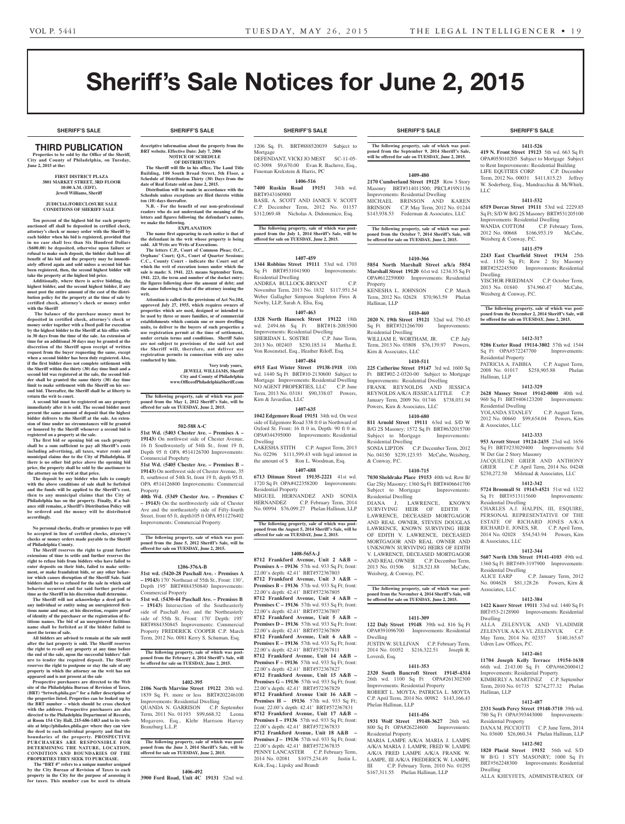**SHERIFF'S SALE SHERIFF'S SALE SHERIFF'S SALE SHERIFF'S SALE SHERIFF'S SALE**

# Sheriff's Sale Notices for June 2, 2015

# Third PUBLICATION

**Properties to be sold by the Office of the Sheriff, City and County of Philadelphia, on Tuesday, June 2, 2015 at the:** 

# **First District Plaza 3801 Market Street, 3rd Floor 10:00 A.M. (EDT). Jewell Williams, Sheriff**

#### **JUDICIAL/FORECLOSURE SALE CONDITIONS OF SHERIFF SALE**

**Ten percent of the highest bid for each property auctioned off shall be deposited in certified check, attorney's check or money order with the Sheriff by each bidder when his bid is registered, provided that in no case shall less than Six Hundred Dollars (\$600.00) be deposited, otherwise upon failure or refusal to make such deposit, the bidder shall lose all benefit of his bid and the property may be immediately offered again and sold unless a second bid has been registered, then, the second highest bidder will take the property at the highest bid price.**

**Additionally, where there is active bidding, the highest bidder, and the second highest bidder, if any must post the entire amount of the cost of the distribution policy for the property at the time of sale by certified check, attorney's check or money order with the Sheriff**

 **The balance of the purchase money must be deposited in certified check, attorney's check or money order together with a Deed poll for execution by the highest bidder to the Sheriff at his office within 30 days from the time of the sale. An extension of time for an additional 30 days may be granted at the discretion of the Sheriff upon receipt of written request from the buyer requesting the same, except when a second bidder has been duly registered. Also, if the first bidder does not complete settlement with the Sheriff within the thirty (30) day time limit and a second bid was registered at the sale, the second bidder shall be granted the same thirty (30) day time limit to make settlement with the Sheriff on his second bid. Thereafter, the Sheriff shall be at liberty to return the writ to court.**

**A second bid must be registered on any property immediately after it is sold. The second bidder must present the same amount of deposit that the highest bidder delivers to the Sheriff at the sale. An exten-sion of time under no circumstances will be granted or honored by the Sheriff whenever a second bid is registered on a property at the sale.** 

**The first bid or opening bid on each property shall be a sum sufficient to pay all Sheriff's costs including advertising, all taxes, water rents and municipal claims due to the City of Philadelphia. If there is no other bid price above the opening bid price, the property shall be sold by the auctioneer to** 

**the attorney on the writ at that price. The deposit by any bidder who fails to comply with the above conditions of sale shall be forfeited and the funds will be applied to the Sheriff's cost, then to any municipal claims that the City of Philadelphia has on the property. Finally, if a bal-ance still remains, a Sheriff's Distribution Policy will be ordered and the money will be distributed accordingly.**

**No personal checks, drafts or promises to pay will be accepted in lieu of certified checks, attorney's checks or money orders made payable to the Sheriff of Philadelphia County.**

**The Sheriff reserves the right to grant further extensions of time to settle and further reserves the right to refuse bids from bidders who have failed to enter deposits on their bids, failed to make settlement, or make fraudulent bids, or any other behavior which causes disruption of the Sheriff Sale. Said bidders shall be so refused for the sale in which said behavior occurred and for said further period of time as the Sheriff in his discretion shall determine.**

**The Sheriff will not acknowledge a deed poll to any individual or entity using an unregistered fictitious name and may, at his discretion, require proof of identity of the purchaser or the registration of fictitious names. The bid of an unregistered fictitious name shall be forfeited as if the bidder failed to meet the terms of sale.**

**All bidders are advised to remain at the sale until after the last property is sold. The Sheriff reserves the right to re-sell any property at any time before the end of the sale, upon the successful bidders' failure to tender the required deposit. The Sheriff reserves the right to postpone or stay the sale of any property in which the attorney on the writ has not appeared and is not present at the sale**

**Prospective purchasers are directed to the Web site of the Philadelphia Bureau of Revision of Taxes, (BRT) "brtweb.phila.gov" for a fuller description of the properties listed. Properties can be looked up by the BRT number – which should be cross checked with the address. Prospective purchasers are also directed to the Philadelphia Department of Records, at Room 154 City Hall, 215-686-1483 and to its web-site at http://philadox.phila.gov where they can view the deed to each individual property and find the boundaries of the property. PROSPECTIVE PURCHASERS ARE RESPONSIBLE FOR DETERMINING THE NATURE, LOCATION, CONDITION AND BOUNDARIES OF THE PROPERTIES THEY SEEK TO PURCHASE.**

 **The "BRT #" refers to a unique number assigned by the City Bureau of Revision of Taxes to each property in the City for the purpose of assessing it for taxes. This number can be used to obtain** 

**descriptive information about the property from the BRT** website. Effective Date: July 7, 20

**NOTICE OF SCHEDULE OF DISTRIBUTION The Sheriff will file in his office, The Land Title Building, 100 South Broad Street, 5th Floor, a Schedule of Distribution Thirty (30) Days from the date of Real Estate sold on June 2, 2015.**

**Distribution will be made in accordance with the Schedule unless exceptions are filed thereto within** 

**N.B.** - For the benefit of our non-profession **readers who do not understand the meaning of the**  letters and figures following the defendant's nam

**EXPLANATION The name first appearing in each notice is that of the defendant in the writ whose property is being sold. All Writs are Writs of Executions. The letters C.P., Court of Common Pleas; O.C., Orphans' Court; Q.S., Court of Quarter Sessions; C.C., County Court - indicate the Court out of which the writ of execution issues under which the sale is made: S. 1941. 223. means September Term, 1941. 223, the term and number of the docket entry; the figures following show the amount of debt; and the name following is that of the attorney issuing the** 

**Attention is called to the provisions of Act No.104, approved July 27, 1955, which requires owners of**  perties which are used, designed or intended to **be used by three or more families, or of commercial establishments which contain one or more dwelling units, to deliver to the buyers of such properties a use registration permit at the time of settlement, under certain terms and conditions. Sheriff Sales are not subject to provisions of the said Act and the Sheriff will, therefore, not deliver use registration permits in connection with any sales** 

**The following property, sale of which was post-poned from the May 1, 2012 Sheriff's Sale, will be offered for sale on TUESDAY, June 2, 2015.**

**502-588 A-C 51st Wd. (5403 Chester Ave. – Premises A – 19143)** On northwest side of Chester Avenue, 16 ft Southwesterly of 54th St., front 19 ft, Depth 95 ft OPA #514126700 Improvements:

**51st Wd. (5405 Chester Ave. – Premises B – 19143)** On northwest side of Chester Avenue, 35 ft, southwest of 54th St, front 19 ft, depth 95 ft. OPA #514126800 Improvements: Commercial

**40th Wd. (5349 Chester Ave. – Premises C – 19143)** On the northwesterly side of Chester Ave and the northeasterly side of Fifty-fourth Street, front 65 ft, depth105 ft OPA #511276402 Improvements: Commercial Property

**The following property, sale of which was post-poned from the June 5, 2012 Sheriff's Sale, will be offered for sale on TUESDAY, June 2, 2015.**

**1206-376A-B 51st wd. (5420-28 Paschall Ave. - Premises A – 19143)** 170' Northeast of 55th St., Front: 130', Depth 195' BRT#884350840 Improvements:

**51st wd. (5430-44 Paschall Ave. – Premises B – 19143)** Intersection of the Southeasterly side of Paschall Ave. and the Northeasterly side of 55th St. Front: 170' Depth: 195' BRT#884350845 Improvements: Commercial Property FREDERICK COOPER C.P. March Term, 2012 No. 0081 Kerry S. Schuman, Esq. **The following property, sale of which was postponed from the February 4, 2014 Sheriff's Sale, will be offered for sale on TUESDAY, June 2, 2015.**

**1402-395 2106 North Marvine Street 19122** 20th wd. 1839 Sq. Ft. more or less BRT#202246100 Improvements: Residential Dwelling QUANDA N. GARRISON C.P. September<br>Term. 2011 No. 01193 \$99.668.32 Leona Term, 2011 No. 01193 \$99,668.32 Mogavero, Esq., Klehr Harrison Harvey

**The following property, sale of which was postponed from the June 3, 2014 Sheriff's Sale, will be offered for sale on TUESDAY, June 2, 2015.**

**1406-492 3900 Ford Road, Unit 4C 19131** 52nd wd.

**Very truly yours, JEWELL WILLIAMS, Sheriff City and County of Philadelphia www.OfficeofPhiladelphiaSheriff.com**

**ten (10) days thereafter.**

**we make the following.**

**writ.**

**conducted by him.**

Commercial Propehrty

Commercial Property

Branzburg L.L.P.

Property

1206 Sq. Ft. BRT#888520039 Subject to Mortgage DEFENDANT, VICKI JO MEST SC-11-05-02-3098 \$9,670.00 Evan R. Bachove, Esq., Fineman Krekstein & Harris, PC

# **1406-516**

**7400 Ruskin Road 19151** 34th wd. BRT#343160900

BASIL A. SCOTT AND JANICE V. SCOTT C.P. December Term, 2012 No. 01157 \$312,069.48 Nicholas A. Didomenico, Esq.

**The following property, sale of which was postponed from the July 1, 2014 Sheriff's Sale, will be offered for sale on TUESDAY, June 2, 2015.**

#### **1407-459**

**1344 Robbins Street 19111** 53rd wd. 1703 Sq Ft BRT#531041900 Improvements: Residential Dwelling ANDREA BULLOCK-BRYANT

November Term, 2013 No. 1832 \$117,951.54 Weber Gallagher Simpson Stapleton Fires & Newby, LLP, Sarah A. Elia, Esq.

#### **1407-463**

**1328 North Hancock Street 19122** 18th wd. 2494.66 Sq Ft BRT#18-2083500 Improvements: Residential Dwelling SHERIDAN L. SOSTRE C.P. June Term, 2013 No. 002403 \$230,185.14 Martha E. Von Rosenstiel, Esq., Heather Riloff, Esq.

#### **1407-484**

**6915 East Wister Street 19138-1918** 10th wd. 1440 Sq Ft BRT#10-2130600 Subject to Mortgage Improvements: Residential Dwelling NO AGENT PROPERTIES, LLC C.P. June Term, 2013 No. 03181 \$90,338.07 Powers, Kirn & Javardian, LLC

#### **1407-635**

**1042 Edgemore Road 19151** 34th wd. On west side of Edgemore Road 338 ft 0 in Northward of Oxford St. Front: 16 ft 0 in, Depth: 90 ft 0 in. OPA#344395000 Improvements: Residential Dwelling

LAKESHA STITH C.P. August Term, 2013 No. 02296 \$111,599.43 with legal interest in the amount of \$ Ron L. Woodman, Esq.

#### **1407-688**

**6713 Ditman Street 19135-2221** 41st wd. 1720 Sq Ft OPA#422358200 Improvements: Residential Property

MIGUEL HERNANDEZ AND SONIA HERNANDEZ C.P. February Term, 2014 No. 00994 \$76,099.27 Phelan Hallinan, LLP

**The following property, sale of which was postponed from the August 5, 2014 Sheriff's Sale, will be offered for sale on TUESDAY, June 2, 2015.**

#### **1408-565A-J**

**8712 Frankford Avenue, Unit 2 A&B – Premises A – 19136** 57th wd. 933 Sq Ft; front: 22.00'x depth: 42.41' BRT#572367803 **8712 Frankford Avenue, Unit 3 A&B – Premises B – 19136** 57th wd. 933 Sq Ft; front: 22.00'x depth: 42.41' BRT#572367805 **8712 Frankford Avenue, Unit 4 A&B – Premises C – 19136** 57th wd. 933 Sq Ft; front: 22.00'x depth: 42.41' BRT#572367807 **8712 Frankford Avenue, Unit 5 A&B – Premises D – 19136** 57th wd. 933 Sq Ft; front: 22.00'x depth: 42.41' BRT#572367809 **8712 Frankford Avenue, Unit 6 A&B – Premises E – 19136** 57th wd. 933 Sq Ft; front: 22.00'x depth: 42.41' BRT#572367811 **8712 Frankford Avenue, Unit 14 A&B – Premises F – 19136** 57th wd. 933 Sq Ft; front: 22.00'x depth: 42.41' BRT#572367827 **8712 Frankford Avenue, Unit 15 A&B – Premises G – 19136** 57th wd. 933 Sq Ft; front: 22.00'x depth: 42.41' BRT#572367829 **8712 Frankford Avenue Unit 16 A&B – Premises H – 19136** 57th wd. 933 Sq Ft; front: 22.00'x depth: 42.41' BRT#572367831 **8712 Frankford Avenue, Unit 17 A&B – Premises I – 19136** 57th wd. 933 Sq Ft; front: 22.00'x depth: 42.41' BRT#572367833 **8712 Frankford Avenue, Unit 18 A&B – Premises J – 19136** 57th wd. 933 Sq Ft; front: 22.00'x depth: 42.41' BRT#572367835 PENNY LANCASTER C.P. February Term, 2014 No. 02081 \$1075,234.49 Justin L. Krik, Esq.; Lipsky and Brandt

**SHERIFF'S SALE SHERIFF'S SALE SHERIFF'S SALE SHERIFF'S SALE SHERIFF'S SALE**

**The following property, sale of which was postponed from the September 9, 2014 Sheriff's Sale, will be offered for sale on TUESDAY, June 2, 2015.**

#### **1409-480**

**2170 Cumberland Street 19125** Row 3 Story Masonry BRT#314011500; PRCL#19N1136 Improvements: Residential Dwelling MICHAEL BRINSON AND KAREN BRINSON C.P. May Term, 2012 No. 01244 \$143,938.53 Federman & Associates, LLC

**The following property, sale of which was post-poned from the October 7, 2014 Sheriff's Sale, will be offered for sale on TUESDAY, June 2, 2015.**

#### **1410-366**

**5854 North Marshall Street a/k/a 5854 Marshall Street 19120** 61st wd. 1234.35 Sq Ft OPA#612259000 Improvements: Residential Property

KENESHA L. JOHNSON C.P. March Term, 2012 No. 02628 \$70,963.59 Phelan Hallinan, LLP

# **1410-460**

**2020 N. 19th Street 19121** 32nd wd. 750.45 Sq Ft BRT#321266700 Improvements: Residential Dwelling WILLIAM E. WORTHAM, JR. C.P. July Term, 2013 No. 03808 \$76,139.97 Powers, Kirn & Associates, LLC

# **1410-511**

**225 Catherine Street 19147** 3rd wd. 1600 Sq Ft BRT#02-2-0320-00 Subject to Mortgage Improvements: Residential Dwelling FRANK REYNOLDS AND JESSICA REYNOLDS A/K/A JESSICA LITTLE C.P. January Term, 2009 No. 01746 \$738,031.94 Powers, Kirn & Associates, LLC

# **1410-680**

**811 Arnold Street 19111** 63rd wd. S/D W B/G 2S Masonry; 1572 Sq Ft BRT#632015700 Subject to Mortgage Improvements: Residential Dwelling SONIA LIPTON C.P. December Term, 2012 No. 04150 \$239,123.93 McCabe, Weisberg,

& Conway, P.C. **1410-715**

**7030 Sheldrake Place 19153** 40th wd. Row B/ Gar 2Sty Masonry; 1360 Sq Ft BRT#406641700 Subject to Mortgage Improvements: Residential Dwelling DIANA J. LAWRENCE, KNOWN SURVIVING HEIR OF EDITH V. LAWRENCE, DECEASED MORTGAGOR AND REAL OWNER, STEVEN DOUGLAS LAWRENCE, KNOWN SURVIVING HEIR OF EDITH V. LAWRENCE, DECEASED MORTGAGOR AND REAL OWNER AND UNKNOWN SURVIVING HEIRS OF EDITH V. LAWRENCE, DECEASED MORTGAGOR AND REAL OWNER C.P. December Term, 2013 No. 01506 \$128,521.88 McCabe, Weisberg, & Conway, P.C.

#### **The following property, sale of which was postponed from the November 4, 2014 Sheriff's Sale, will be offered for sale on TUESDAY, June 2, 2015.**

# **1411-309**

**122 Daly Street 19148** 39th wd. 816 Sq Ft OPA#391096700 Improvements: Residential Dwelling JUSTIN W. SULLIVAN C.P. February Term, 2014 No. 01052 \$216,322.51 Joseph R. Loverdi, Esq.

# **1411-353**

**2320 South Bancroft Street 19145-4314**  26th wd. 1100 Sq Ft OPA#261302300 Improvements: Residential Property ROBERT L. MOYTA; PATRICIA L. MOYTA C.P. April Term, 2014 No. 00982 \$143,166.43 Phelan Hallinan, LLP

# **1411-456**

**1931 Wolf Street 19148-3627** 26th wd. 800 Sq Ft OPA#26224600 Improvements: Residential Property MARIA LAMPE A/K/A MARIA J. LAMPE A/K/A MARIA J. LAMPR; FRED W. LAMPE

A/K/A FRED LAMPE A/K/A FRANK W. LAMPE, III A/K/A FREDERICK W. LAMPE, III C.P. February Term, 2010 No. 01295 \$167,311.55 Phelan Hallinan, LLP

# **1411-526**

**419 N. Front Street 19123** 5th wd. 663 Sq Ft OPA#055010205 Subject to Mortgage Subject to Rent Improvements: Residential Building LIFE EQUITIES CORP. C.P. December Term, 2012 No. 00031 \$411,815.23 Jeffrey W. Soderberg, Esq., Mandracchia & McWhirk, LLC

# **1411-532**

**6519 Dorcas Street 19111** 53rd wd. 2229.85 Sq Ft; S/D W B/G 2S Masonry BRT#531205100 Improvements: Residential Dwelling WANDA COTTOM C.P. February Term,

2012 No. 00668 \$166,953.19 McCabe, Weisberg & Conway, P.C. **1411-579**

**2243 East Clearfield Street 19134** 25th wd. 1150 Sq Ft; Row 2 Sty Masonry BRT#252245500 Improvements: Residential Dwelling YISCHOR FRIEDMAN C.P. October Term,

2013 No. 01840 \$74,960.47 McCabe, Weisberg & Conway, P.C.

#### **The following property, sale of which was postponed from the December 2, 2014 Sheriff's Sale, will be offered for sale on TUESDAY, June 2, 2015.**

# **1412-317**

**9206 Exeter Road 19114-3802** 57th wd. 1544 Sq Ft OPA#572247700 Improvements: Residential Property

PATRICIA A. FABBIA C.P. August Term,<br>2008 No. 01017 \$258,905.88 Phelan 2008 No. 01017 \$258,905.88 Phelan Hallinan, LLP

# **1412-329**

**2628 Massey Street 19142-0000** 40th wd. 960 Sq Ft BRT#406123200 Improvements: Residential Dwelling YOLANDA STANLEY C.P. August Term, 2012 No. 00660 \$99,654.04 Powers, Kirn & Associates, LLC

#### **1412-333**

**953 Arrott Street 19124-2435** 23rd wd. 1656 Sq Ft BRT#233029400 Improvements: S/d W Det Gar 2 Story Masonry JACQUELINE GRIER AND ANTHONY GRIER C.P. April Term, 2014 No. 04248 \$230,272.50 Milstead & Associates, LLC

#### **1412-342**

**5724 Broomall St 19143-4521** 51st wd. 1322 Sq Ft BRT#513115600 Improvements: Residential Dwelling

CHARLES A.J. HALPIN, III, ESQUIRE, PERSONAL REPRESENTATIVE OF THE ESTATE OF RICHARD JONES A/K/A RICHARD E. JONES, SR. C.P. April Term, 2014 No. 02028 \$54,543.94 Powers, Kirn & Associates, LLC

# **1412-344**

Associates, LLC

**5607 North 13th Street 19141-4103** 49th wd. 1360 Sq Ft BRT#49-3197900 Improvements: Residential Dwelling ALICE EARP C.P. January Term, 2012 No. 004628 \$81,128.26 Powers, Kirn &

# **1412-384**

**1422 Knorr Street 19111** 53rd wd. 1440 Sq Ft BRT#53-2128900 Improvements: Residential Dwelling ALLA ZELENYUK AND VLADIMIR

ZELENYUK A/K/A VL ZELENYUK C.P. May Term, 2014 No. 02357 \$140,165.67 Udren Law Offices, P.C.

# **1412-461**

**11704 Joseph Kelly Terrace 19154-1638**  66th wd. 2143.00 Sq Ft OPA#662000412 Improvements: Residential Property KIMBERLY A. MARTINEZ C.P. September Term, 2010 No. 01735 \$274,277.32 Phelan

# Hallinan, LLP

**1412-487**

**2331 South Percy Street 19148-3710** 39th wd. 780 Sq Ft OPA#393443000 Improvements: Residential Property DANA M. PICCIOTTI C.P. June Term, 2014 No. 03600 \$26,060.34 Phelan Hallinan, LLP

# **1412-502**

**1820 Placid Street 19152** 56th wd. S/D W B/G 1 STY MASONRY; 1000 Sq Ft BRT#562248300 Improvements: Residential Dwelling

ALLA KHEYFETS, ADMINISTRATRIX OF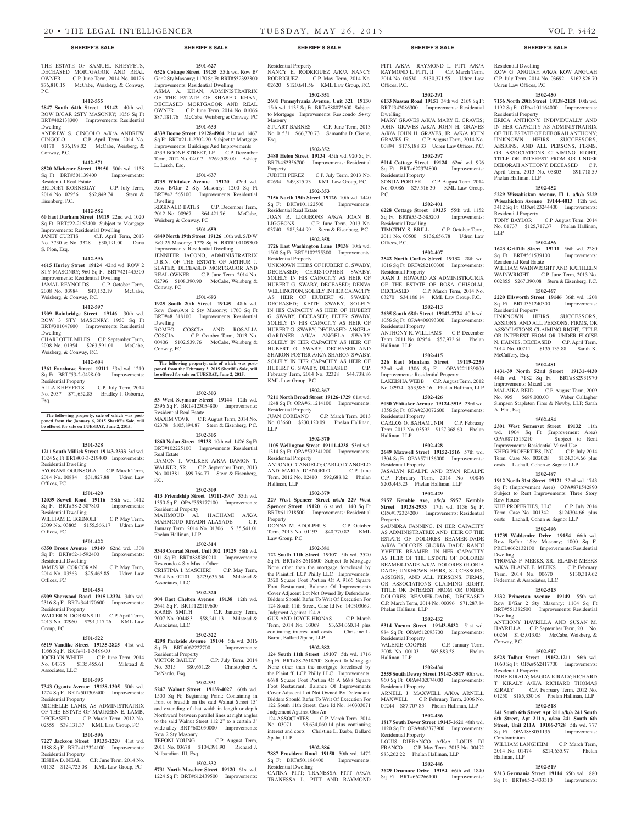THE ESTATE OF SAMUEL KHEYFETS. DECEASED MORTGAGOR AND REAL OWNER C.P. June Term, 2014 No. 00126 \$76,810.15 McCabe, Weisberg, & Conway, P.C.

# **1412-555**

**2847 South 64th Street 19142** 40th wd. ROW B/GAR 2STY MASONRY; 1056 Sq Ft BRT#402138300 Improvements: Residential Dwelling

ANDREW S. CINGOLO A/K/A ANDREW CINGOLO C.P. April Term, 2014 No. C.P. April Term, 2014 No. 01170 \$36,198.02 McCabe, Weisberg, & Conway, P.C.

## **1412-571**

**8520 Michener Street 19150** 50th wd. 1158<br>
Sq Ft BRT#501139400 Improvements: Sq Ft BRT#501139400 Residential Real Estate BRIDGET KORNEGAY C.P. July Term,

2014 No. 02956 \$62,849.74 Stern & Eisenberg, P.C.

# **1412-582**

**60 East Durham Street 19119** 22nd wd. 1020 Sq Ft BRT#22-2152400 Subject to Mortgage Improvements: Residential Dwelling JANET CURTIS C.P. April Term, 2013 No. 3730 & No. 3328 \$30,191.00 Dana S. Plon, Esq.

#### **1412-596**

**4615 Hurley Street 19124** 42nd wd. ROW 2 STY MASONRY; 960 Sq Ft BRT#421445500 Improvements: Residential Dwelling JAMAL REYNOLDS C.P. October Term, 2008 No. 03984 \$47,152.19 McCabe, Weisberg, & Conway, P.C.

# **1412-597**

**1909 Bainbridge Street 19146** 30th wd. ROW 3 STY MASONRY; 1950 Sq Ft BRT#301047600 Improvements: Residential Dwelling CHARLOTTE MILES C.P. September Term,

2008 No. 01954 \$263,591.01 McCabe, Weisberg, & Conway, P.C. **1412-604 1361 Fanshawe Street 19111** 53rd wd. 1210

Sq Ft BRT#53-2-0498-00 Improvements: Residential Property ALLA KHEYFETS C.P. July Term, 2014 No. 2037 \$71,652.85 Bradley J. Osborne,

Esq.

**The following property, sale of which was post-poned from the January 6, 2015 Sheriff's Sale, will be offered for sale on TUESDAY, June 2, 2015.**

## **1501-328**

**1211 South Millick Street 19143-2333** 3rd wd. 1024 Sq Ft BRT#03-3-219400 Improvements: Residential Dwelling AYOBAMI OGUNSOLA C.P. March Term,

# 2014 No. 00884 \$31,827.88 Udren Law Offices, PC

**1501-420 12039 Sewell Road 19116** 58th wd. 1412

Sq Ft BRT#58-2-587800 Improvements: Residential Dwelling WILLIAM E. EGENOLF C.P. May Term, 2009 No. 03805 \$155,566.17 Udren Law Offices, PC

#### **1501-422**

**6350 Brous Avenue 19149** 62nd wd. 1308 Sq Ft BRT#62-1-592400 Improvements: Residential Dwelling JAMES W. CORCORAN C.P. May Term,

2014 No. 03563 \$25,465.85 Udren Law Offices, PC

# **1501-454**

**6909 Sherwood Road 19151-2324** 34th wd. 2316 Sq Ft BRT#344170600 Improvements: Residential Property WALTER N. DOBBINS III C.P. April Term,

2013 No. 02960 \$291,117.26 KML Law Group, PC

# **1501-522**

**6519 Vandike Street 19135-2825** 41st wd. 1056 Sq Ft BRT#41-1-3488-00 JOCELYN WHITE C.P. June Term, 2014<br>No. 04375 \$135,455.61 Milstead & \$135,455.61 Milstead & Associates, LLC

1501-595<br>**1501-595**<br>**1913**<br>**1913 7343 Ogontz Avenue 19138-1305** 50th wd. 1274 Sq Ft BRT#501309400 Improvements: Residential Property

MICHELLE LAMB, AS ADMINISTRATRIX OF THE ESTATE OF MAUREEN E. LAMB, DECEASED C.P. March Term, 2012 No. 02555 \$39,131.37 KML Law Group, PC

# **1501-596**

**7227 Jackson Street 19135-1220** 41st wd. 1188 Sq Ft BRT#412324100 Improvements: Residential Property IESHIA D. NEAL C.P. June Term, 2014 No. 01132 \$124,725.08 KML Law Group, PC

# **1501-627**

**6526 Cottage Street 19135** 55th wd. Row B/ Gar 2 Sty Masonry; 1170 Sq Ft BRT#552392300 Improvements: Residential Dwelling ASMA A. KHAN, ADMINISTRATRIX OF THE ESTATE OF SHABED KHAN, DECEASED MORTGAGOR AND REAL OWNER C.P. June Term, 2014 No. 01066 \$87,181.76 McCabe, Weisberg & Conway, PC

**1501-633 4339 Boone Street 19128-4904** 21st wd. 1467 Sq Ft BRT#21-1-2702-20 Subject to Mortgage Improvements: Buildings And Improvements 4339 BOONE STREET, LP C.P. December Term, 2012 No. 04017 \$269,509.00 Ashley L. Lerch, Esq.

#### **1501-637**

**4735 Whitaker Avenue 19120** 42nd wd. Row B/Gar 2 Sty Masonry; 1200 Sq Ft BRT#421565100 Improvements: Residential Dwelling REGINALD BATES C.P. December Term, 2012 No. 00967 \$64,421.76 McCabe,

# Weisberg & Conway, PC

**1501-659 6849 North 19th Street 19126** 10th wd. S/D W B/G 2S Masonry; 1728 Sq Ft BRT#101109300 Improvements: Residential Dwelling

JENNIFER IACONO, ADMINISTRATRIX D.B.N. OF THE ESTATE OF ARTHUR J. SLATER, DECEASED MORTGAGOR AND REAL OWNER C.P. June Term, 2014 No. 02796 \$108,390.90 McCabe, Weisberg & Conway, PC

## **1501-693**

**1925 South 20th Street 19145** 48th wd. Row Conv/Apt 2 Sty Masonry; 1760 Sq Ft BRT#481318100 Improvements: Residential Dwelling ROMEO COSCIA AND ROSALIA COSCIA C.P. October Term, 2013 No. 00406 \$102,539.76 McCabe, Weisberg & Conway, PC

**The following property, sale of which was postponed from the February 3, 2015 Sheriff's Sale, will be offered for sale on TUESDAY, June 2, 2015.**

#### **1502-303**

**53 West Seymour Street 19144** 12th wd. 2396 Sq Ft BRT#123054800 Improvements: Residential Real Estate MAXIM VOVK C.P. August Term, 2014 No. 02378 \$105,894.87 Stern & Eisenberg, P.C.

# **1502-305**

**1860 Nolan Street 19138** 10th wd. 1426 Sq Ft BRT#102225100 Improvements: Residential Real Estate DAMON T. WALKER A/K/A DAMON T. WALKER, SR. C.P. September Term, 2013 No. 001381 \$99,764.77 Stern & Eisenberg,

# **1502-309**

P.C.

**413 Friendship Street 19111-3907** 35th wd. 1350 Sq Ft OPA#353177100 Improvements: Residential Property MAHMOUD AL HACHAMI A/K/A MAHMOUD RIYADH ALASADE C.P. January Term, 2014 No. 01306 \$135,541.01 Phelan Hallinan, LLP

## **1502-314**

**3343 Conrad Street, Unit 302 19129** 38th wd. 911 Sq Ft BRT#888380210 Improvements: Res.condo.4 Sty Mas + Other<br>CRISTINA I. MASCIERI C.P. May Term. CRISTINA I. MASCIERI 2014 No. 02101 \$279,635.54 Milstead & Associates, LLC

# **1502-320**

**904 East Chelten Avenue 19138** 12th wd. 2641 Sq Ft BRT#122119600 KAREN SMITH C.P. January Term, 2007 No. 004483 \$58,241.13 Milstead & Associates, LLC

### **1502-322**

**4298 Parkside Avenue 19104** 6th wd. 2016 Sq Ft BRT#062227700 Improvements: Residential Property<br>VICTOR BAILEY C.P. July Term, 2014

No. 3315 \$80,651.28 Christopher A. DeNardo, Esq. **1502-331**

**5247 Walnut Street 19139-4027** 60th wd. 1500 Sq Ft; Beginning Point: Containing in front or breadth on the said Walnut Street 15' and extending of that width in length or depth Northward between parallel lines at right angles to the said Walnut Street 112'2" to a certain 3' wide alley BRT#602050000 Improvements:

Row 2 Sty Masonry TEFONI YOUNG C.P. August Term, 2011 No. 03678 \$104,391.90 Richard J. Nalbandian, III, Esq.

# **1502-332**

**5731 North Mascher Street 19120** 61st wd. 1224 Sq Ft BRT#612439500 Improvements:

# **SHERIFF'S SALE SHERIFF'S SALE SHERIFF'S SALE SHERIFF'S SALE SHERIFF'S SALE**

Residential Property NANCY E. RODRIGUEZ A/K/A NANCY RODRIGUEZ C.P. May Term, 2014 No. 02620 \$120,641.56 KML Law Group, P.C.

**1502-351 2601 Pennsylvania Avenue, Unit 321 19130**  15th wd. 1135 Sq Ft BRT#888072600 Subject to Mortgage Improvements: Res.condo .5+sty

Masonry<br>STUART BARNES C.P. June Term, 2013 No. 01531 \$66,770.73 Samantha D. Cissne, Esq.

# **1502-352**

**3480 Helen Street 19134** 45th wd. 920 Sq Ft BRT#452356700 Improvements: Residential Property JUDITH PEREZ C.P. July Term, 2013 No.

02694 \$49,815.73 KML Law Group, P.C. **1502-353**

**7156 North 19th Street 19126** 10th wd. 1440 Sq Ft BRT#101122500 Improvements: Residential Real Estate JOAN R. LIGGEONS A/K/A JOAN B.

LIGGEONS C.P. June Term, 2013 No. 03740 \$85,344.99 Stern & Eisenberg, P.C. **1502-358**

# **1726 East Washington Lane 19138** 10th wd.

1500 Sq Ft BRT#102275300 Improvements: Residential Property UNKNOWN HEIRS OF HUBERT G. SWABY, DECEASED; CHRISTOPHER SWABY, SOLELY IN HIS CAPACITY AS HEIR OF HUBERT G. SWABY, DECEASED; DENVA WELLINGTON, SOLELY IN HER CAPACITY AS HEIR OF HUBERT G. SWABY, DECEASED; KEITH SWABY, SOLELY IN HIS CAPACITY AS HEIR OF HUBERT G. SWABY, DECEASED; PETER SWABY, SOLELY IN HIS CAPACITY AS HEIR OF HUBERT G. SWABY, DECEASED; ANGELA GARDNER A/K/A ANGELA SWABY SOLELY IN HER CAPACITY AS HEIR OF HUBERT G. SWABY, DECEASED AND SHARON FOSTER A/K/A SHARON SWABY, SOLELY IN HER CAPACITY AS HEIR OF HUBERT G. SWABY, DECEASED C.P. February Term, 2014 No. 02328 \$44,738.86 KML Law Group, P.C.

#### **1502-367**

**7211 North Broad Street 19126-1729** 61st wd. 1248 Sq Ft OPA#611214100 Improvements: Residential Property JUAN COREANO C.P. March Term, 2013 No. 03660 \$230,120.09 Phelan Hallinan, LLP

#### **1502-370**

**1105 Wellington Street 19111-4238** 53rd wd. 1314 Sq Ft OPA#532341200 Improvements: Residential Property ANTONIO D'ANGELO; CARLO D'ANGELO AND MARIA D'ANGELO C.P. June Term, 2012 No. 02410 \$92,688.82 Phelan Hallinan, LLP

#### **1502-379**

**229 West Spencer Street a/k/a 229 West Spencer Street 19120** 61st wd. 1140 Sq Ft BRT#611218500 Improvements: Residential Property

DONNA M. ADOLPHUS C.P. October Term, 2013 No. 01193 \$40,770.82 KML Law Group, P.C.

#### **1502-381**

**122 South 11th Street 19107** 5th wd. 3520 Sq Ft BRT#88-2618600 Subject To Mortgage None other than the mortgage foreclosed by the Plaintiff, LCP Philly LLC Improvements: 3520 Square Foot Portion Of A 9166 Square Foot Restaurant; Balance Of Improvements Cover Adjacent Lot Not Owned By Defendants. Bidders Should Refer To Writ Of Execution For 124 South 11th Street, Case Id No. 140303069, Judgment Against 124 A

GUS AND JOYCE HIONAS C.P. March Term, 2014 No. 03069 \$3,634,060.14 plus continuing interest and costs Christine L. Barba, Ballard Spahr, LLP

# **1502-382**

**124 South 11th Street 19107** 5th wd. 1716 Sq Ft BRT#88-2618700 Subject To Mortgage None other than the mortgage foreclosed by the Plaintiff, LCP Philly LLC Improvements: 6688 Square Foot Portion Of A 6688 Square Foot Restaurant; Balance Of Impro Cover Adjacent Lot Not Owned By Defendant. Bidders Should Refer To Writ Of Execution For 122 South 11th Street, Case Id No. 140303071 Judgement Against Gus An

124 ASSOCIATES C.P. March Term, 2014 No. 03071 \$3,634,060.14 plus continuing interest and costs Christine L. Barba, Ballard Spahr, LLP

#### **1502-386**

**7887 Provident Road 19150** 50th wd. 1472 Sq Ft BRT#501186400 Improvements: Residential Dwelling

CATINA PITT; TRANESSA PITT A/K/A TRANESSA L. PITT AND RAYMOND

PITT A/K/A RAYMOND L. PITT A/K/A RAYMOND L. PITT, II C.P. March Term, 2014 No. 04530 \$130,371.55 Udren Law Offices, P.C.

Residential Dwelling

Udren Law Offices, P.C.

Residential Property

Phelan Hallinan, LLP

Residential Property

Residential Real Estate

Residential Property

McCaffery, Esq.

A. Elia, Esq.

Row House

Dwelling

Dwelling

Conway, P.C.

Condominium

Hallinan, LLP

Residential Property

Improvements: Mixed Use

LLP

KOW G. ANGUAH A/K/A KOW ANGUAH C.P. July Term, 2014 No. 03692 \$162,826.70

**1502-450 7156 North 20th Street 19138-2128** 10th wd. 1192 Sq Ft OPA#101164000 Improvements:

ERICA ANTHONY, INDIVIDUALLY AND IN HER CAPACITY AS ADMINISTRATRIX OF THE ESTATE OF DEBORAH ANTHONY; UNKNOWN HEIRS, SUCCESSORS, ASSIGNS, AND ALL PERSONS, FIRMS, OR ASSOCIATIONS CLAIMING RIGHT TITLE OR INTEREST FROM OR UNDER DEBORAH ANTHONY, DECEASED C.P. April Term, 2013 No. 03803 \$91,718.59

**1502-452 5229 Wissahickon Avenue, Fl 1, a/k/a 5229 Wissahickon Avenue 19144-4013** 12th wd. 3412 Sq Ft OPA#123244400 Improvements:

TONY BAYLOR C.P. August Term, 2014 No. 01737 \$125,717.37 Phelan Hallinan,

**1502-456 1623 Griffith Street 19111** 56th wd. 2280 Sq Ft BRT#561539100 Improvements:

WILLIAM WAINWRIGHT AND KATHLEEN WAINWRIGHT C.P. June Term, 2013 No. 002855 \$267,390.08 Stern & Eisenberg, P.C. **1502-467 2220 Ellsworth Street 19146** 36th wd. 1208 Sq Ft BRT#361240300 Improvements:

UNKNOWN HEIRS, SUCCESSORS, ASSIGNS, AND ALL PERSONS, FIRMS, OR ASSOCIATIONS CLAIMING RIGHT, TITLE OR INTEREST FROM OR UNDER ELOISE N. HAINES, DECEASED C.P. April Term, 2014 No. 00711 \$135,135.88 Sarah K.

**1502-481 1431-39 North 52nd Street 19131-4430**  44th wd. 7182 Sq Ft BRT#882931970

MALAIKA REID C.P. August Term, 2009 No. 995 \$689,000.00 Weber Gallagher Simpson Stapleton Fires & Newby, LLP, Sarah

**1502-484 2301 West Somerset Street 19132** 11th wd. 1904 Sq Ft (Improvement Area) OPA#871515210 Subject to Rent Improvements: Residential Mixed Use KHFG PROPERTIES, INC. C.P. July 2014 Term, Case No. 002028 \$124,304.66 plus costs Lachall, Cohen & Sagnor LLP **1502-487 1912 North 31st Street 19121** 32nd wd. 1743 Sq Ft (Improvement Area) OPA#871542890 Subject to Rent Improvements: Three Story

KHF PROPERTIES, LLC C.P. July 2014 Term, Case No. 001342 \$124304.66, plus costs Lachall, Cohen & Sagnor LLP **1502-496 11739 Waldemire Drive 19154** 66th wd. Row B/Gar 1Sty Masonry; 1000 Sq Ft PRCL#662132100 Improvements: Residential

THOMAS F. MEEKS, SR., ELAINE MEEKS A/K/A ELAINE E. MEEKS C.P. February<br>Term, 2014 No. 00670 \$130.319.62

**1502-513 3232 Princeton Avenue 19149** 55th wd. Row B/Gar 2 Sty Masonry; 1104 Sq Ft BRT#551382500 Improvements: Residential

ANTHONY HAVRILLA AND SUSAN M. HAVRILLA C.P. September Term, 2011 No. 00264 \$145,013.05 McCabe, Weisberg, &

**1502-517 8528 Tolbut Street 19152-1211** 56th wd. 1060 Sq Ft OPA#562417700 Improvements:

IMRE KIRALY; MAGDA KIRALY; RICHARD T. KIRALY A/K/A RICHARD THOMAS KIRALY C.P. February Term, 2012 No. 01250 \$185,330.08 Phelan Hallinan, LLP **1502-518 241 South 6th Street Apt 211 a/k/a 241 South 6th Street, Apt 211A, a/k/a 241 South 6th Street, Unit 211A 19106-3728** 5th wd. 777 Sq Ft OPA#888051135 Improvements:

WILLIAM LANGHEIM C.P. March Term,<br>2014 No. 01474 \$214.635.97 Phelan 2014 No. 01474 \$214,635.97

**1502-519 9313 Germania Street 19114** 65th wd. 1880 Sq Ft BRT#65-2-433310 Improvements:

Term, 2014 No. 00670 Federman & Associates, LLC

#### **1502-391 6133 Nassau Road 19151** 34th wd. 2169 Sq Ft

BRT#342086300 Improvements: Residential Dwelling MARY GRAVES A/K/A MARY E. GRAVES:

JOHN GRAVES A/K/A JOHN H. GRAVES A/K/A JOHN H. GRAVES, JR. A/K/A JOHN GRAVES JR. C.P. August Term, 2014 No.

# 00894 \$175,188.33 Udren Law Offices, P.C. **1502-397 5014 Cottage Street 19124** 62nd wd. 996

Sq Ft BRT#622374800 Improvements: Residential Property SONJIA PORTER C.P. August Term, 2014 No. 00086 \$29,516.30 KML Law Group,

**1502-401 6228 Cottage Street 19135** 55th wd. 1152 Sq Ft BRT#55-2-385200 Improvements:

TIMOTHY S. BRILL C.P. October Term, 2011 No. 00500 \$136,656.78 Udren Law

**1502-407 2542 North Corlies Street 19132** 28th wd. 1016 Sq Ft BRT#282100300 Improvements:

JOAN J. HOWARD AS ADMINISTRATRIX OF THE ESTATE OF ROSA CHISOLM, DECEASED C.P. March Term, 2014 No. 03270 \$34,186.14 KML Law Group, P.C. **1502-413 2635 South 68th Street 19142-2724** 40th wd. 1056 Sq Ft OPA#406093300 Improvements:

ANTHONY R. WILLIAMS C.P. December Term, 2011 No. 02954 \$57,972.61 Phelan

**1502-415 226 East Montana Street 19119-2259**  22nd wd. 1306 Sq Ft OPA#221139800 Improvements: Residential Property LAKEISHA WEBB C.P. August Term, 2012 No. 02974 \$53,986.16 Phelan Hallinan, LLP **1502-426 5030 Whitaker Avenue 19124-3515** 23rd wd. 1356 Sq Ft OPA#233072600 Improvements:

CARLOS O. BAHAMUNDI C.P. February Term, 2012 No. 03592 \$127,368.60 Phelan

**1502-428 2649 Maxwell Street 19152-1516** 57th wd. 1304 Sq Ft OPA#571136000 Improvements:

JASALYN REALPE AND RYAN REALPE C.P. February Term, 2014 No. 00846 \$203,445.23 Phelan Hallinan, LLP **1502-429 5957 Kemble Ave, a/k/a 5957 Kemble Street 19138-2933** 17th wd. 1136 Sq Ft OPA#172324200 Improvements: Residential

SAUNDRA FANNING, IN HER CAPACITY AS ADMINISTRATRIX AND HEIR OF THE ESTATE OF DOLORES BEAMER-DADE A/K/A DOLORES GLORIA DADE; RANDI YVETTE BEAMER, IN HER CAPACITY AS HEIR OF THE ESTATE OF DOLORES BEAMER-DADE A/K/A DOLORES GLORIA DADE; UNKNOWN HEIRS, SUCCESSORS, ASSIGNS, AND ALL PERSONS, FIRMS, OR ASSOCIATIONS CLAIMING RIGHT, TITLE OR INTEREST FROM OR UNDER DOLORES BEAMER-DADE, DECEASED C.P. March Term, 2014 No. 00396 \$71,287.84

**1502-432 5314 Yocum Street 19143-5432** 51st wd. 984 Sq Ft OPA#512093700 Improvements:

VALERIE COOPER C.P. January Term,<br>2008 No. 00103 \$65.883.58 Phelan 2008 No. 00103 \$65,883.58 Phelan

**1502-434 2555 South Dewey Street 19142-3517** 40th wd. 960 Sq Ft OPA#402074000 Improvements:

ARNELL J. MAXWELL A/K/A ARNELL MAXWELL C.P. February Term, 2006 No. 00244 \$87,707.85 Phelan Hallinan, LLP **1502-436 1817 South Dover Street 19145-1621** 48th wd. 1120 Sq Ft OPA#482373900 Improvements:

LOUIS DIFRANCO A/K/A LOUIS DI FRANCO C.P. May Term, 2013 No. 00492 \$83,262.22 Phelan Hallinan, LLP **1502-446 3629 Drumore Drive 19154** 66th wd. 1840 Sq Ft BRT#662266100 Improvements:

P.C.

Residential Dwelling

Residential Property

Residential Property

Residential Property

Residential Property

Phelan Hallinan, LLP

Residential Property

ential Property

Residential Property

Hallinan, LLP

Hallinan, LLP

Property

Hallinan, LLP

Offices, P.C.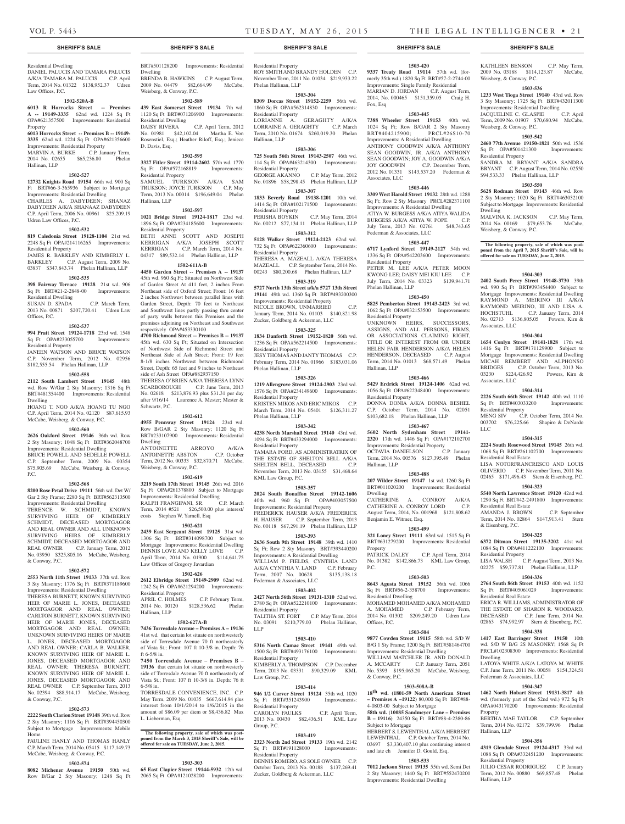Weisberg, & Conway, P.C.

Weisberg, & Conway, P.C.

Weisberg, & Conway, P.C.

Associates, LLC

Associates, LLC

Residential Property

Residential Real Estate

Residential Real Estate

& Eisenberg, P.C.

Residential Property

Residential Real Estate

Dwelling

Property

Hallinan, LLP

Hallinan, LLP

Residential Property

LLC

Residential Property

Dwelling

KATHLEEN BENSON C.P. May Term, 2009 No. 03188 \$114,123.87 McCabe,

**1503-536 1233 West Tioga Street 19140** 43rd wd. Row 3 Sty Masonry; 1725 Sq Ft BRT#432011300 Improvements: Residential Dwelling JACQUELINE C. GLASPIE C.P. April Term, 2009 No. 01907 \$70,680.94 McCabe,

**1503-542 2460 77th Avenue 19150-1821** 50th wd. 1536 Sq Ft OPA#501421300 Improvements:

SANDRA M. BRYANT A/K/A SANDRA BRYANT C.P. August Term, 2014 No. 02550 \$94,533.33 Phelan Hallinan, LLP

**1503-550 5628 Rodman Street 19143** 46th wd. Row 2 Sty Masonry; 1020 Sq Ft BRT#463032100 Subject to Mortgage Improvements: Residential

MALVINA K. JACKSON C.P. May Term, 2014 No. 00169 \$79,653.76 McCabe,

**The following property, sale of which was post-poned from the April 7, 2015 Sheriff's Sale, will be offered for sale on TUESDAY, June 2, 2015.**

**1504-303 2402 South Percy Street 19148-3730** 39th wd. 990 Sq Ft BRT#393454400 Subject to Mortgage Improvements: Residential Dwelling RAYMOND A. MEIRINO III A/K/A RAYMOND MEIRINO, III AND LISA A. HOCHSTUHL C.P. January Term, 2014 No. 02713 \$136,805.05 Powers, Kirn &

**1504-304 1654 Conlyn Street 19141-1828** 17th wd. 1416 Sq Ft BRT#171129900 Subject to Mortgage Improvements: Residential Dwelling MICAH REMBERT AND ALPHONSO BRIDGES C.P. October Term, 2013 No. 03230 \$224,426.92 Powers, Kirn &

**1504-314 2226 South 66th Street 19142** 40th wd. 1110 Sq Ft BRT#403033200 Improvements:

MENG SIV C.P. October Term, 2014 No. 003702 \$76,225.66 Shapiro & DeNardo

**1504-315 2224 South Rosewood Street 19145** 26th wd. 1068 Sq Ft BRT#261102700 Improvements:

LISA NOTORFRANCRESCO AND LOUIS OLIVERIO C.P. November Term, 2011 No. 02465 \$171,496.43 Stern & Eisenberg, P.C. **1504-323 5540 North Lawrence Street 19120** 42nd wd. 1290 Sq Ft BRT#42-2491800 Improvements:

AMANDA J. BROWN C.P. September Term, 2014 No. 02864 \$147,913.41 Stern

**1504-325 6372 Ditman Street 19135-3202** 41st wd. 1084 Sq Ft OPA#411222100 Improvements:

LISA WALSH C.P. August Term, 2013 No. 02275 \$59,737.81 Phelan Hallinan, LLP **1504-336 2764 South 86th Street 19153** 40th wd. 1152 Sq Ft BRT#405061029 Improvements:

ERICA R. WILLIAMS, ADMINISTRATOR OF THE ESTATE OF SHARON R. WOODARD, DECEASED C.P. June Term, 2014 No. 02863 \$74,992.97 Stern & Eisenberg, P.C. **1504-338 1417 East Barringer Street 19150** 10th wd. S/D W B/G 2S MASONRY; 1568 Sq Ft PRCL#102308300 Improvements: Residential

LATOYA WHITE A/K/A LATOYA M. WHITE C.P. June Term, 2011 No. 00058 \$154,324.51

**1504-347 1462 North Hobart Street 19131-3817** 4th wd. (formerly part of the 52nd wd.) 972 Sq Ft OPA#043170200 Improvements: Residential

BERTHA MAE TAYLOR C.P. September Term, 2014 No. 02172 \$39,799.96 Phelan

**1504-356 4319 Glendale Street 19124-4317** 33rd wd. 1088 Sq Ft OPA#332451200 Improvements:

JULIO CESAR RODRIGUEZ C.P. January Term, 2012 No. 00880 \$69,857.48 Phelan

Federman & Associates, LLC

## Residential Dwelling DANIEL PALUCIS AND TAMARA PALUCIS A/K/A TAMARA M. PALUCIS C.P. April Term, 2014 No. 01322 \$138,952.37 Udren

## **1502-520A-B**

Law Offices, P.C.

**6013 R Horrocks Street -- Premises A -- 19149-3335** 62nd wd. 1224 Sq Ft OPA#621357500 Improvements: Residential

Property **6013 Horrocks Street -- Premises B -- 19149- 3335** 62nd wd. 1224 Sq Ft OPA#621356600

Improvements: Residential Property MARVIN A. BURKE C.P. January Term,

2014 No. 02655 \$65,236.80 Phelan Hallinan, LLP

## **1502-527**

**12732 Knights Road 19154** 66th wd. 900 Sq Ft BRT#66-3-365936 Subject to Mortgage Improvements: Residential Dwelling CHARLES A. DABYDEEN; SHANAZ DABYDEEN A/K/A SHANAAZ DABYDEEN C.P. April Term, 2006 No. 00961 \$25,209.19 Udren Law Offices, P.C.

## **1502-532**

### **819 Caledonia Street 19128-1104** 21st wd. 2248 Sq Ft OPA#214116265 Improvements: Residential Property

JAMES R. BARKLEY AND KIMBERLY L. BARKLEY C.P. August Term, 2009 No. 03837 \$347,843.74 Phelan Hallinan, LLP

# **1502-535**

**398 Fairway Terrace 19128** 21st wd. 906 Sq Ft BRT#21-2-2848-00 Improvements: Residential Dwelling SUSAN D. SPADA C.P. March Term,

2013 No. 00871 \$207,720.41 Udren Law Offices, P.C.

# **1502-537**

**994 Pratt Street 19124-1718** 23rd wd. 1548 Sq Ft OPA#233055700 Improvements: Residential Property

JANEEN WATSON AND BRUCE WATSON C.P. November Term, 2012 No. 02956 \$182,555.54 Phelan Hallinan, LLP

#### **1502-558**

**2112 South Lambert Street 19145** 48th wd. Row W/Gar 2 Sty Masonry; 1316 Sq Ft

BRT#481354400 Improvements: Residential Dwelling HOANG T. NGO A/K/A HOANG TU NGO C.P. April Term, 2014 No. 02120 \$87,615.93

McCabe, Weisberg, & Conway, P.C. **1502-560**

# **2626 Oakford Street 19146** 36th wd. Row 2 Sty Masonry; 1048 Sq Ft BRT#362048700

Improvements: Residential Dwelling BRUCE POWELL AND SEDELLE POWELL C.P. September Term, 2009 No. 00354 \$75,905.69 McCabe, Weisberg, & Conway, P.C.

#### **1502-568**

**8200 Rose Petal Drive 19111** 56th wd. Det W/ Gar 2 Sty Frame; 2280 Sq Ft BRT#562313500 Improvements: Residential Dwelling

TERENCE W. SCHMIDT, KNOWN SURVIVING HEIR OF KIMBERLY SCHMIDT, DECEASED MORTGAGOR AND REAL OWNER AND ALL UNKNOWN SURVIVING HEIRS OF KIMBERLY SCHMIDT, DECEASED MORTGAGOR AND REAL OWNER C.P. January Term, 2012 No. 03950 \$325,805.16 McCabe, Weisberg, & Conway, P.C.

#### **1502-572**

**2553 North 11th Street 19133** 37th wd. Row 3 Sty Masonry; 1776 Sq Ft BRT#371189600 Improvements: Residential Dwelling

THERESA BURNETT, KNOWN SURVIVING HEIR OF MARIE L. JONES, DECEASED MORTGAGOR AND REAL OWNER; CARLTON BURNETT, KNOWN SURVIVING HEIR OF MARIE JONES, DECEASED MORTGAGOR AND REAL OWNER; UNKNOWN SURVIVING HEIRS OF MARIE L. JONES, DECEASED MORTGAGOR AND REAL OWNER; CARLA B. WALKER, KNOWN SURVIVING HEIR OF MARIE L. JONES, DECEASED MORTGAGOR AND REAL OWNER: THERESA BURNETT KNOWN SURVIVING HEIR OF MARIE L. JONES, DECEASED MORTGAGOR AND REAL OWNER C.P. Sept No. 02394 \$88,914.17 McCabe, Weisberg, & Conway, P.C.

#### **1502-573**

**2222 South Clarion Street 19148** 39th wd. Row 2 Sty Masonry; 1116 Sq Ft BRT#394450300 Subject to Mortgage Improvements: Mobile Home PAULINE HANLY AND THOMAS HANLY

C.P. March Term, 2014 No. 05415 \$117,149.73 McCabe, Weisberg, & Conway, P.C.

# **1502-574**

**8082 Michener Avenue 19150** 50th wd. Row B/Gar 2 Sty Masonry; 1248 Sq Ft BRT#501128200 Improvements: Residential Dwelling

BRENDA B. HAWKINS C.P. August Term, 2009 No. 04479 \$82,664.99 McCabe, Weisberg, & Conway, P.C.

# **1502-589**

**439 East Somerset Street 19134** 7th wd. 1120 Sq Ft BRT#071206900 Improvements: Residential Dwelling DAISY RIVERA C.P. April Term, 2012<br>No. 01981 \$42,102.04 Martha E. Von No. 01981 \$42,102.04

Rosenstiel, Esq.; Heather Riloff, Esq.; Jeniece D. Davis, Esq.

# **1502-595**

**3327 Fitler Street 19114-2602** 57th wd. 1770<br>
Sq Ft OPA#572168819 Improvements: Sq Ft OPA#572168819 Residential Property SAMUEL TURKSON A/K/A SAM TRUKSON; JOYCE TURKSON C.P. May

Term, 2013 No. 00014 \$196,649.04 Phelan Hallinan, LLP **1502-597**

**1021 Bridge Street 19124-1817** 23rd wd. 1896 Sq Ft OPA#234185600 Improvements: Residential Property BETH ANNE SCOTT AND JOSEPH KERRIGAN A/K/A JOSEPH SCOTT<br>KERRIGAN C.P. March Term, 2014 No. C.P. March Term, 2014 No.

# 04317 \$89,532.14 Phelan Hallinan, LLP **1502-611A-B**

**4450 Garden Street -- Premises A -- 19137**  45th wd. 960 Sq Ft; Situated on Northwest Side of Garden Street At 411 feet, 2 inches From Northeast side of Oxford Street; Front: 16 feet 2 inches Northwest between parallel lines with Garden Street, Depth: 70 feet to Northeast and Southwest lines partly passing thru center of party walls between this Premises and the premises adjoining on Northeast and Southwest respectively OPA#453330100 **4700 Richmond Street -- Premises B -- 19137** 

45th wd. 630 Sq Ft: Situated on Intersection of Northwest Side of Richmond Street and Northeast Side of Ash Street; Front: 19 feet 8-1/8 inches Northwest between Richmond Street, Depth: 65 feet and 9 inches to Northeast side of Ash Street OPA#882937150 THERESA O'BRIEN A/K/A THERESA LYNN SCARBOROUGH C.P. June Term, 2013 No. 02618 \$213,876.93 plus \$31.31 per day

after 9/16/14 Laurence A. Mester; Mester & Schwartz, P.C. **1502-612**

#### **4955 Pennway Street 19124** 23rd wd. Row B/GAR 2 Sty Masonry; 1120 Sq Ft BRT#233107900 Improvements: Residential Dwelling

ANTOINETTE ARROYO A/K/A ANTOINETTE ABSTON C.P. October Term, 2012 No. 00333 \$32,870.71 McCabe, Weisberg, & Conway, P.C.

# **1502-619**

**3219 South 17th Street 19145** 26th wd. 2016 Sq Ft OPA#261378800 Subject to Mortgage Improvements: Residential Dwelling RALPH FRANGIPANI, SR. C.P. March Term, 2014 #521 \$26,500.00 plus interest/ costs Stephen W. Yarnell, Esq

#### **1502-621**

**2439 East Sergeant Street 19125** 31st wd. 1306 Sq Ft BRT#314098700 Subject to Mortgage Improvements: Residential Dwelling DENNIS LOVE AND KELLY LOVE C.P. April Term, 2014 No. 01900 \$114,641.75 Law Offices of Gregory Javardian

#### **1502-626**

**2612 Elbridge Street 19149-2909** 62nd wd. 1242 Sq Ft OPA#621294200 Improvements: Residential Property APRIL C. HOLMES C.P. February Term, 2014 No. 00120 \$128,536.62 Phelan Hallinan, LLP

#### **1502-627A-B**

**7436 Torresdale Avenue – Premises A – 19136**  41st wd. that certain lot situate on northwesterly side of Torresdale Avenue 70 ft northeasterly of Vista St.; Front: 107 ft 10-3/8 in. Depth: 76 ft 6-5/8 in.

**7450 Torresdale Avenue – Premises B – 19136** that certain lot situate on northwesterly side of Torresdale Avenue 70 ft northeasterly of Vista St.; Front: 107 ft 10-3/8 in. Depth: 76 ft 6-5/8 in.

TORRESDALE CONVENIENCE, INC. C.P. May Term, 2009 No. 01035 \$667,614.94 plus interest from 10/1/2014 to 1/6/2015 in the amount of \$86.09 per diem or \$8,436.82 Max L. Lieberman, Esq.

# **The following property, sale of which was postponed from the March 3, 2015 Sheriff's Sale, will be offered for sale on TUESDAY, June 2, 2015.**

# **1503-303**

**65 East Clapier Street 19144-5932** 12th wd. 2065 Sq Ft OPA#121028200 Improvements:

# **SHERIFF'S SALE SHERIFF'S SALE SHERIFF'S SALE SHERIFF'S SALE SHERIFF'S SALE**

Residential Property ROY SMITH AND BRANDY HOLDEN C.P. November Term, 2011 No. 01034 \$219,933.22 Phelan Hallinan, LLP

#### **1503-304**

**8309 Dorcas Street 19152-2259** 56th wd. 1860 Sq Ft OPA#562314830 Improvements: Residential Property LORIANNE A. GERAGHTY A/K/A LORRAINE A. GERAGHTY C.P. March

Term, 2010 No. 01674 \$260,019.30 Phelan Hallinan, LLP **1503-306**

**725 South 56th Street 19143-2507** 46th wd. 114 Sq Ft OPA#463214300 Improvements: Residential Property GEORGE AKANNO C.P. May Term, 2012 No. 01896 \$58,298.45 Phelan Hallinan, LLP

# **1503-307**

**1833 Beverly Road 19138-1201** 10th wd. 1414 Sq Ft OPA#102171500 Improvements: Residential Property PERISHA BOYKIN C.P. May Term, 2014 No. 00212 \$77,134.11 Phelan Hallinan, LLP

# **1503-312**

**5128 Walker Street 19124-2123** 62nd wd. 732 Sq Ft OPA#622360600 Improvements: Residential Property

THERESA A. MAZEALL A/K/A THERESA MAZEALL C.P. September Term, 2014 No. 00243 \$80,200.68 Phelan Hallinan, LLP **1503-319**

**5727 North 13th Street a/k/a 5727 13th Street 19141** 49th wd. 1360 Sq Ft BRT#493200300 Improvements: Residential Property NICOLE BROWN, UNMARRIED C.P. January Term, 2014 No. 01103 \$140,821.98 Zucker, Goldberg & Ackerman, LLC

# **1503-325**

**1834 Danforth Street 19152-1820** 56th wd. 1236 Sq Ft OPA#562214500 Improvements: Residential Property JESY THOMAS AND JANTY THOMAS C.P. February Term, 2014 No. 01966 \$183,031.06 Phelan Hallinan, LLP

# **1503-326**

**1219 Allengrove Street 19124-2903** 23rd wd. 1576 Sq Ft OPA#234149600 Improvements: Residential Property KRISTEN MIKOS AND ERIC MIKOS C.P. March Term, 2014 No. 05401 \$126,311.27 Phelan Hallinan, LLP

# **1503-342**

**4238 North Marshall Street 19140** 43rd wd. 1094 Sq Ft BRT#433294000 Improvements: Residential Property TAMARA FORD, AS ADMINISTRATRIX OF THE ESTATE OF SHELTON BELL A/K/A SHELTEN BELL, DECEASED C.P. November Term, 2013 No. 03155 \$31,468.64 KML Law Group, P.C.

# **1503-357**

**2024 South Bonaffon Street 19142-1606**  40th wd. 960 Sq Ft OPA#403057500 Improvements: Residential Property FREDERICK HAUSER A/K/A FREDERICK H. HAUSER C.P. September Term, 2013 No. 00118 \$67,291.19 Phelan Hallinan, LLP

## **1503-393**

**2636 South 9th Street 19148** 39th wd. 1410 Sq Ft; Row 2 Sty Masonry BRT#393440200 Improvements: A Residential Dwelling WILLIAM P. FIELDS, CYNTHIA LAND A/K/A CYNTHIA V. LAND C.P. February Term, 2007 No. 00628 \$135,138.18 Federman & Associates, LLC

# **1503-402**

**2427 North 56th Street 19131-1310** 52nd wd. 2780 Sq Ft OPA#522210100 Improvements: Residential Property TALITHA ST. FORT C.P. May Term, 2014 No. 03091 \$210,779.03 Phelan Hallinan,

# **1503-410**

LLP

**5316 North Camac Street 19141** 49th wd. 1500 Sq Ft BRT#493176100 Improvements: Residential Property KIMBERLY A. THOMPSON C.P. December Term, 2013 No. 03331 \$90,329.09 KML Law Group, P.C.

#### **1503-414**

**946 1/2 Carver Street 19124** 35th wd. 1020 Sq Ft BRT#351243900 Improvements: Residential Property CAROLYN FAULKS C.P. April Term, 2013 No. 00430 \$82,436.51 KML Law Group, P.C.

# **1503-419**

Zucker, Goldberg & Ackerman, LLC

**2323 North 2nd Street 19133** 19th wd. 2142 Sq Ft BRT#191128000 Improvements: Residential Property DENNIS ROMERO, AS SOLE OWNER C.P. October Term, 2013 No. 00188 \$137,269.41

**1503-420 9337 Treaty Road 19114** 57th wd. (formerly 35th wd.) 1820 Sq Ft BRT#57-2-2744-00 Improvements: Single Family Residential MARIAN D. JORDAN C.P. August Term, 2014, No. 000465 \$151,359.05 Craig H. Fox, Esq

# **1503-445 7388 Wheeler Street 19153** 40th wd.

Improvements: A Residential Dwelling ANTHONY GOODWIN A/K/A ANTHONY SEAN GOODWIN, JR. A/K/A ANTHONY SEAN GOODWIN; JOY A. GOODWIN A/K/A JOY GOODWIN C.P. December Term, 2012 No. 01331 \$143,537.20 Federman &

BRT#404215900;

Associates, LLC

Federman & Associates, LLC

Residential Property

Phelan Hallinan, LLP

Residential Property

Hallinan, LLP

Residential Property

OCTAVIA DANIELSON

Benjamin E. Witmer, Esq.

Property<br>PATRICK DALEY

Residential Dwelling

Offices, P.C.

& Conway, P.C.

Subject to Mortgage

Hallinan, LLP

Dwelling

P.C.

1024 Sq Ft; Row B/GAR 2 Sty Masonry<br>BRT#404215900: PRCL#26S10-70

**1503-446 3309 West Harold Street 19132** 28th wd. 1288 Sq Ft; Row 2 Sty Masonry PRCL#282371100 Improvements: A Residential Dwelling ATIYA W. BURGESS A/K/A ATIYA WALIDA BURGESS A/K/A ATIYA W. POPE C.P. July Term, 2013 No. 02761 \$48,743.65

**1503-447 6717 Lynford Street 19149-2127** 54th wd. 1336 Sq Ft OPA#542203600 Improvements:

PETER M. LEE A/K/A PETER MOON KWONG LEE; DAISY MEI KIU LEE C.P. July Term, 2014 No. 03323 \$139,941.71

**1503-450 5825 Pemberton Street 19143-2423** 3rd wd. 1062 Sq Ft OPA#032153500 Improvements:

UNKNOWN HEIRS, SUCCESSORS, ASSIGNS, AND ALL PERSONS, FIRMS, OR ASSOCIATIONS CLAIMING RIGHT. TITLE OR INTEREST FROM OR UNDER HELEN FAIR HENDERSON A/K/A HELEN HENDERSON, DECEASED C.P. August Term, 2014 No. 01013 \$68,571.49 Phelan

**1503-466 5429 Erdrick Street 19124-1406** 62nd wd. 1056 Sq Ft OPA#622348400 Improvements:

DONNA DONIA A/K/A DONNA BESHEL C.P. October Term, 2014 No. 02051 \$103,682.18 Phelan Hallinan, LLP **1503-467 5602 North Sydenham Street 19141- 2320** 17th wd. 1446 Sq Ft OPA#172102700 Improvements: Residential Property<br>OCTAVIA DANIELSON C.P. January

Term, 2014 No. 00576 \$127,395.49 Phelan

**1503-488 207 Wilder Street 19147** 1st wd. 1260 Sq Ft BRT#011020200 Improvements: Residential

CATHERINE A. CONROY A/K/A CATHERINE A. CONROY LORD C.P. August Term, 2014, No. 001968 \$121,808.62

**1503-499 321 Loney Street 19111** 63rd wd. 1515 Sq Ft BRT#631279200 Improvements: Residential

No. 01382 \$142,866.73 KML Law Group,

**1503-503 8643 Agusta Street 19152** 56th wd. 1066 Sq Ft BRT#56-2-358700 Improvements:

MOHAMED MOHAMED A/K/A MOHAMED<br>A. MOHAMED C.P. February Term,

2014 No. 01302 \$209,249.20 Udren Law

**1503-504 9877 Cowden Street 19115** 58th wd. S/D W B/G 1 Sty Frame; 1200 Sq Ft BRT#581464700 Improvements: Residential Dwelling WILLIAM MATCHLER JR. AND DONALD A. MCCARTY C.P. January Term, 2051 No. 5393 \$195,065.20 McCabe, Weisberg,

**1503-508A-B 18th wd. (1801-59 North American Street – Premises A –19122)** 80,000 Sq Ft BRT#88-

**58th wd. (10085 Sandmeyer Lane – Premises B – 19116)** 24350 Sq Ft BRT#88-4-2380-86

HERBERT S. LEWENTHAL A/K/A HERBERT LEWENTHAL C.P. October Term, 2014 No. 03697 \$3,330,407.10 plus continuing interest and late ch Jennifer D. Gould, Esq. **1503-533 7012 Jackson Street 19135** 55th wd. Semi Det 2 Sty Masonry; 1440 Sq Ft BRT#552470200 Improvements: Residential Dwelling

4-0803-00 Subject to Mortgage

C.P. April Term, 2014

C.P. February Term,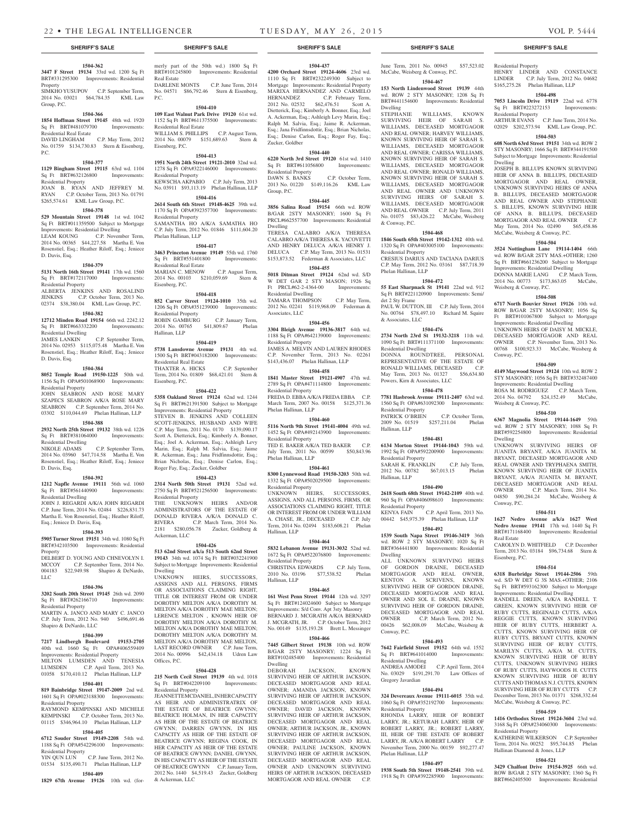#### **1504-362**

Group, P.C.

**3447 F Street 19134** 33rd wd. 1200 Sq Ft BRT#331295300 Improvements: Residential Property SIMKHO YUSUPOV C.P. September Term, 2014 No. 03021 \$64,784.35 KML Law

# **1504-366**

**1854 Hoffman Street 19145** 48th wd. 1920 Sq Ft BRT#481079700 Improvements: Residential Real Estate DAVID LINGHAM C.P. May Term, 2012

# No. 01759 \$134,730.83 Stern & Eisenberg,  $PC$ . **1504-377**

**1129 Bingham Street 19115** 63rd wd. 1104 Sq Ft BRT#632126800 Improvements:

Residential Property JOAN B. RYAN AND JEFFREY M. RYAN C.P. October Term, 2013 No. 01791 \$265,574.61 KML Law Group, P.C.

# **1504-378**

**529 Mountain Street 19148** 1st wd. 1042 Sq Ft BRT#011359500 Subject to Mortgage Improvements: Residential Dwelling LEAM KOUNG C.P. November Term,

2014 No. 00365 \$44,227.58 Martha E. Von Rosenstiel, Esq.; Heather Riloff, Esq.; Jeniece D. Davis, Esq.

# **1504-379**

**5131 North 16th Street 19141** 17th wd. 1560 Sq Ft BRT#172117000 Improvements: Residential Property ALBERTA JENKINS AND ROSALIND

JENKINS C.P. October Term, 2013 No. 02374 \$38,380.04 KML Law Group, P.C. **1504-382**

**12712 Minden Road 19154** 66th wd. 2242.12 Sq Ft BRT#663332200 Improvements: Residential Dwelling

C.P. September Term, 2014 No. 02953 \$115,075.48 Martha E. Von Rosenstiel, Esq.; Heather Riloff, Esq.; Jeniece D. Davis, Esq.

## **1504-384**

**8052 Temple Road 19150-1225** 50th wd. 1156 Sq Ft OPA#501068900 Improvements: Residential Property

JOHN SEABRON AND ROSE MARY SZAPECS SEABRON A/K/A ROSE MARY SEABRON C.P. September Term, 2014 No. 03302 \$110,044.69 Phelan Hallinan, LLP

# **1504-388**

**2932 North 25th Street 19132** 38th wd. 1226 Sq Ft BRT#381064000 Improvements: Residential Dwelling<br>NIKOLE ADAMS

C.P. September Term, 2014 No. 03960 \$47,714.58 Martha E. Von Rosenstiel, Esq.; Heather Riloff, Esq.; Jeniece D. Davis, Esq.

#### **1504-392**

**1212 Napfle Avenue 19111** 56th wd. 1060 Sq Ft BRT#561440900 Improvements: Residential Dwelling

JOHN J. REGARDI A/K/A JOHN REGARDI C.P. June Term, 2014 No. 02484 \$226,831.73 Martha E. Von Rosenstiel, Esq.; Heather Riloff, Esq.; Jeniece D. Davis, Esq.

#### **1504-393**

**5905 Turner Street 19151** 34th wd. 1080 Sq Ft BRT#342103500 Improvements: Residential Property

DELBERT D. YOUNG AND CHNEVOLYN I.<br>MCCOY C.P. September Term, 2014 No. C.P. September Term, 2014 No. 004183 \$22,949.98 Shapiro & DeNardo, LLC

# **1504-396**

**3202 South 20th Street 19145** 26th wd. 2090 Sq Ft BRT#262166710 Improvements: Residential Property

MARTIN A. JANCO AND MARY C. JANCO C.P. July Term, 2012 No. 940 \$496,691.46 Shapiro & DeNardo, LLC

# **1504-399**

**7217 Lindbergh Boulevard 19153-2705**  40th wd. 1660 Sq Ft OPA#406559409 Improvements: Residential Property MILTON LUMSDEN AND TENESIA LUMSDEN C.P. April Term, 2013 No. 01058 \$170,410.12 Phelan Hallinan, LLP

#### **1504-401**

**819 Bainbridge Street 19147-2009** 2nd wd. 1601 Sq Ft OPA#023188300 Improvements: Residential Property

RAYMOND KEMPINSKI AND MICHELE KEMPINSKI C.P. October Term, 2013 No. 01115 \$346,964.10 Phelan Hallinan, LLP

## **1504-405**

**6712 Souder Street 19149-2208** 54th wd. 1188 Sq Ft OPA#542296100 Improvements: Residential Property<br>YIN OUN LUN

 $C.P.$  June Term, 2012 No. 01534 \$135,490.71 Phelan Hallinan, LLP **1504-409**

**1829 67th Avenue 19126** 10th wd. (for-

merly part of the 50th wd.) 1800 Sq Ft BRT#101245800 Improvements: Residential Real Estate DARLENE MONTS C.P. June Term, 2014 No. 04571 \$86,792.46 Stern & Eisenberg,  $PC$ 

# **1504-410**

**109 East Walnut Park Drive 19120** 61st wd. 1152 Sq Ft BRT#611375500 Improvements: Residential Real Estate WILLIAM S. PHILLIPS C.P. August Term,<br>2014 No. 00079 \$151,689.63 Stern & 2014 No. 00079 \$151,689.63 Eisenberg, P.C.

# **1504-413**

**1951 North 24th Street 19121-2010** 32nd wd. 1278 Sq Ft OPA#322146000 Improvements: Residential Property KEWSCHA AKPABIO C.P. July Term, 2013 No. 03911 \$93,113.19 Phelan Hallinan, LLP

#### **1504-416 2614 South 6th Street 19148-4625** 39th wd.

1170 Sq Ft OPA#392357700 Improvements: Residential Property SAMANTHA HO A/K/A SAMATHA HO C.P. July Term, 2012 No. 01846 \$111,604.20 Phelan Hallinan, LLP

#### **1504-417**

**3463 Princeton Avenue 19149** 55th wd. 1760 Sq Ft BRT#551401800 Improvements: Residential Real Estate MARIAN C. MENOW C.P. August Term, 2014 No. 00103 \$210,059.69 Stern & Eisenberg, P.C.

#### **1504-418**

**852 Carver Street 19124-1010** 35th wd. 1206 Sq Ft OPA#351239000 Improvements: Residential Property ROBIN GAMBURG C.P. January Term, 2014 No. 00765 \$41,809.67 Phelan

Hallinan, LLP **1504-419**

**5738 Lansdowne Avenue 19131** 4th wd.

1500 Sq Ft BRT#043182000 Improvements: Residential Real Estate THAXTER A. HICKS C.P. September Term, 2014 No. 01809 \$68,421.01 Stern & Eisenberg, P.C.

**1504-422**

**5358 Oakland Street 19124** 62nd wd. 1244 Sq Ft BRT#621391500 Subject to Mortgage Improvements: Residential Property STEVEN B. JENKINS AND COLLEEN SCOTT-JENKINS, HUSBAND AND WIFE C.P. May Term, 2011 No. 0170 \$139,090.17 Scott A. Dietterick, Esq.; Kimberly A. Bonner, Esq.; Joel A. Ackerman, Esq.; Ashleigh Levy Marin, Esq.; Ralph M. Salvia, Esq.; Jaime R. Ackerman, Esq.; Jana Fridfinnsdottir, Esq.; Brian Nicholas, Esq.; Denise Carlon, Esq.; Roger Fay, Esq.; Zucker, Goldber

# **1504-423**

**2314 North 50th Street 19131** 52nd wd. 2750 Sq Ft BRT#521256500 Improvements: Residential Property

THE UNKNOWN HEIRS AND/OR ADMINISTRATORS OF THE ESTATE OF DONALD RIVERA A/K/A DONALD C.<br>RIVERA C.P. March Term, 2014 No. C.P. March Term, 2014 No. 2181 \$280,056.78 Zucker, Goldberg & Ackerman, LLC

#### **1504-426**

**513 62nd Street a/k/a 513 South 62nd Street 19143** 34th wd. 1074 Sq Ft BRT#032241900 Subject to Mortgage Improvements: Residential Dwelling

UNKNOWN HEIRS, SUCCESSORS, ASSIGNS AND ALL PERSONS, FIRMS OR ASSOCIATIONS CLAIMING RIGHT, TITLE OR INTEREST FROM OR UNDER DOROTHY MELTON A/K/A DOROTHY M. MELTON A/K/A DOROTHY MAE MELTON; LERENCE MELTON , KNOWN HEIR OF DOROTHY MELTON A/K/A DOROTHY M. MELTON A/K/A DOROTHY MAE MELTON; DOROTHY MELTON A/K/A DOROTHY M. MELTON A/K/A DOROTHY MAE MELTON, LAST RECORD OWNER C.P. June Term, 2014 No. 00996 \$42,434.18 Udren Law Offices, P.C.

#### **1504-428**

**215 North Cecil Street 19139** 4th wd. 1018 Sq Ft BRT#042209100 Improvements: Residential Property

JEANNETTE MCDANIEL, IN HER CAPACITY AS HEIR AND ADMINISTRATRIX OF THE ESTATE OF BEATRICE GWYNN. BEATRICE HOLMAN, IN HER CAPACITY AS HEIR OF THE ESTATE OF BEATRICE GWYNN; DARREN GWYNN, IN HIS CAPACITY AS HEIR OF THE ESTATE OF BEATRICE GWYNN; REGINA COOK, IN HER CAPACITY AS HEIR OF THE ESTATE OF BEATRICE GWYNN; DANIEL GWYNN, IN HIS CAPACITY AS HEIR OF THE ESTATE OF BEATRICE GWYNN C.P. January Term, 2012 No. 1440 \$4,519.43 Zucker, Goldberg & Ackerman, LLC

**SHERIFF'S SALE SHERIFF'S SALE SHERIFF'S SALE SHERIFF'S SALE SHERIFF'S SALE**

### **1504-437**

**4200 Orchard Street 19124-4606** 23rd wd. 1110 Sq Ft BRT#232249300 Subject to Mortgage Improvements: Residential Property MARIXA HERNANDEZ AND CARMELO<br>HERNANDEZ C.P. February Term,<br>2012 No. 02532 \$62,476.51 Scott A. C.P. February Term,  $$62,476.51$  Scott A. Dietterick, Esq.; Kimberly A. Bonner, Esq.; Joel A. Ackerman, Esq.; Ashleigh Levy Marin, Esq.; Ralph M. Salvia, Esq.; Jaime R. Ackerman, Esq.; Jana Fridfinnsdottir, Esq.; Brian Nicholas, Esq.; Denise Carlon, Esq.; Roger Fay, Esq.; Zucker, Goldber

#### **1504-440 6220 North 3rd Street 19120** 61st wd. 1410

Sq Ft BRT#611056800 Improvements: Residential Property DAWN S. BANKS C.P. October Term,

2013 No. 01220 \$149,116.26 KML Law Group, P.C.

# **1504-445**

**3856 Salina Road 19154** 66th wd. ROW B/GAR 2STY MASONRY; 1600 Sq Ft PRCL#662557700 Improvements: Residential Dwelling

TERESA CALABRO A/K/A THERESA CALABRO A/K/A THERESA K. YACOVETTI AND HENRY DELUCA A/K/A HENRY J. DELUCA C.P. May Term, 2013 No. 01531 \$153,873.52 Federman & Associates, LLC

# **1504-455**

**5018 Ditman Street 19124** 62nd wd. S/D W DET GAR 2 STY MASON; 1926 Sq Ft PRCL#62-2-4364-00 Improvements: Residential Dwelling TAMARA THOMPSON C.P. May Term, 2012 No. 02241 \$119,968.09 Federman & Associates, LLC

# **1504-456**

**3304 Bleigh Avenue 19136-3817** 64th wd. 1188 Sq Ft OPA#642139000 Improvements: Residential Property JAMES A. MELVIN AND LAUREN RHODES

C.P. November Term, 2013 No. 02261 \$143,436.07 Phelan Hallinan, LLP **1504-458**

**1841 Master Street 19121-4907** 47th wd. 2789 Sq Ft OPA#471114800 Improvements: Residential Property FREDA D. EBBA A/K/A FREDA EBBA C.P.

March Term, 2007 No. 00158 \$125,371.36 Phelan Hallinan, LLP

# **1504-460**

**5116 North 9th Street 19141-4004** 49th wd. 1452 Sq Ft OPA#492143900 Improvements: Residential Property TED E. BAKER A/K/A TED BAKER C.P. July Term, 2011 No. 00599 \$50,843.96 Phelan Hallinan, LLP

#### **1504-461**

**8300 Lynnewood Road 19150-3203** 50th wd. 1332 Sq Ft OPA#502029500 Improvements: Residential Property UNKNOWN HEIRS SUCCESSORS ASSIGNS, AND ALL PERSONS, FIRMS, OR ASSOCIATIONS CLAIMING RIGHT, TITLE OR INTEREST FROM OR UNDER WILLIAM A. CHASE, JR., DECEASED C.P. July

Term, 2014 No. 02494 \$183,608.21 Phelan Hallinan, LLP **1504-464**

**5832 Lebanon Avenue 19131-3032** 52nd wd. 1672 Sq Ft OPA#522076800 Improvements: Residential Property

CHRISTINA EDWARDS C.P. July Term, 2010 No. 03196 \$77,538.52 Phelan Hallinan, LLP

#### **1504-465**

**161 West Penn Street 19144** 12th wd. 3297 Sq Ft BRT#124024600 Subject to Mortgage Improvements: S/d Conv. Apt 3sty Masonry BERNARD J. MCGRATH A/K/A BERNARD J. MCGRATH, JR. C.P. October Term, 2012 No. 00149 \$135,193.28 Brett L. Messinger

### **1504-466**

**7445 Gilbert Street 19138** 10th wd. ROW B/GAR 2STY MASONRY; 1224 Sq Ft BRT#102485400 Improvements: Residential Dwelling DEBORAH JACKSON, KNOWN SURVIVING HEIR OF ARTHUR JACKSON, DECEASED MORTGAGOR AND REAL OWNER; AMANDA JACKSON, KNOWN SURVIVING HEIR OF ARTHUR JACKSON, DECEASED MORTGAGOR AND REAL OWNER; DAVID JACKSON, KNOWN SURVIVING HEIR OF ARTHUR JACKSON, DECEASED MORTGAGOR AND REAL OWNER; ARTHUR JACKSON, JR., KNOWN SURVIVING HEIR OF ARTHUR JACKSON, DECEASED MORTGAGOR AND REAL OWNER; PAULINE JACKSON, KNOWN SURVIVING HEIR OF ARTHUR JACKSON, DECEASED MORTGAGOR AND REAL OWNER AND UNKNOWN SURVIVING HEIRS OF ARTHUR JACKSON, DECEASED MORTGAGOR AND REAL OWNER C.P.

June Term, 2011 No. 00945 \$57,523.02 McCabe, Weisberg & Conway, P.C. **1504-467 153 North Lindenwood Street 19139** 44th Residential Property

Dwelling

 $\overline{Sq}$  Ft BRT#223272153 Residential Property

Weisberg & Conway, P.C.

Conway, P.C.

Dwelling

Conway, P.C.

Real Estate

Eisenberg, P.C.

Residential Property

Hallinan Diamond & Jones, LLP

KATHERINE WILKERSON C.P. September Term, 2014 No. 00252 \$95,744.85 Phelan

**1504-521 3429 Chalfont Drive 19154-3925** 66th wd. ROW B/GAR 2 STY MASONRY; 1360 Sq Ft BRT#662405500 Improvements: Residential

Weisberg & Conway, P.C.

**1504-508 6717 North Bouvier Street 19126** 10th wd. ROW B/GAR 2STY MASONRY; 1056 Sq Ft BRT#101067800 Subject to Mortgage Improvements: Residential Dwelling UNKNOWN HEIRS OF DAISY M. MICKLE, DECEASED MORTGAGOR AND REAL OWNER C.P. November Term, 2013 No. 00768 \$100,923.33 McCabe, Weisberg &

**1504-509 4149 Maywood Street 19124** 10th wd. ROW 2 STY MASONRY; 1056 Sq Ft BRT#332487400 Improvements: Residential Dwelling ROSA M. RODRIGUEZ C.P. March Term, 2014 No. 04792 \$24,152.49 McCabe,

**1504-510 6367 Magnolia Street 19144-1649** 59th wd. ROW 2 STY MASONRY; 1088 Sq Ft BRT#592254800 Improvements: Residential

UNKNOWN SURVIVING HEIRS OF JUANITA BRYANT, A/K/A JUANITA M. BRYANT, DECEASED MORTGAGOR AND REAL OWNER AND TRYPHAENA SMITH, KNOWN SURVIVING HEIR OF JUANITA BRYANT, A/K/A JUANITA M. BRYANT, DECEASED MORTGAGOR AND REAL OWNER C.P. March Term, 2014 No.

04850 \$90,284.24 McCabe, Weisberg &

**1504-511 1627 Nedro Avenue a/k/a 1627 West Nedro Avenue 19141** 17th wd. 1440 Sq Ft BRT#171168400 Improvements: Residential

CAROLYN D. WHITFIELD C.P. December Term, 2013 No. 03184 \$96,734.68 Stern &

**1504-514 6318 Burbridge Street 19144-2506** 59th wd. S/D W DET G 3S MAS.+OTHER; 2106 Sq Ft BRT#593162300 Subject to Mortgage Improvements: Residential Dwelling RANDELL DREEN, A/K/A RANDELL T. GREEN, KNOWN SURVIVING HEIR OF RUBY CUTTS, REGINALD CUTTS, A/K/A REGGIE CUTTS, KNOWN SURVIVING HEIR OF RUBY CUTTS, HERBERT A. CUTTS, KNOWN SURVIVING HEIR OF RUBY CUTTS, BRYANT CUTTS, KNOWN SURVIVING HEIR OF RUBY CUTTS, MARILYN CUTTS, A/K/A M. CUTTS, KNOWN SURVIVING HEIR OF RUBY CUTTS, UNKNOWN SURVIVING HEIRS OF RUBY CUTTS, HAYWOODS H. CUTTS KNOWN SURVIVING HEIR OF RUBY CUTTS AND THOMAS N.J. CUTTS, KNOWN SURVIVING HEIR OF RUBY CUTTS C.P. December Term, 2013 No. 01371 \$268,332.64 McCabe, Weisberg & Conway, P.C. **1504-519 1416 Orthodox Street 19124-3604** 23rd wd. 3168 Sq Ft OPA#234060300 Improvements:

C.P. March Term, 2014 No.

HENRY LINDER AND CONSTANCE LINDER C.P. July Term, 2012 No. 04682 \$165,275.28 Phelan Hallinan, LLP **1504-498 7053 Lincoln Drive 19119** 22nd wd. 6778

ARTHUR EVANS C.P. June Term, 2014 No. 02029 \$202,573.94 KML Law Group, P.C. **1504-503 608 North 63rd Street 19151** 34th wd. ROW 2 STY MASONRY; 1666 Sq Ft BRT#344191500 Subject to Mortgage Improvements: Residential

JOSEPH B. BILLUPS KNOWN SURVIVING HEIR OF ANNA B. BILLUPS, DECEASED MORTGAGOR AND REAL OWNER, UNKNOWN SURVIVING HEIRS OF ANNA B. BILLUPS, DECEASED MORTGAGOR AND REAL OWNER AND STEPHANIE S. BILLUPS, KNOWN SURVIVING HEIR OF ANNA B. BILLUPS, DECEASED MORTGAGOR AND REAL OWNER C.P. May Term, 2014 No. 02490 \$65,458.86 McCabe, Weisberg & Conway, P.C. **1504-504 3524 Nottingham Lane 19114-1404** 66th wd. ROW B/GAR 2STY MAS.+OTHER; 1260 Sq Ft BRT#661236200 Subject to Mortgage Improvements: Residential Dwelling DONNA MARIE LANG C.P. March Term, 2014 No. 00773 \$173,863.05 McCabe,

wd. ROW 2 STY MASONRY; 1208 Sq Ft BRT#441154600 Improvements: Residential Dwelling

STEPHANIE WILLIAMS, KNOWN SURVIVING HEIR OF SARAH S. WILLIAMS, DECEASED MORTGAGOR AND REAL OWNER; HARVEY WILLIAMS, KNOWN SURVIVING HEIR OF SARAH S. WILLIAMS, DECEASED MORTGAGOR AND REAL OWNER; CARISSA WILLIAMS, KNOWN SURVIVING HEIR OF SARAH S. WILLIAMS, DECEASED MORTGAGOR AND REAL OWNER; RONALD WILLIAMS, KNOWN SURVIVING HEIR OF SARAH S. WILLIAMS, DECEASED MORTGAGOR AND REAL OWNER AND UNKNOWN SURVIVING HEIRS OF SARAH S. WILLIAMS, DECEASED MORTGAGOR AND REAL OWNER C.P. July Term, 2011 No. 01075 \$83,426.22 McCabe, Weisberg & Conway, P.C.

#### **1504-468 1846 South 65th Street 19142-1312** 40th wd.

Residential Property

Phelan Hallinan, LLP

det 2 Sty Frame

& Associates, LLC

Residential Dwelling

Residential Property

Residential Property

Residential Property

Hallinan, LLP

Hallinan, LLP

Dwelling

Conway, P.C.

Gregory Javardian

Residential Property

Phelan Hallinan, LLP

Sq Ft BRT#641014000 Residential Dwelling

Powers, Kirn & Associates, LLC

1320 Sq Ft OPA#403005100 Improvements:

CRESIUS DARIUS AND TACIANA DARIUS C.P. May Term, 2012 No. 03161 \$87,718.39

**1504-472 55 East Sharpnack St 19141** 22nd wd. 912 Sq Ft BRT#221120900 Improvements: Semi/

PAUL W. DUTTON, III C.P. July Term, 2014 No. 00764 \$78,497.10 Richard M. Squire

**1504-476 2734 North 23rd St 19132-3218** 11th wd. 1090 Sq Ft BRT#111371100 Improvements:

DONNA ROUNDTREE, PERSONAL REPRESENTATIVE OF THE ESTATE OF RONALD WILLIAMS, DECEASED C.P. May Term, 2013 No. 01327 \$56,634.80

**1504-478 7781 Hasbrook Avenue 19111-2407** 63rd wd. 1560 Sq Ft OPA#631092300 Improvements:

PATRICK O'BRIEN C.P. October Term, 2009 No. 01519 \$257,211.04 Phelan

**1504-481 6134 Morton Street 19144-1043** 59th wd. 1992 Sq Ft OPA#592200900 Improvements:

SARAH K. FRANKLIN C.P. July Term, 2012 No. 00782 \$67,013.15 Phelan

**1504-490 2618 South 68th Street 19142-2109** 40th wd. 960 Sq Ft OPA#406098610 Improvements:

KENYA FAIN C.P. April Term, 2013 No. 00442 \$45,975.39 Phelan Hallinan, LLP **1504-492 1539 South Napa Street 19146-3419** 36th wd. ROW 2 STY MASONRY; 1020 Sq Ft BRT#364441800 Improvements: Residential

ALL UNKNOWN SURVIVING HEIRS OF GORDON DRAINE, DECEASED MORTGAGOR AND REAL OWNER, KENTON A. SCRIVENS, KNOWN SURVIVING HEIR OF GORDON DRAINE, DECEASED MORTGAGOR AND REAL OWNER AND SOL E. DRAINE, KNOWN SURVIVING HEIR OF GORDON DRAINE DECEASED MORTGAGOR AND REAL OWNER C.P. March Term, 2012 No. 00426 \$62,008.09 McCabe, Weisberg &

**1504-493 7642 Fairfield Street 19152** 64th wd. 1552

ANDREA AMODEI C.P. April Term, 2014 No. 03029 \$191,291.70 Law Offices of

**1504-494 324 Devereaux Avenue 19111-6015** 35th wd. 1060 Sq Ft OPA#352192700 Improvements:

RHONDA LARRY, HEIR OF ROBERT LARRY, JR.; KETURAH LARRY, HEIR OF ROBERT LARRY, JR.; ROBERT LARRY, III, HEIR OF THE ESTATE OF ROBERT LARRY, JR. A/K/A ROBERT LARRY C.P. November Term, 2000 No. 00159 \$92,277.47

**1504-497 1938 South 5th Street 19148-2541** 39th wd. 1918 Sq Ft OPA#392285900 Improvements: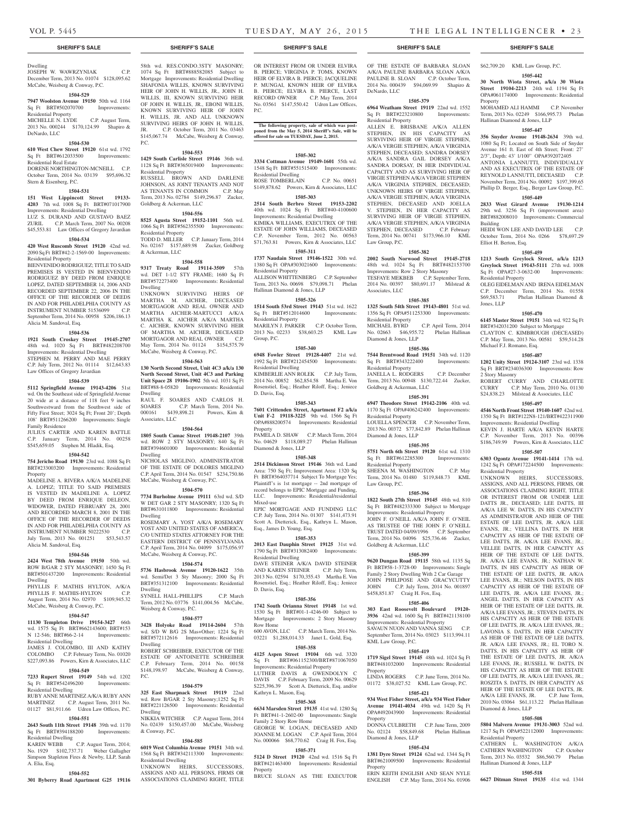# **SHERIFF'S SALE SHERIFF'S SALE SHERIFF'S SALE SHERIFF'S SALE SHERIFF'S SALE**

# Dwelling JOSEPH W. WAWRZYNIAK C.P.

December Term, 2013 No. 01074 \$128,095.62 McCabe, Weisberg & Conway, P.C.

# **1504-529**

**7947 Woolston Avenue 19150** 50th wd. 1164 Sq Ft BRT#502070700 Improvements: Residential Property

MICHELLE N. LYDE C.P. August Term, 2013 No. 000244 \$170,124.99 Shapiro & DeNardo, LLC

# **1504-530**

**610 West Chew Street 19120** 61st wd. 1792 Sq Ft BRT#612033500 Improvements:

Residential Real Estate DORENE NORTHINGTON-MCNEILL C.P. October Term, 2014 No. 03139 \$95,696.32 Stern & Eisenberg, P.C.

#### **1504-531**

**151 West Lippincott Street 19133- 4203** 7th wd. 1008 Sq Ft BRT#071017900 Improvements: Residential Dwelling LUZ S. DURAND AND GUSTAVO BAEZ

ZURIL C.P. March Term, 2007 No. 00208 \$45,553.81 Law Offices of Gregory Javardian

# **1504-534**

**420 West Ruscomb Street 19120** 42nd wd. 2090 Sq Ft BRT#42-2-1569-00 Improvements: Residential Property

BIENVENIDO RODRIGUEZ; TITLE TO SAID PREMISES IS VESTED IN BIENVENIDO RODRIGUEZ BY DEED FROM ENRIQUE LOPEZ, DATED SEPTEMBER 14, 2006 AND RECORDED SEPTEMBER 22, 2006 IN THE OFFICE OF THE RECORDER OF DEEDS IN AND FOR PHILADELPHIA COUNTY AS INSTRUMENT NUMBER 51536099 C.P. September Term, 2014 No. 00958 \$206,186.13 Alicia M. Sandoval, Esq.

#### **1504-536**

**1921 South Croskey Street 19145-2707**  48th wd. 1020 Sq Ft BRT#482208700 Improvements: Residential Dwelling STEPHEN M. PERRY AND MAE PERRY C.P. July Term, 2012 No. 01114 \$12,643.83 Law Offices of Gregory Javardian

# **1504-539**

**5112 Springfield Avenue 19143-4206** 51st wd. On the Southeast side of Springfield Avenue 20 wide at a distance of 118 feet 9 inches Southwestward from the Southwest side of Fifty First Street; 3024 Sq Ft; Front 20'; Depth 108' BRT#511266200 Improvements: Single Family Residence

JULIUS CARTER AND KAREN BATTLE C.P. January Term, 2014 No. 00258 \$545,659.05 Stephen M. Hladik, Esq.

# **1504-542**

**754 Jericho Road 19130** 23rd wd. 1088 Sq Ft BRT#233003200 Improvements: Residential Property

MADELINE A. RIVERA A/K/A MADELINE A. LOPEZ; TITLE TO SAID PREMISES IS VESTED IN MADELINE A. LOPEZ BY DEED FROM ENRIQUE DELEON, WIDOWER, DATED FEBRUARY 28, 2001 AND RECORDED MARCH 8, 2001 IN THE OFFICE OF THE RECORDER OF DEEDS IN AND FOR PHILADELPHIA COUNTY AS INSTRUMENT NUMBER 50222530 C.P. July Term, 2013 No. 001251 \$53,543.57 Alicia M. Sandoval, Esq.

#### **1504-546**

**2424 West 78th Avenue 19150** 50th wd. ROW B/GAR 2 STY MASONRY; 1450 Sq Ft BRT#501437200 Improvements: Residential Dwelling

PHYLLIS F. MATHIS HYLTON, A/K/A PHYLLIS F. MATHIS-HYLTON C.P. August Term, 2014 No. 02970 \$109,945.32 McCabe, Weisberg & Conway, P.C.

# **1504-547**

**11130 Templeton Drive 19154-3427** 66th wd. 1575 Sq Ft BRT#662143600; BRT#153 N 12-546; BRT#66-2-14 Improvements:

Residential Dwelling JAMES J. COLOMBO, III AND KATHY COLOMBO C.P. February Term, No. 01020

\$227,093.86 Powers, Kirn & Associates, LLC **1504-549**

# **7233 Rupert Street 19149** 54th wd. 1202 Sq Ft BRT#542496200 Improvements:

Residential Dwelling RUBY ANNE MARTINEZ A/K/A RUBY ANN MARTINEZ C.P. August Term, 2011 No. 01127 \$81,911.66 Udren Law Offices, P.C.

# **1504-551**

**2643 South 11th Street 19148** 39th wd. 1170 Sq Ft BRT#394188200 Improvements: Residential Dwelling KAREN WEBB C.P. August Term, 2014;

# No. 1929 \$102,737.71 Weber Gallagher Simpson Stapleton Fires & Newby, LLP, Sarah A. Elia, Esq.

**1504-552 301 Byberry Road Apartment G25 19116** 

58th wd. RES.CONDO.3STY MASONRY; 1074 Sq Ft BRT#888582085 Subject to Mortgage Improvements: Residential Dwelling SHAFONIA WILLIS, KNOWN SURVIVING HEIR OF JOHN H. WILLIS, JR., JOHN H. WILLIS, III, KNOWN SURVIVING HEIR OF JOHN H. WILLIS, JR., EBONI WILLIS, KNOWN SURVIVING HEIR OF JOHN H. WILLIS, JR. AND ALL UNKNOWN SURVIVING HEIRS OF JOHN H. WILLIS, JR. C.P. October Term, 2011 No. 03463 \$145,067.74 McCabe, Weisberg & Conway, P.C.

# **1504-553**

**1429 South Carlisle Street 19146** 36th wd. 1128 Sq Ft BRT#365019400 Improvements: Residential Property RUSSELL BROWN AND DARLENE JOHNSON, AS JOINT TENANTS AND NOT AS TENANTS IN COMMON C.P. May Term, 2013 No. 02784 \$149,296.87 Zucker,

# Goldberg & Ackerman, LLC **1504-556**

**8525 Agusta Street 19152-1101** 56th wd. 1066 Sq Ft BRT#562355500 Improvements: Residential Property TODD D. MILLER C.P. January Term, 2014 No. 02167 \$157,689.98 Zucker, Goldberg & Ackerman, LLC

# **1504-558**

**9317 Treaty Road 19114-3509** 57th wd. DET 1-1/2 STY FRAME; 1680 Sq Ft BRT#572273400 Improvements: Residential Dwelling

UNKNOWN SURVIVING HEIRS OF MARTHA M. AICHER, DECEASED MORTGAGOR AND REAL OWNER AND MARTHA AICHER-MARTUCCI A/K/A MARTHA K. AICHER A/K/A MARTHA C. AICHER, KNOWN SURVIVING HEIR OF MARTHA M. AICHER, DECEASED<br>MORTGAGOR AND REAL OWNER C.P. MORTGAGOR AND REAL OWNER May Term, 2014 No. 01124 \$154,575.79 McCabe, Weisberg & Conway, P.C.

# **1504-563**

**130 North Second Street, Unit 4C3 a/k/a 130 North Second Street, Unit 4C3 and Parking Unit Space 28 19106-1902** 5th wd. 1031 Sq Ft BRT#88-8-05820 Improvements: Residential Dwelling RAUL F. SOARES AND CARLOS H. SOARES C.P. March Term, 2014 No. 000161 \$439,898.21 Powers, Kirn &

# **1504-564**

Associates, LLC

**1805 South Camac Street 19148-2107** 39th wd. ROW 2 STY MASONRY; 840 Sq Ft BRT#394601000 Improvements: Residential Dwelling NICHOLAS MIGLINO, ADMINISTRATOR OF THE ESTATE OF DOLORES MIGLINO

C.P. April Term, 2014 No. 01547 \$234,750.86 McCabe, Weisberg & Conway, P.C. **1504-570**

**7734 Burholme Avenue 19111** 63rd wd. S/D W DET GAR 2 STY MASONRY; 1320 Sq Ft BRT#631011800 Improvements: Residential Dwelling ROSEMARY A. YOST A/K/A ROSEMARY YOST AND UNITED STATES OF AMERICA, C/O UNITED STATES ATTORNEY FOR THE EASTERN DISTRICT OF PENNSYLVANIA

C.P. April Term, 2014 No. 04099 \$175,056.97 McCabe, Weisberg & Conway, P.C. **1504-574**

**5736 Hasbrook Avenue 19120-1622** 35th wd. Semi/Det 3 Sty Masonry; 2000 Sq Ft BRT#351312100 Improvements: Residential Dwelling SYNELL HALL-PHILLIPS C.P. March Term, 2012 No. 03776 \$141,004.56 McCabe, Weisberg & Conway, P.C.

#### **1504-577**

**3428 Holyoke Road 19114-2604** 57th wd. S/D W B/G 2S Mas+Other; 1224 Sq Ft BRT#572112616 Improvements: Residential Dwelling

ROBERT SCHREIBER, EXECUTOR OF THE ESTATE OF ANTOINETTE SCHREIBER C.P. February Term, 2014 No. 00158 \$148,198.97 McCabe, Weisberg & Conway, P.C.

#### **1504-579**

**325 East Sharpnack Street 19119** 22nd wd. Row B/GAR 2 Sty Masonry;1252 Sq Ft BRT#221126500 Improvements: Residential Dwelling NIKKIA WITCHER C.P. August Term, 2014

No. 02439 \$150,457.00 McCabe, Weisberg

# **1504-585**

& Conway, P.C.

**6019 West Columbia Avenue 19151** 34th wd. 1568 Sq Ft BRT#342113300 Improvements: Residential Dwelling

UNKNOWN HEIRS, SUCCESSORS, ASSIGNS AND ALL PERSONS, FIRMS OR ASSOCIATIONS CLAIMING RIGHT, TITLE

VOL P. 5445 T u e s day, M AY 26, 2015 T H E L E G A L INT E LLIG E N C E R • 23

OR INTEREST FROM OR UNDER ELVIRA B. PIERCE; VIRGINIA P. TOMS, KNOWN HEIR OF ELVIRA B. PIERCE; JACQUELINE P. MUNGAI, KNOWN HEIR OF ELVIRA B. PIERCE; ELVIRA B. PIERCE, LAST RECORD OWNER C.P. May Term, 2014 No. 03561 \$147,550.42 Udren Law Offices, P.C.

**The following property, sale of which was postponed from the May 5, 2014 Sheriff's Sale, will be offered for sale on TUESDAY, June 2, 2015.**

# **1505-302**

**3334 Cottman Avenue 19149-1601** 55th wd. 1548 Sq Ft BRT#551515400 Improvements: Residential Dwelling ROSE TOMBERLAIN C.P. No. 00651 \$149,878.62 Powers, Kirn & Associates, LLC

**1505-303 2514 South Berbro Street 19153-2202**  40th wd. 1024 Sq Ft BRT#40-4100600

Improvements: Residential Dwelling KIMIKA WILLIAMS, EXECUTRIX OF THE ESTATE OF JOHN WILLIAMS, DECEASED C.P. November Term, 2012 No. 00563 \$71,763.81 Powers, Kirn & Associates, LLC

**1505-311**

**1737 Naudain Street 19146-1522** 30th wd. 1380 Sq Ft OPA#303021600 Improvements: Residential Property ALLISON WHITTENBERG C.P. September Term, 2013 No. 00698 \$79,098.71 Phelan Hallinan Diamond & Jones, LLP

# **1505-326**

**1514 South 53rd Street 19143** 51st wd. 1622 Sq Ft BRT#512014600 Residential Property

MARILYN J. PARKER C.P. October Term, 2013 No. 02233 \$38,603.25 KML Law Group, P.C.

# **1505-340**

**6948 Fowler Street 19128-4407** 21st wd. 1992 Sq Ft BRT#212454500 Improvements: Residential Dwelling KIMBERLIE ANN ROLEK C.P. July Term, 2014 No. 00852 \$62,854.58 Martha E. Von Rosenstiel, Esq.; Heather Riloff, Esq.; Jeniece D. Davis, Esq.

# **1505-343**

**7601 Crittenden Street, Apartment F2 a/k/a Unit F-2 19118-3225** 9th wd. 1566 Sq Ft OPA#888200574 Improvements: Residential Property

PAMELA D. SHAW C.P. March Term, 2014 No. 04629 \$118,089.27 Phelan Hallinan Diamond & Jones, LLP

## **1505-348**

**2514 Dickinson Street 19146** 36th wd. Land Area: 750 Sq Ft; Improvement Area: 1320 Sq Ft BRT#364037714 Subject To Mortgage Yes; Plaintiff's is 1st mortgage -- 2nd mortgage of record belongs to EPIC Mortgage and Funding, LLC. Improvements: Residential/residential Mixed-use

EPIC MORTGAGE AND FUNDING LLC C.P. July Term, 2014 No. 01307 \$141,473.91 Scott A. Dietterick, Esq., Kathryn L. Mason, Esq., James D. Young, Esq.

#### **1505-353**

**2013 East Dauphin Street 19125** 31st wd. 1790 Sq Ft BRT#313082400 Improvements: Residential Dwelling

DAVE STEINER A/K/A DAVID STEINER AND KAREN STEINER C.P. July Term, 2013 No. 02594 \$170,355.43 Martha E. Von Rosenstiel, Esq.; Heather Riloff, Esq.; Jeniece D. Davis, Esq.

## **1505-356**

**1742 South Orianna Street 19148** 1st wd. 1530 Sq Ft BRT#01-1-4246-00 Subject to Mortgage Improvements: 2 Story Masonry Row Home 600 AVON, LLC C.P. March Term, 2014 No.

03221 \$1,288,014.33 Janet L. Gold, Esq. **1505-358**

#### **4125 Aspen Street 19104** 6th wd. 3320

Sq Ft BRT#061152300/BRT#871067050 Improvements: Residential Property LUTHER DAVIS & GWENDOLYN C DAVIS C.P. February Term, 2009 No. 00629 \$225,396.39 Scott A. Dietterick, Esq. and/or Kathryn L. Mason, Esq.

#### **1505-368**

**6634 Marsden Street 19135** 41st wd. 1280 Sq Ft BRT#41-1-2602-00 Improvements: Single Family 2 Story Row Home GEORGE W. LOGAN, DECEASED AND JOANNE M. LOGAN C.P. April Term, 2014 No. 000066 \$68,770.62 Craig H. Fox, Esq.

# **1505-371**

**5124 D Street 19120** 42nd wd. 1516 Sq Ft BRT#421463400 Improvements: Residential Property

BRUCE SLOAN AS THE EXECUTOR

\$62,709.20 KML Law Group, P.C. **1505-442 30 North Wiota Street, a/k/a 30 Wiota Street 19104-2213** 24th wd. 1194 Sq Ft OPA#061174000 Improvements: Residential

Hallinan Diamond & Jones, LLP

MOHAMED ALI HAMMI C.P. November Term, 2013 No. 02249 \$166,995.73 Phelan

**1505-447 356 Snyder Avenue 19148-2634** 39th wd. 1080 Sq Ft; Located on South Side of Snyder Avenue 161 ft. East of 4th Street; Front: 27' 2/3", Depth: 43' 1/100" OPA#392072405 ANTONIA LANNUTTI, INDIVIDUALLY AND AS EXECUTRIX OF THE ESTATE OF REYNOLD LANNUTTI, DECEASED C.P. November Term, 2014 No. 00092 \$197,399.65 Phillip D. Berger, Esq., Berger Law Group, P.C. **1505-449 2833 West Girard Avenue 19130-1214**  29th wd. 3256 Sq Ft (improvement area) BRT#882008010 Improvements: Commercial

HEIDI WON LEE AND DAVID LEE C.P. October Term, 2014 No. 0266 \$78,697.29

**1505-459 1213 South Greylock Street, a/k/a 1213 Greylock Street 19143-5111** 27th wd. 1008 Sq Ft OPA#27-3-0632-00 Improvements:

OLEG EIDELMAN AND IRENA EIDELMAN C.P. December Term, 2014 No. 01558 \$69,583.71 Phelan Hallinan Diamond &

**1505-470 6145 Master Street 19151** 34th wd. 922 Sq Ft BRT#342031200 Subject to Mortgage CLAYTON C. KIMBROUGH (DECEASED) C.P. May Term, 2013 No. 00581 \$59,514.28

**1505-487 1202 Unity Street 19124-3107** 23rd wd. 1338 Sq Ft BRT#234036300 Improvements: Row

ROBERT CURRY AND CHARLOTTE CURRY C.P. May Term, 2010 No. 01130 \$24,838.23 Milstead & Associates, LLC **1505-497 4546 North Front Street 19140-1607** 42nd wd. 1350 Sq Ft BRT#122N8-121/BRT#422311900 Improvements: Residential Dwelling KEVIN J. HARTE A/K/A KEVIN HARTE C.P. November Term, 2013 No. 00396 \$186,749.99 Powers, Kirn & Associates, LLC **1505-507 6303 Ogontz Avenue 19141-1414** 17th wd. 1242 Sq Ft OPA#172244500 Improvements:

UNKNOWN HEIRS, SUCCESSORS, ASSIGNS, AND ALL PERSONS, FIRMS, OR ASSOCIATIONS CLAIMING RIGHT, TITLE OR INTEREST FROM OR UNDER LEE DATTS JR., DECEASED; LEE DATTS, III A/K/A LEE W. DATTS, IN HIS CAPACITY AS ADMINISTRATOR AND HEIR OF THE ESTATE OF LEE DATTS, JR. A/K/A LEE EVANS, JR.; VELLINA DATTS, IN HER CAPACITY AS HEIR OF THE ESTATE OF LEE DATTS, JR. A/K/A LEE EVANS, JR.; VELLEE DATTS, IN HER CAPACITY AS HEIR OF THE ESTATE OF LEE DATTS, JR. A/K/A LEE EVANS, JR.; NATHAN W. DATTS, IN HIS CAPACITY AS HEIR OF THE ESTATE OF LEE DATTS, JR. A/K/A LEE EVANS, JR.; NELSON DATTS, IN HIS CAPACITY AS HEIR OF THE ESTATE OF LEE DATTS, JR. A/K/A LEE EVANS, JR.; ANGEL DATTS, IN HER CAPACITY AS HEIR OF THE ESTATE OF LEE DATTS, JR. A/K/A LEE EVANS, JR.; STEVEN DATTS, IN HIS CAPACITY AS HEIR OF THE ESTATE OF LEE DATTS, JR. A/K/A LEE EVANS, JR.; LAVONIA S. DATTS, IN HER CAPACITY AS HEIR OF THE ESTATE OF LEE DATTS, JR. A/K/A LEE EVANS, JR.; EL TORO N. DATTS, IN HIS CAPACITY AS HEIR OF THE ESTATE OF LEE DATTS, JR. A/K/A LEE EVANS, JR.; RUSSELL W. DATTS, IN HIS CAPACITY AS HEIR OF THE ESTATE OF LEE DATTS, JR. A/K/A LEE EVANS, JR.; ROSZITA S. DATTS, IN HER CAPACITY AS HEIR OF THE ESTATE OF LEE DATTS, JR. A/K/A LEE EVANS, JR. C.P. June Term, 2010 No. 03064 \$61,113.22 Phelan Hallinan

**Property** 

Building

Elliot H. Berton, Esq.

Residential Property

Michael F.J. Romano, Esq.

2 Story Masonry

Residential Property

Diamond & Jones, LLP

Residential Property

Hallinan Diamond & Jones, LLP

**1505-508 5804 Malvern Avenue 19131-3003** 52nd wd. 1217 Sq Ft OPA#522112000 Improvements:

CATHERN L. WASHINGTON A/K/A CATHERN WASHINGTON C.P. October Term, 2013 No. 03532 \$86,560.79 Phelan

**1505-518 6627 Ditman Street 19135** 41st wd. 1344

Jones, LLP

OF THE ESTATE OF BARBARA SLOAN A/K/A PAULINE BARBARA SLOAN A/K/A PAULINE B. SLOAN C.P. October Term, 2014 No. 000439 \$94,069.99 Shapiro & DeNardo, LLC

#### **1505-379 6964 Weatham Street 19119** 22nd wd. 1552 Sq Ft BRT#223210800 Improvements:

ALLEN E. BRISBANE A/K/A ALLEN STEPHEN, IN HIS CAPACITY AS SURVIVING HEIR OF VIRGIE STEPHEN, A/K/A VERGIE STEPHEN, A/K/A VIRGINIA STEPHEN, DECEASED; SANDRA DORSEY A/K/A SANDRA GAIL DORSEY A/K/A SANDRA DORSAY, IN HER INDIVIDUAL CAPACITY AND AS SURVIVING HEIR OF VIRGIE STEPHEN A/K/A VERGIE STEPHEN A/K/A VIRGINIA STEPHEN, DECEASED; UNKNOWN HEIRS OF VIRGIE STEPHEN, A/K/A VERGIE STEPHEN, A/K/A VIRGINIA STEPHEN, DECEASED AND JOELLA V. STEPHEN, IN HER CAPACITY AS SURVIVING HEIR OF VIRGIE STEPHEN, A/K/A VERGIE STEPHEN, A/K/A VIRGINIA STEPHEN, DECEASED C.P. February Term, 2014 No. 00741 \$173,966.10 KML

**1505-382 2002 South Norwood Street 19145-2718**  48th wd. 1024 Sq Ft BRT#482153700 Improvements: Row 2 Story Masonry TESFAYE MEKBEB C.P. September Term, 2014 No. 00397 \$80,691.17 Milstead &

**1505-385 1325 South 54th Street 19143-4801** 51st wd. 1356 Sq Ft OPA#511253300 Improvements:

MICHAEL BYRD C.P. April Term, 2014 No. 02663 \$46,955.72 Phelan Hallinan

**1505-386 7544 Brentwood Road 19151** 34th wd. 1120 Sq Ft BRT#343222400 Improvements:

JANELLA L. RODGERS C.P. December Term, 2013 No. 00948 \$130,722.44 Zucker,

**1505-391 6947 Theodore Street 19142-2106** 40th wd. 1170 Sq Ft OPA#406242400 Improvements:

LOUELLA SPENCER C.P. November Term, 2013 No. 00372 \$77,842.89 Phelan Hallinan

**1505-395 5751 North 6th Street 19120** 61st wd. 1310 Sq Ft BRT#612285300 Improvements:

SHEENA M. WASHINGTON C.P. May Term, 2014 No. 01480 \$119,848.73 KML

**1505-396 1822 South 27th Street 19145** 48th wd. 810 Sq Ft BRT#482333300 Subject to Mortgage Improvements: Residential Property JOHN F. O'NEILL A/K/A JOHN F. O'NEIL AS TRUSTEE OF THE JOHN F. O'NEILL TRUST DATED 04/09/1996 C.P. September Term, 2014 No. 04096 \$25,736.46 Zucker,

**1505-399 9620 Dungan Road 19115** 58th wd. 1135 Sq Ft BRT#58-1-3728-00 Improvements: Single Family 2 Story Dwelling With 2 Car Garage JOHN PHILIPOSE AND GRACYCUTTY JOHN C.P. July Term, 2014 No. 001897 \$458,851.87 Craig H. Fox, Esq.

**1505-406 303 East Roosevelt Boulevard 19120- 3936** 42nd wd. 1600 Sq Ft BRT#421138100 Improvements: Residential Property SAVAUN NUON AND VANNA SENG C.P. September Term, 2014 No. 03023 \$113,994.11

**1505-419 1719 Sigel Street 19145** 48th wd. 1024 Sq Ft BRT#481032000 Improvements: Residential

LINDA ROGERS C.P. June Term, 2014 No. 01172 \$38,027.52 KML Law Group, P.C. **1505-421 934 West Fisher Street, a/k/a 934 West Fisher Avenue 19141-4034** 49th wd. 1420 Sq Ft OPA#492043900 Improvements: Residential

DONNA CULBRETH C.P. June Term, 2009 No. 02124 \$58,849.68 Phelan Hallinan

**1505-434 1381 Dyre Street 19124** 62nd wd. 1344 Sq Ft BRT#621009500 Improvements: Residential

ERIN KEITH ENGLISH AND SEAN NYLE ENGLISH C.P. May Term, 2014 No. 01906

Residential Property

Law Group, P.C.

Associates, LLC

Residential Property

Residential Property

Residential Property

Diamond & Jones, LLP

Residential Property

Goldberg & Ackerman, LLC

KML Law Group, P.C.

Diamond & Jones, LLP

Property

Property

Property

Law Group, P.C.

Goldberg & Ackerman, LLC

Diamond & Jones, LLP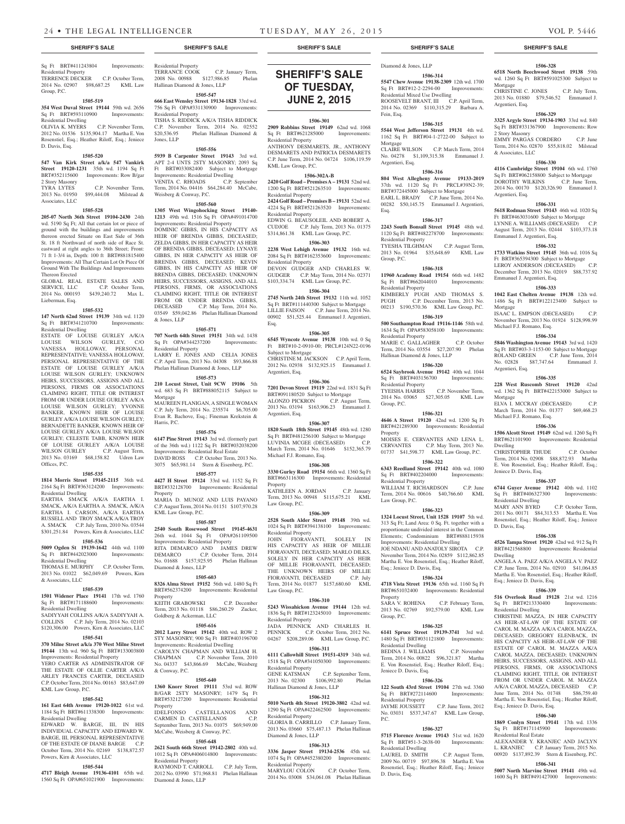# Sq Ft BRT#411243804 Improvements:

Residential Property TERRENCE DECKER C.P. October Term, 2014 No. 02907 \$98,687.25 KML Law Group, P.C.

# **1505-519**

**354 West Duval Street 19144** 59th wd. 2656 Sq Ft BRT#593110900 Improvements: Residential Dwelling

#### OLIVIA K. MYERS C.P. November Term,

2012 No. 01536 \$135,904.17 Martha E. Von Rosenstiel, Esq.; Heather Riloff, Esq.; Jeniece D. Davis, Esq. **1505-520 547 Van Kirk Street a/k/a 547 Vankirk** 

**Street 19120-1231** 35th wd. 1194 Sq Ft BRT#352115600 Improvements: Row B/gar 2 Story Masonry

TYRA LYTES C.P. November Term,<br>2013 No. 01950 \$99,444.08 Milstead &  $$99,444.08$  Milstead & Associates, LLC

# **1505-528**

**205-07 North 36th Street 19104-2430** 24th wd. 5190 Sq Ft; All that certain lot or piece of ground with the buildings and improvements thereon erected Situate on East Side of 36th St. 18 ft Northward of north side of Race St. eastward at right angles to 36th Street; Front: 71 ft 1-3/4 in, Depth: 100 ft BRT#881815400 Improvements: All That Certain Lot Or Piece Of Ground With The Buildings And Improvements Thereon Erected

GLOBAL REAL ESTATE SALES AND SERVICE, LLC C.P. October Term, 2014 No. 000193 \$439,240.72 Max L. Lieberman, Esq.

#### **1505-532**

**147 North 62nd Street 19139** 34th wd. 1120 Sq Ft BRT#341210700 Improvements: Residential Dwelling

ESTATE OF LOUISE GURLEY A/K/A LOUISE WILSON GURLEY, C/O VANESSA HOLLOWAY, PERSONAL REPRESENTATIVE; VANESSA HOLLOWAY, PERSONAL REPRESENTATIVE OF THE ESTATE OF LOUISE GURLEY A/K/A LOUISE WILSON GURLEY; UNKNOWN HEIRS, SUCCESSORS, ASSIGNS AND ALL PERSONS, FIRMS OR ASSOCIATIONS CLAIMING RIGHT, TITLE OR INTEREST FROM OR UNDER LOUISE GURLEY A/K/A LOUISE WILSON GURLEY; YVONNE BANKER, KNOWN HEIR OF LOUISE GURLEY A/K/A LOUISE WILSON GURLEY; BERNADETTE BANKER, KNOWN HEIR OF LOUISE GURLEY A/K/A LOUISE WILSON GURLEY; CELESTE TABB, KNOWN HEIR OF LOUISE GURLEY A/K/A LOUISE WILSON GURLEY C.P. August Term, WILSON GURLEY 2013 No. 03169 \$68,158.82 Udren Law Offices, P.C.

## **1505-535**

**1814 Morris Street 19145-2115** 36th wd. 2164 Sq Ft BRT#363124200 Improvements: Residential Dwelling

EARTHA SMACK A/K/A EARTHA I. SMACK, A/K/A EARTHA A. SMACK, A/K/A EARTHA I. CARSON, A/K/A EARTHA RUSSELL AND TROY SMACK A/K/A TROY A. SMACK C.P. July Term, 2010 No. 03544 \$301,251.84 Powers, Kirn & Associates, LLC

# **1505-536**

**5009 Ogden St 19139-1642** 44th wd. 1100 Sq Ft BRT#442023000 Improvements: Residential Dwelling

THOMAS E. MURPHY C.P. October Term, 2013 No. 01022 \$62,049.69 Powers, Kirn & Associates, LLC

#### **1505-539**

**1501 Widener Place 19141** 17th wd. 1760 Sq Ft BRT#171188600 Improvements: Residential Dwelling

SADIYYAH COLLINS A/K/A SADIYYAH A. COLLINS C.P. July Term, 2014 No. 02103 \$120,306.00 Powers, Kirn & Associates, LLC

#### **1505-541**

**370 Milne Street a/k/a 370 West Milne Street 19144** 13th wd. 960 Sq Ft BRT#133003800 Improvements: Residential Property YERO CARTER AS ADMINISTRATOR OF THE ESTATE OF OLLIE CARTER A/K/A

ARLEY FRANCES CARTER, DECEASED C.P. October Term, 2014 No. 00163 \$83,647.09 KML Law Group, P.C. **1505-542**

**161 East 64th Avenue 19120-1022** 61st wd. 1184 Sq Ft BRT#611338300 Improvements: Residential Dwelling EDWARD W. BARGE, III, IN HIS INDIVIDUAL CAPACITY AND EDWARD W. BARGE, III, PERSONAL REPRESENTATIVE OF THE ESTATE OF DIANE BARGE C.P. October Term, 2014 No. 02169 \$138,872.57 Powers, Kirn & Associates, LLC

#### **1505-544**

**4717 Bleigh Avenue 19136-4101** 65th wd. 1560 Sq Ft OPA#651021900 Improvements:

# Residential Property TERRANCE COOK C.P. January Term, 2008 No. 00988 \$127,986.85 Phelan

Hallinan Diamond & Jones, LLP **1505-547 666 East Wensley Street 19134-1828** 33rd wd.

756 Sq Ft OPA#331130900 Improvements: Residential Property TISHA S. RIDDICK A/K/A TISHA RIDDICK C.P. November Term, 2014 No. 02552<br>\$20.536.95 Phelan Hallinan Diamond & Phelan Hallinan Diamond & Jones, LLP

#### **1505-556**

**5939 B Carpenter Street 19143** 3rd wd. APT 2-4 UNTS 2STY MASONRY; 2093 Sq Ft BRT#033082400 Subject to Mortgage Improvements: Residential Dwelling VENITA C. RHOADS

Term, 2014 No. 04416 \$64,284.40 McCabe, Weisberg & Conway, P.C.

# **1505-560**

**1305 West Wingohocking Street 19140- 1213** 49th wd. 1516 Sq Ft OPA#491014700 Improvements: Residential Property

DOMINIC GIBBS, IN HIS CAPACITY AS HEIR OF BRENDA GIBBS, DECEASED; ZELDA GIBBS, IN HER CAPACITY AS HEIR OF BRENDA GIBBS, DECEASED; LYNAYE GIBBS, IN HER CAPACITY AS HEIR OF BRENDA GIBBS, DECEASED; KEVIN GIBBS, IN HIS CAPACITY AS HEIR OF BRENDA GIBBS, DECEASED; UNKNOWN HEIRS, SUCCESSORS, ASSIGNS, AND ALL PERSONS, FIRMS, OR ASSOCIATIONS CLAIMING RIGHT, TITLE OR INTEREST FROM OR UNDER BRENDA GIBBS,<br>DECEASED C.P. May Term, 2014 No. C.P. May Term, 2014 No. 03549 \$59,042.86 Phelan Hallinan Diamond & Jones, LLP

#### **1505-571**

**707 North 64th Street 19151** 34th wd. 1438 Sq Ft OPA#344237200 Improvements: Residential Property LARRY E. JONES AND CELIA JONES C.P. April Term, 2013 No. 04308 \$93,866.88 Phelan Hallinan Diamond & Jones, LLP

# **1505-573**

**210 Locust Street, Unit 9CW 19106** 5th wd. 683 Sq Ft BRT#888052115 Subject to Mortgage MAUREEN FLANIGAN, A SINGLE WOMAN C.P. July Term, 2014 No. 235574 \$6,705.00 Evan R. Bachove, Esq.; Fineman Krekstein & Harris, P.C.

#### **1505-576**

**6147 Pine Street 19143** 3rd wd. (formerly part of the 36th wd.) 1122 Sq Ft BRT#032038200 Improvements: Residential Real Estate C.P. October Term, 2013 No. 3075 \$65,981.14 Stern & Eisenberg, P.C.

**1505-577 4427 H Street 19124** 33rd wd. 1152 Sq Ft BRT#332128700 Improvements: Residential Property

MARIA D. MUNOZ AND LUIS PAYANO C.P. August Term, 2014 No. 01151 \$107,970.28 KML Law Group, P.C.

**1505-587**

**2540 South Rosewood Street 19145-4631**  26th wd. 1044 Sq Ft OPA#261109500 Improvements: Residential Property RITA DEMARCO AND JAMES DREW<br>DEMARCO C.P. October Term, 2014 C.P. October Term, 2014 No. 01688 \$157,925.95 Phelan Hallinan Diamond & Jones, LLP

# **1505-603**

**8326 Alma Street 19152** 56th wd. 1480 Sq Ft BRT#562374200 Improvements: Residential Property KEITH GRABOWSKI C.P. December Term, 2013 No. 01118 \$86,260.29 Zucker, Goldberg & Ackerman, LLC

# **1505-616**

**2012 Larry Street 19142** 40th wd. ROW 2 STY MASONRY; 900 Sq Ft BRT#403196700 Improvements: Residential Dwelling CAROLYN CHAPMAN AND WILLIAM H. CHAPMAN C.P. November Term, 2010

No. 04337 \$43,866.69 McCabe, Weisberg & Conway, P.C.

1505-640<br>1360 Knorr Street **19111 1360 Knorr Street 19111** 53rd wd. ROW B/GAR 2STY MASONRY; 1479 Sq Ft BRT#532127200 Improvements: Residential Property IDELFONSO CASTELLANOS AND<br>CARMEN D. CASTELLANOS C.P.

CARMEN D. CASTELLANOS September Term, 2013 No. 01075 \$69,949.00 McCabe, Weisberg & Conway, P.C.

# **1505-648**

**2621 South 66th Street 19142-2802** 40th wd. 1012 Sq Ft OPA#406014800 Improvements: Residential Property

RAYMOND T. CARROLL C.P. July Term, 2012 No. 03990 \$71,968.81 Phelan Hallinan Diamond & Jones, LLP

# **SHERIFF'S SALE OF TUESDAY, June 2, 2015**

# **1506-301**

**2909 Robbins Street 19149** 62nd wd. 1068 Sq Ft BRT#621285000 Improvements: Residential Property ANTHONY DESMARETS, JR., ANTHONY DESMARETS AND PATRICIA DESMARETS

C.P. June Term, 2014 No. 04724 \$106,119.59 KML Law Group, P.C. **1506-302A-B**

**2420 Golf Road – Premises A – 19131** 52nd wd. 1200 Sq Ft BRT#521263510 Improvements:

Residential Property **2424 Golf Road – Premises B – 19131** 52nd wd. 4224 Sq Ft BRT#521263520 Improvements: Residential Property

EDWIN G. BEAUSOLEIL AND ROBERT A. CUDJOE C.P. July Term, 2013 No. 01375 \$314,861.38 KML Law Group, P.C.

## **1506-303**

**2238 West Lehigh Avenue 19132** 16th wd. 2084 Sq Ft BRT#162353600 Improvements: Residential Property DEVON GUDGER AND CHARLES W.<br>GUDGER C.P. May Term. 2014 No. 02371 C.P. May Term, 2014 No. 02371 \$103,334.74 KML Law Group, P.C.

# **1506-304**

**2745 North 24th Street 19132** 11th wd. 1052 Sq Ft BRT#111440300 Subject to Mortgage LILLIE FAISON C.P. June Term, 2014 No. 00902 \$51,525.44 Emmanuel J. Argentieri, Esq.

# **1506-305**

**6545 Wyncote Avenue 19138** 10th wd. 0 Sq Ft BRT#10-2-0910-00; PRCL#124N22-0196 Subject to Mortgage CHRISTINE M. JACKSON C.P. April Term,

2012 No. 02938 \$132,925.15 Emmanuel J. Argentieri, Esq. **1506-306**

#### **7201 Devon Street 19119** 22nd wd. 1831 Sq Ft BRT#091180520 Subject to Mortgage ALONZO PICKRON C.P. August Term, 2013 No. 03194 \$163,906.23 Emmanuel J. Argentieri, Esq.

**1506-307**

**1820 South 18th Street 19145** 48th wd. 1280 Sq Ft BRT#481256100 Subject to Mortgage LUVINIA MCGEE (DECEASED) C.P. March Term, 2014 No. 01646 \$152,365.79 Michael F.J. Romano, Esq.

#### **1506-308**

**3330 Gurley Road 19154** 66th wd. 1360 Sq Ft BRT#663116300 Improvements: Residential Property KATHLEEN A. JORDAN C.P. January

Term, 2013 No. 00948 \$115,675.21 KML Law Group, P.C. **1506-309**

**2528 South Alder Street 19148** 39th wd. 1024 Sq Ft BRT#394138100 Improvements: Residential Property

JOHN FIORAVANTI, SOLELY IN HIS CAPACITY AS HEIR OF MILLIE FIORAVANTI, DECEASED; MARLO DILKS, SOLELY IN HER CAPACITY AS HEIR OF MILLIE FIORAVANTI, DECEASED; THE UNKNOWN HEIRS OF MILLIE FIORAVANTI, DECEASED C.P. July Term, 2014 No. 01877 \$157,680.60 KML Law Group, P.C.

# **1506-310**

**5243 Wissahickon Avenue 19144** 12th wd. 1836 Sq Ft BRT#123245010 Improvements: Residential Property JADA PENNICK AND CHARLES H. PENNICK C.P. October Term, 2012 No. 04267 \$208,289.06 KML Law Group, P.C.

#### **1506-311 6111 Callowhill Street 19151-4319** 34th wd.

1518 Sq Ft OPA#341050300 Improvements: Residential Property<br>GENE KATSMAN C.P. September Term, 2013 No. 02300 \$106,992.80 Phelan

# Hallinan Diamond & Jones, LLP

**1506-312 5010 North 4th Street 19120-3802** 42nd wd. 1290 Sq Ft OPA#422462500 Improvements: Residential Property

GLORIA B. CARRILLO C.P. January Term, 2013 No. 03660 \$75,487.13 Phelan Hallinan Diamond & Jones, LLP

#### **1506-313**

**3336 Jasper Street 19134-2536** 45th wd. 1074 Sq Ft OPA#452380200 Improvements: Residential Property

MARYLOU COLON C.P. October Term, 2014 No. 03008 \$34,061.08 Phelan Hallinan

# **SHERIFF'S SALE SHERIFF'S SALE SHERIFF'S SALE SHERIFF'S SALE SHERIFF'S SALE**

# Diamond & Jones, LLP

**1506-314 5547 Chew Avenue 19138-2309** 12th wd. 1700 Sq Ft BRT#12-2-2294-00 Improvements: Residential Mixed Use Dwelling ROOSEVELT BRANT, III C.P. April Term, 2014 No. 02369 \$110,315.29 Barbara A.

**1506-328 6518 North Beechwood Street 19138** 59th wd. 1260 Sq Ft BRT#591025300 Subject to

CHRISTINE C. JONES C.P. July Term, 2013 No. 01880 \$79,546.52 Emmanuel J.

**1506-329 3325 Argyle Street 19134-1903** 33rd wd. 840 Sq Ft BRT#331367900 Improvements: Row

EMMY PARGAS CORDERO C.P. June Term, 2014 No. 02870 \$55,818.02 Milstead

**1506-330 4116 Cambridge Street 19104** 6th wd. 1760 Sq Ft BRT#062158800 Subject to Mortgage DOROTHY WILKINS C.P. June Term, 2014 No. 00170 \$120,326.90 Emmanuel J.

**1506-331 5618 Rodman Street 19143** 46th wd. 1020 Sq Ft BRT#463031600 Subject to Mortgage LYNNE A. WILLIAMS (DECEASED) C.P. August Term, 2013 No. 02444 \$103,373.18

**1506-332 1733 Watkins Street 19145** 36th wd. 1016 Sq Ft BRT#365394300 Subject to Mortgage<br>LEROY ANDERSON (DECEASED) C.P. LEROY ANDERSON (DECEASED) December Term, 2013 No. 02019 \$88,737.92

**1506-333 1042 East Chelten Avenue 19138** 12th wd. 1486 Sq Ft BRT#122123400 Subject to

ISAAC L. EMPSON (DECEASED) C.P. November Term, 2013 No. 01924 \$128,998.99

**1506-334 5846 Washington Avenue 19143** 3rd wd. 1420 Sq Ft BRT#03-3-1153-00 Subject to Mortgage ROLAND GREEN C.P. June Term, 2014<br>No. 02828 \$87,747.64 Emmanuel J.

**1506-335 228 West Ruscomb Street 19120** 42nd wd. 1362 Sq Ft BRT#422153000 Subject to

ELVA I. MCCRAY (DECEASED) C.P. March Term, 2014 No. 01377 \$69,468.23

**1506-336 1506 Alcott Street 19149** 62nd wd. 1260 Sq Ft BRT#621101900 Improvements: Residential

CHRISTOPHER THUDE C.P. October Term, 2014 No. 02908 \$88,872.93 Martha E. Von Rosenstiel, Esq.; Heather Riloff, Esq.;

**1506-337 6744 Guyer Avenue 19142** 40th wd. 1102 Sq Ft BRT#406327300 Improvements:

MARY ANN BYRD C.P. October Term, 2011 No. 00171 \$84,313.53 Martha E. Von Rosenstiel, Esq.; Heather Riloff, Esq.; Jeniece

**1506-338 4526 Tampa Street 19120** 42nd wd. 912 Sq Ft BRT#421568800 Improvements: Residential

ANGELA A. PAEZ A/K/A ANGELA V. PAEZ C.P. June Term, 2014 No. 02910 \$41,064.85 Martha E. Von Rosenstiel, Esq.; Heather Riloff,

**1506-339 516 Overlook Road 19128** 21st wd. 1216 Sq Ft BRT#213330400 Improvements:

CHRISTINE MAZZA, IN HER CAPACITY AS HEIR-AT-LAW OF THE ESTATE OF CAROL M. MAZZA A/K/A CAROL MAZZA, DECEASED; GREGORY ELENBACK, IN HIS CAPACITY AS HEIR-AT-LAW OF THE ESTATE OF CAROL M. MAZZA A/K/A CAROL MAZZA, DECEASED; UNKNOWN HEIRS, SUCCESSORS, ASSIGNS, AND ALL PERSONS, FIRMS, OR ASSOCIATIONS CLAIMING RIGHT, TITLE, OR INTEREST FROM OR UNDER CAROL M. MAZZA A/K/A CAROL MAZZA, DECEASED June Term, 2014 No. 01748 \$86,759.40 Martha E. Von Rosenstiel, Esq.; Heather Riloff,

**1506-340 1869 Conlyn Street 19141** 17th wd. 1336 Sq Ft BRT#171145900 Improvements:

ALEXANDER Y. KRANJEC AND JACLYN L. KRANJEC C.P. January Term, 2015 No. 00920 \$137,892.39 Stern & Eisenberg, P.C. **1506-341 5007 North Marvine Street 19141** 49th wd. 1600 Sq Ft BRT#491427000 Improvements:

Mortgage

Argentieri, Esq.

2 Story Masonry

& Associates, LLC

Argentieri, Esq.

Emmanuel J. Argentieri, Esq.

Emmanuel J. Argentieri, Esq.

Michael F.J. Romano, Esq.

No. 02828 \$87,747.64 Argentieri, Esq.

Michael F.J. Romano, Esq.

Jeniece D. Davis, Esq.

Residential Dwelling

Esq.; Jeniece D. Davis, Esq.

Esq.; Jeniece D. Davis, Esq.

Residential Real Estate

Residential Dwelling

D. Davis, Esq.

Dwelling

Mortgage

Mortgage

Dwelling

Fein, Esq. **1506-315 5544 West Jefferson Street 19131** 4th wd.

1162 Sq Ft BRT#04-1-2722-00 Subject to

Mortgage CLAIRE WILSON C.P. March Term, 2014 No. 04278 \$1,109,315.38 Emmanuel J. Argentieri, Esq.

**1506-316 804 West Allegheny Avenue 19133-2019**  37th wd. 1120 Sq Ft PRCL#39N2-39; BRT#372445000 Subject to Mortgage EARL L. BRADY C.P. June Term, 2014 No. 00282 \$50,145.75 Emmanuel J. Argentieri,

**1506-317 2243 South Bonsall Street 19145** 48th wd. 1120 Sq Ft BRT#482278700 Improvements:

TYESHA TILGHMAN C.P. August Term, 2013 No. 01964 \$35,648.69 KML Law

**1506-318 11960 Academy Road 19154** 66th wd. 1482<br>
Sq Ft BRT#662044010 Improvements:

KIMBERLY PUGH AND THOMAS S. PUGH C.P. December Term, 2013 No. 00213 \$190,570.36 KML Law Group, P.C. **1506-319 500 Southampton Road 19116-1146** 58th wd. 1634 Sq Ft OPA#583058100 Improvements:

MARIE C. GALLAGHER C.P. October Term, 2014 No. 03554 \$27,207.90 Phelan

**1506-320 6524 Saybrook Avenue 19142** 40th wd. 1044 Sq Ft BRT#403156700 Improvements:

2014 No. 03065 \$27,305.05 KML Law

**1506-321 4646 A Street 19120** 42nd wd. 1200 Sq Ft BRT#421289300 Improvements: Residential

MOISES E. CERVANTES AND LENA L. CERVANTES C.P. May Term, 2013 No. 01737 \$41,598.77 KML Law Group, P.C. **1506-322 6343 Reedland Street 19142** 40th wd. 1080 Sq Ft BRT#402204000 Improvements:

WILLIAM T. RICHARDSON C.P. June Term, 2014 No. 00616 \$40,766.60 KML

**1506-323 1324 Locust Street, Unit 1528 19107** 5th wd. 313 Sq Ft; Land Area: 0 Sq. Ft. together with a proportionate undivided interest in the Common Elements; Condominium BRT#888115938 Improvements: Residential Dwelling JOE NDANU AND ANATOLY SIROTA C.P. November Term, 2014 No. 02859 \$112,862.85 Martha E. Von Rosenstiel, Esq.; Heather Riloff,

**1506-324 4718 Vista Street 19136** 65th wd. 1160 Sq Ft BRT#651032400 Improvements: Residential

SARA V. ROHENA C.P. February Term, 2013 No. 02769 \$92,579.00 KML Law

**1506-325 6141 Spruce Street 19139-3741** 3rd wd. 1480 Sq Ft BRT#031121800 Improvements:

BEDINA I WILLIAMS C.P. November Term, 2014 No. 00822 \$96,321.87 Martha E. Von Rosenstiel, Esq.; Heather Riloff, Esq.;

**1506-326 122 South 43rd Street 19104** 27th wd. 3360 Sq Ft BRT#272114600 Improvements:

JAYME JOUSSETT C.P. June Term, 2012 No. 03031 \$537,347.67 KML Law Group,

**1506-327 5715 Florence Avenue 19143** 51st wd. 1620 Sq Ft BRT#51-3-2638-00 Improvements:

LAUREL D. SMITH C.P. August Term, 2009 No. 00719 \$97,896.38 Martha E. Von Rosenstiel, Esq.; Heather Riloff, Esq.; Jeniece

C.P. November Term,

Esq.

Residential Property

Sq Ft BRT#662044010 Residential Property

Residential Property<br>MARIE C\_GALLAGHER

Residential Property<br>TYEISHA HARRIS

<sup>1</sup><br>Residential Property

Law Group, P.C.

Esq.; Jeniece D. Davis, Esq.

Property

Group, P.C.

Residential Dwelling

Jeniece D. Davis, Esq.

Residential Property

Residential Dwelling

D. Davis, Esq.

P.C.

Group, P.C.

Property

Hallinan Diamond & Jones, LLP

Group, P.C.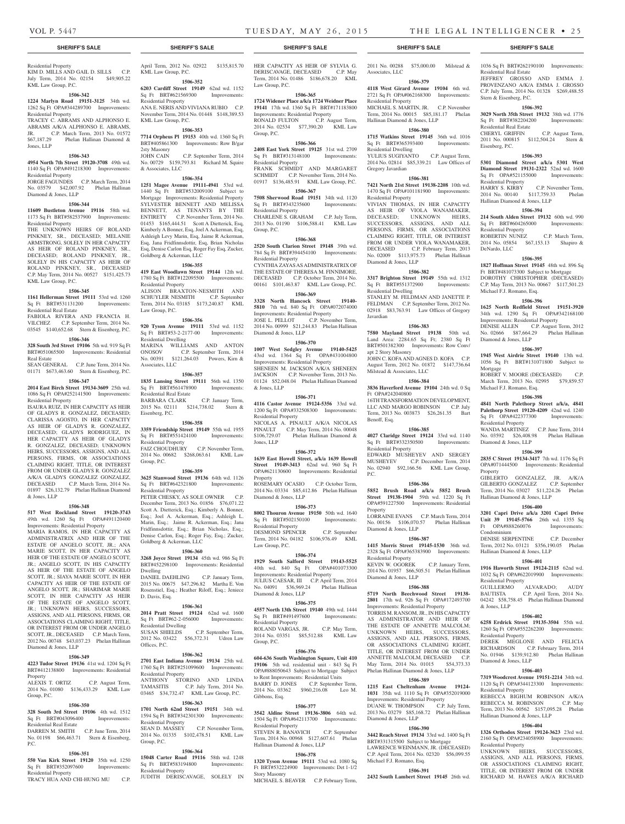Residential Real Estate

Stern & Eisenberg, P.C.

Residential Real Estate

Sq Ft OPA#521155000 Residential Property

Residential Property

Michael F.J. Romano, Esq.

Diamond & Jones, LLP

Michael F.J. Romano, Esq.

Residential Property

Diamond & Jones, LLP

Hallinan Diamond & Jones, LLP

Hallinan Diamond & Jones, LLP

Property

Condominium

Residential Property

Residential Property

Diamond & Jones, LLP

Residential Property

Residential Property

Hallinan Diamond & Jones, LLP

& Jones, LLP

Mortgage

DeNardo, LLC

Hallinan Diamond & Jones, LLP

Eisenberg, P.C.

1036 Sq Ft BRT#262190100 Improvements:

JEFFREY GROSSO AND EMMA J. PROVENZANO A/K/A EMMA J. GROSSO C.P. July Term, 2014 No. 01328 \$269,488.55

**1506-392 3029 North 35th Street 19132** 38th wd. 1776 Sq Ft BRT#382204200 Improvements:

CHERYL GRIFFIN C.P. August Term, 2011 No. 000815 \$112,504.24 Stern &

**1506-393 5301 Diamond Street a/k/a 5301 West Diamond Street 19131-2322** 52nd wd. 1600<br>Sq. Et. OPA#521155000 Improvements:

HARRY S. KIRBY C.P. November Term, 2014 No. 00140 \$117,759.33 Phelan

**1506-394 214 South Alden Street 19132** 60th wd. 990 Sq Ft BRT#604265000 Improvements:

ROBERTIN NUNEZ C.P. March Term, 2014 No. 05854 \$67,153.13 Shapiro &

**1506-395 1827 Hoffman Street 19145** 48th wd. 896 Sq Ft BRT#481073300 Subject to Mortgage DOROTHY CHRISTOPHER (DECEASED) C.P. May Term, 2013 No. 00667 \$117,501.23

**1506-396 1625 North Redfield Street 19151-3920**  34th wd. 1290 Sq Ft OPA#342168100 Improvements: Residential Property DENISE ALLEN C.P. August Term, 2012 No. 02666 \$87,664.29 Phelan Hallinan

**1506-397 1945 West Airdrie Street 19140** 13th wd. 1056 Sq Ft BRT#131071800 Subject to

ROBERT V. MOORE (DECEASED) C.P. March Term, 2013 No. 02995 \$79,859.57

**1506-398 4841 North Palethorp Street a/k/a, 4841 Palethorp Street 19120-4209** 42nd wd. 1240 Sq Ft OPA#422377300 Improvements:

WANDA MARTINEZ C.P. June Term, 2014 No. 03592 \$26,408.98 Phelan Hallinan

**1506-399 2835 C Street 19134-3417** 7th wd. 1176 Sq Ft OPA#071444500 Improvements: Residential

GIBLERTO GONZALEZ, JR. A/K/A GILBERTO GONZALEZ C.P. September Term, 2014 No. 03027 \$11,224.26 Phelan

**1506-400 3201 Capri Drive a/k/a 3201 Capri Drive Unit 39 19145-5766** 26th wd. 1355 Sq Ft OPA#888260076 Improvements:

DENISE SERPENTINE C.P. December Term, 2012 No. 03121 \$356,190.05 Phelan

**1506-401 1916 Haworth Street 19124-2115** 62nd wd. 1032 Sq Ft OPA#622019900 Improvements:

GUILLERMO ALVARADO; AUDY BAUTISTA C.P. April Term, 2014 No. 04242 \$58,758.45 Phelan Hallinan Diamond

**1506-402 6258 Erdrick Street 19135-3504** 55th wd. 1260 Sq Ft OPA#552262200 Improvements:

DEREK MEGLONE AND FELICIA RICHARDSON C.P. February Term, 2014 No. 01946 \$139,912.80 Phelan Hallinan

**1506-403 7319 Woodcrest Avenue 19151-2214** 34th wd. 1120 Sq Ft OPA#344123300 Improvements:

REBECCA BIGHUM ROBINSON A/K/A REBECCA M. ROBINSON C.P. May Term, 2013 No. 00562 \$157,095.28 Phelan

**1506-404 1326 Orthodox Street 19124-3623** 23rd wd. 2160 Sq Ft OPA#234058900 Improvements:

UNKNOWN HEIRS, SUCCESSORS, ASSIGNS, AND ALL PERSONS, FIRMS, OR ASSOCIATIONS CLAIMING RIGHT, TITLE, OR INTEREST FROM OR UNDER RICHARD M. HAWES A/K/A RICHARD

# **SHERIFF'S SALE SHERIFF'S SALE SHERIFF'S SALE SHERIFF'S SALE SHERIFF'S SALE**

# Residential Property KIM D. MILLS AND GAIL D. SILLS C.P. July Term, 2014 No. 02154 \$49,905.22

# KML Law Group, P.C. **1506-342**

**1224 Marlyn Road 19151-3125** 34th wd. 1262 Sq Ft OPA#344289700 Improvements: Residential Property

## TRACEY C. ABRAMS AND ALPHONSO E. ABRAMS A/K/A ALPHONSO E. ABRAMS, JR. C.P. March Term, 2013 No. 01572

\$67,187.29 Phelan Hallinan Diamond & Jones, LLP **1506-343 4954 North 7th Street 19120-3708** 49th wd.

# 1140 Sq Ft OPA#491218300 Improvements: Residential Property

JORGE FAGUNDES C.P. March Term, 2014 No. 03579 \$42,007.92 Phelan Hallinan Diamond & Jones, LLP

# **1506-344 11609 Bustleton Avenue 19116** 58th wd.

1173 Sq Ft BRT#582537900 Improvements: Residential Property

THE UNKNOWN HEIRS OF ROLAND PINKNEY, SR., DECEASED; MELANIE ARMSTRONG, SOLELY IN HER CAPACITY AS HEIR OF ROLAND PINKNEY, SR., DECEASED; ROLAND PINKNEY, JR., SOLELY IN HIS CAPACITY AS HEIR OF ROLAND PINKNEY, SR., DECEASED C.P. May Term, 2014 No. 00527 \$151,425.73 KML Law Group, P.C.

# **1506-345**

**1161 Hellerman Street 19111** 53rd wd. 1260 Sq Ft BRT#531131200 Improvements: Residential Real Estate

FABIOLA RIVERA AND FRANCIA H. VILCHEZ C.P. September Term, 2014 No. 03545 \$140,652.68 Stern & Eisenberg, P.C.

# **1506-346**

**328 South 3rd Street 19106** 5th wd. 919 Sq Ft BRT#051065500 Improvements: Residential Real Estate

SEAN GENERAL C.P. June Term, 2014 No. 01171 \$673,463.60 Stern & Eisenberg, P.C.

# **1506-347**

**2014 East Birch Street 19134-3609** 25th wd. 1086 Sq Ft OPA#252141500 Improvements: Residential Property

ISAURA RUIZ, IN HER CAPACITY AS HEIR OF GLADYS R. GONZALEZ, DECEASED; CLARISSA AGOSTO, IN HER CAPACITY AS HEIR OF GLADYS R. GONZALEZ, DECEASED; GLADYS RODRIGUEZ, IN HER CAPACITY AS HEIR OF GLADYS R. GONZALEZ, DECEASED; UNKNOWN HEIRS, SUCCESSORS, ASSIGNS, AND ALL PERSONS, FIRMS, OR ASSOCIATIONS CLAIMING RIGHT, TITLE, OR INTEREST FROM OR UNDER GLADYS R. GONZALEZ A/K/A GLADYS GONZALEZ GONZALEZ, DECEASED C.P. March Term, 2014 No. 01897 \$26,132.79 Phelan Hallinan Diamond & Jones, LLP

# **1506-348**

**517 West Rockland Street 19120-3743**  49th wd. 1260 Sq Ft OPA#491120400

Improvements: Residential Property MARIA RAMOS, IN HER CAPACITY AS ADMINISTRATRIX AND HEIR OF THE ESTATE OF ANGELO SCOTT, JR.; ANA MARIE SCOTT, IN HER CAPACITY AS HEIR OF THE ESTATE OF ANGELO SCOTT, JR.; ANGELO SCOTT, IN HIS CAPACITY AS HEIR OF THE ESTATE OF ANGELO SCOTT, JR.; SIAYA MARIE SCOTT, IN HER CAPACITY AS HEIR OF THE ESTATE OF ANGELO SCOTT, JR.; SHARIMAR MARIE SCOTT, IN HER CAPACITY AS HEIR OF THE ESTATE OF ANGELO SCOTT, JR.; UNKNOWN HEIRS, SUCCESSORS, ASSIGNS, AND ALL PERSONS, FIRMS, OR ASSOCIATIONS CLAIMING RIGHT, TITLE, OR INTEREST FROM OR UNDER ANGELO SCOTT, JR., DECEASED C.P. March Term, 2012 No. 00748 \$43,037.23 Phelan Hallinan Diamond & Jones, LLP

### **1506-349**

**4223 Tudor Street 19136** 41st wd. 1204 Sq Ft BRT#412138800 Improvements: Residential **Property** ALEXIS T. ORTIZ C.P. August Term,

2014 No. 01080 \$136,433.29 KML Law Group, P.C.

#### **1506-350 328 South 3rd Street 19106** 4th wd. 1512

Sq Ft BRT#043096400 Improvements: Residential Real Estate DARREN M. SMITH C.P. June Term, 2014 No. 01198 \$66,463.71 Stern & Eisenberg,

#### **1506-351**

P.C.

**550 Van Kirk Street 19120** 35th wd. 1250 Sq Ft BRT#352097600 Improvements: Residential Property

TRACY HUA AND CHI-HUNG MU C.P.

April Term, 2012 No. 02922 \$135,815.70 KML Law Group, P.C.

**1506-352 6203 Cardiff Street 19149** 62nd wd. 1152 Sq Ft BRT#621569300 Improvements: Residential Property ANA E. NERIS AND VIVIANA RUBIO C.P. November Term, 2014 No. 01448 \$148,389.53

# KML Law Group, P.C. **1506-353 7714 Orpheus Pl 19153** 40th wd. 1360 Sq Ft

BRT#405861300 Improvements: Row B/gar 2sty Masonry C.P. September Term, 2014 No. 00729 \$159,793.81 Richard M. Squire & Associates, LLC

# **1506-354**

**1251 Magee Avenue 19111-4941** 53rd wd. 1440 Sq Ft BRT#532009100 Subject to Mortgage Improvements: Residential Property SYLVESTER BENNETT AND MELISSA BENNETT, AS TENANTS BY THE ENTIRETY C.P. November Term, 2014 No. 01453 \$165,444.51 Scott A Dietterick, Esq, Kimberly A Bonner, Esq, Joel A Ackerman, Esq, Ashleigh Levy Marin, Esq, Jaime R Ackerman, Esq, Jana Fridfinnsdottir, Esq, Brian Nicholas Esq, Denise Carlon Esq, Roger Fay Esq, Zucker, Goldberg & Ackerman, LLC

# **1506-355**

**419 East Woodlawn Street 19144** 12th wd. 1780 Sq Ft BRT#122095500 Improvements: Residential Property ALISON BRAXTON-NESMITH AND SCHUYLER NESMITH C.P. September Term, 2014 No. 03185 \$173,240.87 KML Law Group, P.C.

#### **1506-356**

**920 Tyson Avenue 19111** 53rd wd. 1152 Sq Ft BRT#53-2-2177-00 Improvements: Residential Dwelling MARINA WILLIAMS AND ANTON<br>ONOSOV C.P. September Term, 2014 C.P. September Term, 2014 No. 00391 \$121,264.03 Powers, Kirn & Associates, LLC

#### **1506-357**

**1835 Lansing Street 19111** 56th wd. 1350 Sq Ft BRT#561478900 Improvements: Residential Real Estate BARBARA CLARK C.P. January Term, 2015 No. 02111 \$214,738.02 Stern & Eisenberg, P.C.

## **1506-358**

**3359 Friendship Street 19149** 55th wd. 1955 Sq Ft BRT#551424100 Improvements: Residential Property

FAIZ CHOUDHURY C.P. November Term, 2014 No. 00682 \$268,063.61 KML Law Group, P.C.

#### **1506-359**

**3625 Stanwood Street 19136** 64th wd. 1126 Sq Ft BRT#642321800 Improvements: Residential Property

PETER CHESKY, AS SOLE OWNER C.P. December Term, 2013 No. 01856 \$76,071.22 Scott A. Dietterick, Esq.; Kimberly A. Bonner, Esq.; Joel A. Ackerman, Esq.; Ashleigh L. Marin, Esq.; Jaime R. Ackerman, Esq.; Jana Fridfinnsdottir, Esq.; Brian Nicholas, Esq.; Denise Carlon, Esq.; Roger Fay, Esq.; Zucker, Goldberg & Ackerman, LLC

#### **1506-360**

**3268 Joyce Street 19134** 45th wd. 986 Sq Ft BRT#452298100 Improvements: Residential Dwelling DANIEL DAEHLING C.P. January Term,

2015 No. 00675 \$47,296.82 Martha E. Von Rosenstiel, Esq.; Heather Riloff, Esq.; Jeniece D. Davis, Esq.

# **1506-361**

**2014 Pratt Street 19124** 62nd wd. 1600 Sq Ft BRT#62-2-056000 Improvements: Residential Dwelling<br>SUSAN SHIELDS C.P. September Term, 2012 No. 03422 \$56,372.31 Udren Law Offices, P.C.

#### **1506-362**

**2701 East Indiana Avenue 19134** 25th wd. 1760 Sq Ft BRT#251099600 Improvements: Residential Property ANTHONY STORINO AND LINDA<br>TAMASITIS C.P. July Term, 2014 No. C.P. July Term, 2014 No. 03465 \$34,732.47 KML Law Group, P.C.

#### **1506-363**

**1701 North 62nd Street 19151** 34th wd. 1594 Sq Ft BRT#342301300 Improvements: Residential Property<br>SEAN D. MASSEY C.P. November Term, 2014 No. 01335 \$102,478.51 KML Law Group, P.C.

# **1506-364**

**15048 Carter Road 19116** 58th wd. 1248 Sq Ft BRT#583194800 Improvements: Residential Property JUDITH DERISCAVAGE, SOLELY IN

HER CAPACITY AS HEIR OF SYLVIA G. DERISCAVAGE, DECEASED C.P. May Term, 2014 No. 01486 \$186,678.20 KML Law Group, P.C.

#### **1506-365**

**1724 Widener Place a/k/a 1724 Weidner Place 19141** 17th wd. 1360 Sq Ft BRT#171183800 Improvements: Residential Property RONALD FULTON C.P. August Term, 2014 No. 02534 \$77,390.20 KML Law Group, P.C.

#### **1506-366**

**2408 East York Street 19125** 31st wd. 2709 Sq Ft BRT#313148100 Improvements: Residential Property FRANK SCHMIDT AND MARGARET SCHMIDT C.P. November Term, 2014 No. 01917 \$136,485.91 KML Law Group, P.C.

#### **1506-367**

**7508 Sherwood Road 19151** 34th wd. 1120 Sq Ft BRT#343235600 Improvements: Residential Property CHARLENE S. GRAHAM C.P. July Term, 2013 No. 01190 \$106,588.41 KML Law Group, P.C.

# **1506-368**

**2520 South Clarion Street 19148** 39th wd. 784 Sq Ft BRT#394454100 Improvements: Residential Property CYNTHIA ZAYAS AS ADMINISTRATRIX OF THE ESTATE OF THERESA M. FINNIMORE, DECEASED C.P. October Term, 2014 No. 00161 \$101,463.87 KML Law Group, P.C.

# **1506-369**

**3328 North Hancock Street 19140- 5810** 7th wd. 840 Sq Ft OPA#072074000 Improvements: Residential Property JOSE L. PELLOT C.P. November Term, 2014 No. 00999 \$21,244.83 Phelan Hallinan Diamond & Jones, LLP

# **1506-370**

**1007 West Sedgley Avenue 19140-5425**  43rd wd. 1364 Sq Ft OPA#431004800 Improvements: Residential Property SHENEEN M. JACKSON A/K/A SHENEEN JACKSON C.P. November Term, 2013 No. 01124 \$52,048.04 Phelan Hallinan Diamond & Jones, LLP

#### **1506-371**

**4116 Castor Avenue 19124-5356** 33rd wd. 1200 Sq Ft OPA#332508300 Improvements: Residential Property NICOLAS A. PINAULT A/K/A NICOLAS PINAULT C.P. May Term, 2014 No. 00048 \$106,729.07 Phelan Hallinan Diamond & Jones, LLP

#### **1506-372**

**1639 East Howell Street, a/k/a 1639 Howell Street 19149-3413** 62nd wd. 960 Sq Ft OPA#621130600 Improvements: Residential Property ROSEMARY OCASIO C.P. October Term,

2014 No. 03334 \$85,412.86 Phelan Hallinan Diamond & Jones, LLP

# **1506-373**

**8002 Thouron Avenue 19150** 50th wd. 1640 Sq Ft BRT#502150100 Improvements: Residential Property DESMOND SPENCER C.P. September

Term, 2014 No. 04182 \$106,976.49 KML Law Group, P.C. **1506-374**

**1929 South Salford Street 19143-5525**  40th wd. 840 Sq Ft OPA#401073300 Improvements: Residential Property JULIUS CAESAR, III C.P. April Term, 2014 No. 04091 \$36,969.24 Phelan Hallinan Diamond & Jones, LLP

#### **1506-375**

**4557 North 13th Street 19140** 49th wd. 1444 Sq Ft BRT#491497600 Improvements: Residential Property ROLAND VARGAS, JR. C.P. May Term, 2014 No. 03351 \$85,512.88 KML Law Group, P.C.

# **1506-376**

**604-636 South Washington Square, Unit 410 19106** 5th wd. residential unit - 843 Sq Ft OPA#888050643 Subject to Mortgage Subject to Rent Improvements: Residential Units BARRY D. JONES C.P. September Term, 2014 No. 03362 \$960,216.08 Leo M. Gibbons, Esq.

#### **1506-377**

**3542 Aldine Street 19136-3806** 64th wd. 1504 Sq Ft OPA#642113700 Improvements: Residential Property STEVEN R. BANAVICH C.P. September Term, 2014 No. 00968 \$127,607.61 Phelan Hallinan Diamond & Jones, LLP

# **1506-378**

**1320 Tyson Avenue 19111** 53rd wd. 1080 Sq Ft BRT#532224900 Improvements: Det 1-1/2 Story Masonry MICHAEL S. BEAVER C.P. February Term,

2011 No. 00288 \$75,000.00 Milstead & Associates, LLC

# **1506-379 4118 West Girard Avenue 19104** 6th wd.

2721 Sq Ft OPA#062168300 Improvements: Residential Property MICHAEL S. MARTIN, JR. C.P. November Term, 2014 No. 00015 \$85,181.17 Phelan Hallinan Diamond & Jones, LLP

# **1506-380**

**1715 Watkins Street 19145** 36th wd. 1016 Sq Ft BRT#365393400 Improvements: Residential Dwelling

YULIUS SUGIYANTO C.P. August Term, 2014 No. 02814 \$85,339.21 Law Offices of Gregory Javardian

**1506-381 7421 North 21st Street 19138-2208** 10th wd. 1470 Sq Ft OPA#101181900 Improvements:

VIVIAN THOMAS, IN HER CAPACITY AS HEIR OF VIOLA WANAMAKER, DECEASED; UNKNOWN HEIRS, SUCCESSORS, ASSIGNS, AND ALL PERSONS, FIRMS, OR ASSOCIATIONS CLAIMING RIGHT, TITLE, OR INTEREST FROM OR UNDER VIOLA WANAMAKER, DECEASED C.P. February Term, 2013 No. 02009 \$113,975.73 Phelan Hallinan

**1506-382 3317 Brighton Street 19149** 55th wd. 1312 Sq Ft BRT#551372900 Improvements:

STANLEY M. FELDMAN AND JANETTE P. FELDMAN C.P. September Term, 2012 No. 02918 \$83,763.91 Law Offices of Gregory

**1506-383 7580 Mayland Street 19138** 50th wd. Land Area: 2284.65 Sq Ft; 2380 Sq Ft BRT#501382300 Improvements: Row Conv/

JOHN C. KOFA AND AGNES D. KOFA C.P. August Term, 2012 No. 01872 \$147,736.64

**1506-384 3836 Haverford Avenue 19104** 24th wd. 0 Sq

16TH TRANSFORMATION DEVELOPMENT, LLC AND MARGO ROBINSON C.P. July Term, 2013 No. 003873 \$26,261.35 Bart

**1506-385 4027 Claridge Street 19124** 33rd wd. 1140 Sq Ft BRT#332350500 Improvements:

EDWARD MUSHEYEV AND SERGEY MUSHEYEV C.P. December Term, 2014 No. 02940 \$92,166.56 KML Law Group,

**1506-386 5852 Brush Road a/k/a 5852 Brush Street 19138-1904** 59th wd. 1220 Sq Ft OPA#591227500 Improvements: Residential

LORRAINE EVANS C.P. March Term, 2014 No. 00156 \$106,070.57 Phelan Hallinan

**1506-387 1415 Morris Street 19145-1530** 36th wd. 2328 Sq Ft OPA#365383900 Improvements:

KEVIN W. OGOREK C.P. January Term, 2014 No. 01957 \$66,505.51 Phelan Hallinan

**1506-388 5719 North Beechwood Street 19138- 2801** 17th wd. 926 Sq Ft OPA#172493700 Improvements: Residential Property TORRIS M. RANSOM, JR., IN HIS CAPACITY AS ADMINISTRATOR AND HEIR OF THE ESTATE OF ANNETTE MALCOLM; UNKNOWN HEIRS, SUCCESSORS, ASSIGNS, AND ALL PERSONS, FIRMS, OR ASSOCIATIONS CLAIMING RIGHT, TITLE, OR INTEREST FROM OR UNDER ANNETTE MALCOLM, DECEASED C.P. May Term, 2014 No. 01015 \$54,373.33 Phelan Hallinan Diamond & Jones, LLP **1506-389 1215 East Cheltenham Avenue 19124- 1031** 35th wd. 1110 Sq Ft OPA#352019000 Improvements: Residential Property<br>DUANE W. THOMPSON C.P. July Term.

Residential Property

Diamond & Jones, LLP

Residential Dwelling

apt 2 Story Masonry

Ft OPA#242040800

Residential Property

Diamond & Jones, LLP

Residential Property

Diamond & Jones, LLP

DUANE W. THOMPSON

Diamond & Jones, LLP

Michael F.J. Romano, Esq.

2013 No. 03279 \$85,168.72 Phelan Hallinan

**1506-390 3442 Reach Street 19134** 33rd wd. 1400 Sq Ft BRT#331315500 Subject to Mortgage LAWRENCE WEINMANN, JR. (DECEASED) C.P. April Term, 2014 No. 02320 \$56,099.55

**1506-391 2432 South Lambert Street 19145** 26th wd.

Benoff, Esq.

P.C.

Property

Milstead & Associates, LLC

Javardian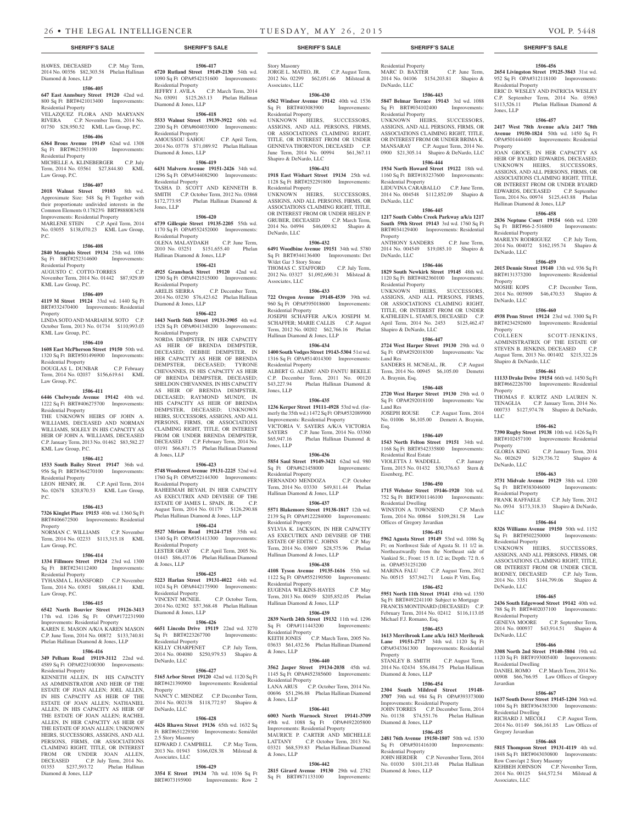HAWES, DECEASED C.P. May Term, 2014 No. 00356 \$82,303.58 Phelan Hallinan Diamond & Jones, LLP

#### **1506-405**

#### **647 East Annsbury Street 19120** 42nd wd. 800 Sq Ft BRT#421013400 Improvements:

Residential Property VELAZQUEZ FLORA AND MARYANN

RIVERA C.P. November Term, 2014 No. 01750 \$28,950.52 KML Law Group, P.C.

#### **1506-406 6364 Brous Avenue 19149** 62nd wd. 1308

Sq Ft BRT#621593100 Improvements: Residential Property MICHELLE A. KLINEBERGER C.P. July

# Term, 2014 No. 03561 \$27,844.80 KML Law Group, P.C.

**1506-407 2018 Walnut Street 19103** 8th wd. Approximate Size: 548 Sq Ft Together with their proportionate undivided interests in the Common Elements 0.17823% BRT#888083458 Improvements: Residential Property MARLENE STEIN C.P. April Term, 2014 No. 03055 \$138,070.23 KML Law Group, P.C.

#### **1506-408**

**2840 Memphis Street 19134** 25th wd. 1086 Sq Ft BRT#252314600 Improvements: Residential Property

# AUGUSTO C. COTTO-TORRES C.P. November Term, 2014 No. 01442 \$87,929.89 KML Law Group, P.C.

**1506-409**

# **4119 M Street 19124** 33rd wd. 1440 Sq Ft BRT#332470400 Improvements: Residential

Property LINDA SOTO AND MARIAH M. SOTO C.P. October Term, 2013 No. 01734 \$110,993.03 KML Law Group, P.C.

# **1506-410**

Law Group, P.C.

**1608 East McPherson Street 19150** 50th wd. 1320 Sq Ft BRT#501496900 Improvements: Residential Property DOUGLAS L. DUNBAR C.P. February Term, 2014 No. 02037 \$156,619.61 KML

**1506-411 6446 Chelwynde Avenue 19142** 40th wd. 1222 Sq Ft BRT#406275700 Improvements:

#### Residential Property THE UNKNOWN HEIRS OF JOHN A. WILLIAMS, DECEASED AND NORMAN WILLIAMS, SOLELY IN HIS CAPACITY AS HEIR OF JOHN A. WILLIAMS, DECEASED C.P. January Term, 2013 No. 01462 \$83,582.27 KML Law Group, P.C.

# **1506-412**

**1533 South Bailey Street 19147** 36th wd. 956 Sq Ft BRT#364270100 Improvements: Residential Property LEON HENRY, JR. C.P. April Term, 2014

No. 02678 \$20,870.53 KML Law Group, P.C.

# **1506-413**

**7326 Kinglet Place 19153** 40th wd. 1360 Sq Ft BRT#406672500 Improvements: Residential Property

NORMAN C. WILLIAMS C.P. November Term, 2014 No. 02233 \$113,315.18 KML Law Group, P.C.

## **1506-414**

**1334 Fillmore Street 19124** 23rd wd. 1300 Sq Ft BRT#234112400 Improvements: Residential Property TYHASMA L. HANSFORD C.P. November

# Term, 2014 No. 03051 \$88,684.11 KML Law Group, P.C.

# **1506-415**

**6542 North Bouvier Street 19126-3413**  17th wd. 1246 Sq Ft OPA#172231900 Improvements: Residential Property KAREN E. MASON A/K/A KAREN MASON C.P. June Term, 2014 No. 00872 \$133,740.81 Phelan Hallinan Diamond & Jones, LLP

# **1506-416**

**349 Pelham Road 19119-3112** 22nd wd. 4589 Sq Ft OPA#223100300 Improvements: Residential Property

KENNETH ALLEN, IN HIS CAPACITY AS ADMINISTRATOR AND HEIR OF THE ESTATE OF JOAN ALLEN; JOEL ALLEN, IN HIS CAPACITY AS HEIR OF THE ESTATE OF JOAN ALLEN; NATHANIEL ALLEN, IN HIS CAPACITY AS HEIR OF THE ESTATE OF JOAN ALLEN; RACHEL ALLEN, IN HER CAPACITY AS HEIR OF THE ESTATE OF JOAN ALLEN; UNKNOWN HEIRS, SUCCESSORS, ASSIGNS, AND ALL PERSONS, FIRMS, OR ASSOCIATIONS CLAIMING RIGHT, TITLE, OR INTEREST FROM OR UNDER JOAN ALLEN,<br>DECEASED C.P. July Term, 2014 No. C.P. July Term, 2014 No. 01353 \$237,593.72 Phelan Hallinan Diamond & Jones, LLP

**1506-417 6720 Rutland Street 19149-2130** 54th wd. 1090 Sq Ft OPA#542151600 Improvements: Residential Property JEFFRY J. AVILA C.P. March Term, 2014 No. 03091 \$125,263.13 Phelan Hallinan

# Diamond & Jones, LLP

**1506-418 5533 Walnut Street 19139-3922** 60th wd. 2200 Sq Ft OPA#604033000 Improvements: Residential Property AMOUSSOU SAHOU C.P. April Term, 2014 No. 03778 \$71,089.92 Phelan Hallinan

# Diamond & Jones, LLP **1506-419**

**6431 Malvern Avenue 19151-2426** 34th wd. 1296 Sq Ft OPA#344082900 Improvements: Residential Property TASHA D. SCOTT AND KENNETH B. SMITH C.P. October Term, 2012 No. 03868 \$172,773.95 Phelan Hallinan Diamond & Jones, LLP

# **1506-420**

**6739 Gillespie Street 19135-2205** 55th wd. 1170 Sq Ft OPA#552452000 Improvements: Residential Property OLENA MALAYDAKH C.P. June Term, 2010 No. 03251 \$151,655.40 Phelan Hallinan Diamond & Jones, LLP

# **1506-421**

**4925 Gransback Street 19120** 42nd wd. 1290 Sq Ft OPA#421515000 Improvements: Residential Property<br>ARELIS SIERRA C.P. December Term, 2014 No. 03230 \$76,423.62 Phelan Hallinan Diamond & Jones, LLP

#### **1506-422**

**1443 North 56th Street 19131-3905** 4th wd. 1528 Sq Ft OPA#041348200 Improvements: Residential Property

NORDA DEMPSTER, IN HER CAPACITY AS HEIR OF BRENDA DEMPSTER, DECEASED; DEBBIE DEMPSTER, IN HER CAPACITY AS HEIR OF BRENDA DEMPSTER, DECEASED; TYRONE CHEVANNES, IN HIS CAPACITY AS HEIR OF BRENDA DEMPSTER, DECEASED; SHELDON CHEVANNES, IN HIS CAPACITY AS HEIR OF BRENDA DEMPSTER, DECEASED; RAYMOND MUNDY, IN HIS CAPACITY AS HEIR OF BRENDA DEMPSTER, DECEASED; UNKNOWN HEIRS, SUCCESSORS, ASSIGNS, AND ALL PERSONS, FIRMS, OR ASSOCIATIONS CLAIMING RIGHT, TITLE, OR INTEREST FROM OR UNDER BRENDA DEMPSTER, DECEASED C.P. February Term, 2014 No. 03191 \$66,871.75 Phelan Hallinan Diamond & Jones, LLP

#### **1506-423**

**5748 Woodcrest Avenue 19131-2225** 52nd wd. 1760 Sq Ft OPA#522144300 Improvements: Residential Property RAHEEMAH BEYAH, IN HER CAPACITY AS EXECUTRIX AND DEVISEE OF THE ESTATE OF JAMES L. SPAIN, JR. C.P. August Term, 2014 No. 01179 \$126,290.88

Phelan Hallinan Diamond & Jones, LLP

**1506-424 5527 Miriam Road 19124-1715** 35th wd. 1340 Sq Ft OPA#351413300 Improvements: Residential Property LESTER GRAY C.P. April Term, 2005 No. 01443 \$86,437.06 Phelan Hallinan Diamond & Jones, LLP

#### **1506-425**

**5223 Harlan Street 19131-4022** 44th wd. 1024 Sq Ft OPA#442175900 Improvements: Residential Property<br>VINCENT MCNEIL C.P. October Term, 2014 No. 02302 \$57,368.48 Phelan Hallinan Diamond & Jones, LLP

# **1506-426**

**6651 Lincoln Drive 19119** 22nd wd. 3270 Sq Ft BRT#223267700 Improvements: Residential Property KELLY CHARPENET C.P. July Term, 2014 No. 004080 \$250,979.53 Shapiro & DeNardo, LLC

# **1506-427**

**5165 Arbor Street 19120** 42nd wd. 1120 Sq Ft BRT#421390900 Improvements: Residential Property NANCY C. MENDEZ C.P. December Term, 2014 No. 002138 \$118,772.97 Shapiro &

**1506-428 4426 Rhawn Street 19136** 65th wd. 1632 Sq Ft BRT#651229300 Improvements: Semi/det 2.5 Story Masonry EDWARD J. CAMPBELL C.P. May Term, 2013 No. 01943 \$166,028.38 Milstead & Associates, LLC

# **1506-429**

DeNardo, LLC

**3354 E Street 19134** 7th wd. 1036 Sq Ft BRT#073195900 Improvements: Row 2

# **SHERIFF'S SALE SHERIFF'S SALE SHERIFF'S SALE SHERIFF'S SALE SHERIFF'S SALE**

Story Masonry JORGE L. MATEO, JR. C.P. August Term, 2012 No. 02299 \$62,051.66 Milstead & Associates, LLC

# **1506-430**

**6562 Windsor Avenue 19142** 40th wd. 1536 Sq Ft BRT#403083900 Improvements: Residential Property

UNKNOWN HEIRS, SUCCESSORS, ASSIGNS, AND ALL PERSONS, FIRMS, OR ASSOCIATIONS CLAIMING RIGHT, TITLE, OR INTEREST FROM OR UNDER GENNEVA THORNTON, DECEASED C.P. June Term, 2014 No. 00994 \$61,367.11 Shapiro & DeNardo, LLC

# **1506-431**

**1918 East Wishart Street 19134** 25th wd. 1128 Sq Ft BRT#252291800 Improvements: Residential Property

UNKNOWN HEIRS, SUCCESSORS, ASSIGNS, AND ALL PERSONS, FIRMS, OR ASSOCIATIONS CLAIMING RIGHT, TITLE, OR INTEREST FROM OR UNDER HELEN P. GRUBER, DECEASED C.P. March Term, 2014 No. 04994 \$46,009.82 Shapiro & DeNardo, LLC

#### **1506-432**

**6491 Woodbine Avenue 19151** 34th wd. 5780 Sq Ft BRT#344136400 Improvements: Det W/det Gar 3 Story Stone

## THOMAS C. STAFFORD C.P. July Term, 2012 No. 03327 \$1,092,690.31 Milstead &

Associates, LLC **1506-433**

**722 Oregon Avenue 19148-4539** 39th wd. 960 Sq Ft OPA#395018600 Improvements: Residential Property JOSEPH SCHAFFER A/K/A JOSEPH M. SCHAFFER; MARIE CALLIS C.P. August Term, 2012 No. 00202 \$62,766.16 Phelan Hallinan Diamond & Jones, LLP

# **1506-434**

**1400 South Vodges Street 19143-5304** 51st wd. 1316 Sq Ft OPA#514014300 Improvements: Residential Property ALBERT G. ALEMU AND FANTU BEKELE

C.P. December Term, 2011 No. 00120 \$43,227.94 Phelan Hallinan Diamond & Jones, LLP

# **1506-435**

**1236 Kerper Street 19111-4928** 53rd wd. (formerly the 35th wd.) 1472 Sq Ft OPA#532089900 Improvements: Residential Property VICTORIA V. SAYERS A/K/A VICTORIA

SAYERS C.P. June Term, 2014 No. 03360 \$65,947.16 Phelan Hallinan Diamond & Jones, LLP

# **1506-436**

**5854 Saul Street 19149-3421** 62nd wd. 980 Sq Ft OPA#621458000 Improvements: Residential Property

FERNANDO MENDOZA C.P. October Term, 2014 No. 03330 \$49,811.44 Phelan Hallinan Diamond & Jones, LLP

# **1506-437**

**5571 Blakemore Street 19138-1817** 12th wd. 2139 Sq Ft OPA#122284000 Improvements: Residential Property

SYLVIA K. JACKSON, IN HER CAPACITY AS EXECUTRIX AND DEVISEE OF THE ESTATE OF EDITH C. JOHNS C.P. May Term, 2014 No. 03609 \$28,575.96 Phelan Hallinan Diamond & Jones, LLP

# **1506-438**

**4108 Tyson Avenue 19135-1616** 55th wd. 1122 Sq Ft OPA#552190500 Improvements: Residential Property EUGENIA WILKINS-HAYES C.P. May

Term, 2013 No. 00459 \$205,852.05 Phelan Hallinan Diamond & Jones, LLP

# **1506-439 2839 North 24th Street 19132** 11th wd. 1296

Sq Ft OPA#111443200 Improvements: Residential Property KEITH JONES C.P. March Term, 2005 No. 03633 \$61,432.56 Phelan Hallinan Diamond & Jones, LLP

# **1506-440**

**3562 Jasper Street 19134-2038** 45th wd. 1145 Sq Ft OPA#452385600 Improvements: Residential Property<br>LANA ARUS C. C.P. October Term, 2014 No. 00696 \$51,296.88 Phelan Hallinan Diamond & Jones, LLP

## **1506-441**

& Jones, LLP

**6003 North Warnock Street 19141-3709**  49th wd. 1088 Sq Ft OPA#492205800 Improvements: Residential Property MAURICE P. CARTER AND MICHELLE LATTANY C.P. October Term, 2013 No. 03321 \$68,539.83 Phelan Hallinan Diamond

# **1506-442**

**2815 Girard Avenue 19130** 29th wd. 2782 Sq Ft BRT#871133100 Improvements:

MARC D. BAXTER C.P. June Term, 2014 No. 04106 \$154,203.81 Shapiro &

**1506-456 2654 Livingston Street 19125-3843** 31st wd. 952 Sq Ft OPA#312118100 Improvements:

ERIC D. WESLEY AND PATRICIA WESLEY C.P. September Term, 2014 No. 03963<br>\$113.526.11 Phelan Hallinan Diamond &

**1506-457 2417 West 78th Avenue a/k/a 2417 78th Avenue 19150-1824** 50th wd. 1450 Sq Ft OPA#501444400 Improvements: Residential

JOAN GROCE, IN HER CAPACITY AS HEIR OF BYAIRD EDWARDS, DECEASED; UNKNOWN HEIRS, SUCCESSORS, ASSIGNS, AND ALL PERSONS, FIRMS, OR ASSOCIATIONS CLAIMING RIGHT, TITLE, OR INTEREST FROM OR UNDER BYAIRD EDWARDS, DECEASED C.P. September Term, 2014 No. 00974 \$125,443.88 Phelan

**1506-458 2836 Neptune Court 19154** 66th wd. 1200 Sq Ft BRT#66-2-516800 Improvements:

MARILYN RODRIGUEZ C.P. July Term, 2014 No. 004072 \$162,195.74 Shapiro &

**1506-459 2015 Dennie Street 19140** 13th wd. 936 Sq Ft BRT#131373200 Improvements: Residential

MOSHE KOPS C.P. December Term, 2014 No. 003909 \$46,470.53 Shapiro &

**1506-460 4938 Penn Street 19124** 23rd wd. 3300 Sq Ft BRT#234292600 Improvements: Residential

ADMINISTRATRIX OF THE ESTATE OF STEVEN B. JENKINS, DECEASED C.P. August Term, 2013 No. 001402 \$215,322.26

**1506-461 11133 Drake Drive 19154** 66th wd. 1450 Sq Ft BRT#662226700 Improvements: Residential

THOMAS F. KURTZ AND LAUREN N.<br>TENAGLIA C.P. January Term, 2014 No.

000733 \$127,974.78 Shapiro & DeNardo,

**1506-462 7390 Rugby Street 19138** 10th wd. 1426 Sq Ft BRT#102457100 Improvements: Residential

GLORIA KING C.P. January Term, 2014 No. 002629 \$129,736.72 Shapiro &

**1506-463 3731 Midvale Avenue 19129** 38th wd. 1200 Sq Ft BRT#383046000 Improvements:

No. 0934 \$173,318.33 Shapiro & DeNardo,

**1506-464 8326 Williams Avenue 19150** 50th wd. 1152 Sq Ft BRT#502250000 Improvements:

UNKNOWN HEIRS, SUCCESSORS, ASSIGNS, AND ALL PERSONS, FIRMS, OR ASSOCIATIONS CLAIMING RIGHT, TITLE, OR INTEREST FROM OR UNDER CECIL RODNEY, DECEASED C.P. July Term, 2014 No. 3351 \$144,799.06 Shapiro &

**1506-465 2436 South Edgewood Street 19142** 40th wd. 788 Sq Ft BRT#402037100 Improvements:

2014 No. 000937 \$43,914.51 Shapiro &

**1506-466 3308 North 2nd Street 19140-5804** 19th wd. 1120 Sq Ft BRT#193005400 Improvements:

DANIEL ROMO C.P. March Term, 2014 No. 00908 \$66,766.95 Law Offices of Gregory

**1506-467 1637 South Dover Street 19145-1204** 36th wd. 1004 Sq Ft BRT#364383300 Improvements:

RICHARD J. MECOLI C.P. August Term, 2014 No. 01149 \$66,161.85 Law Offices of

**1506-468 5815 Thompson Street 19131-4119** 4th wd. 1848 Sq Ft BRT#043030800 Improvements:

KEHBEH JOHNSON C.P. November Term, 2014 No. 00125 \$44,572.54 Milstead &

Row Conv/apt 2 Story Masonry

C.P. January Term, 2014 No.

C.P. July Term, 2012

C.P. September Term,

SCOTT-JENKINS

Hallinan Diamond & Jones, LLP

Residential Property

DeNardo, LLC

DeNardo, LLC

Property<br>COLLEEN

Property

LLC

**Property** 

LLC

DeNardo, LLC

Residential Property<br>FRANK RAFFAELE

Residential Property

DeNardo, LLC

Residential Property<br>GENEVA MOORE

Residential Dwelling

Residential Dwelling

Gregory Javardian

Associates, LLC

DeNardo, LLC

Javardian

Shapiro & DeNardo, LLC

Property

 $\overline{\text{Phelan}}$  Hallinan Diamond  $\&$ 

Residential Property

Jones, LLP

Property

**1506-443 5847 Belmar Terrace 19143** 3rd wd. 1088<br>
Sq Ft BRT#034102400 Improvements:

UNKNOWN HEIRS, SUCCESSORS, ASSIGNS, AND ALL PERSONS, FIRMS, OR ASSOCIATIONS CLAIMING RIGHT, TITLE, OR INTEREST FROM OR UNDER BRIMA K. MANSARAY C.P. August Term, 2014 No. 0900 \$21,305.14 Shapiro & DeNardo, LLC **1506-444 1934 North Howard Street 19122** 18th wd. 1160 Sq Ft BRT#183237600 Improvements:

LIDUVINA CARABALLO C.P. June Term, 2014 No. 004548 \$112,852.09 Shapiro &

**1506-445 1217 South Cobbs Creek Parkway a/k/a 1217 South 59th Street 19143** 3rd wd. 1760 Sq Ft BRT#034129400 Improvements: Residential

ANTHONY SANDERS C.P. June Term, 2014 No. 004549 \$19,085.10 Shapiro &

**1506-446 1829 South Newkirk Street 19145** 48th wd. 1120 Sq Ft BRT#482360100 Improvements:

UNKNOWN HEIRS, SUCCESSORS, ASSIGNS, AND ALL PERSONS, FIRMS, OR ASSOCIATIONS CLAIMING RIGHT. TITLE, OR INTEREST FROM OR UNDER KATHLEEN L. STAMUS, DECEASED C.P. April Term, 2014 No. 2453 \$125,462.47

**1506-447 2724 West Harper Street 19130** 29th wd. 0 Sq Ft OPA#292018300 Improvements: Vac

SANDERS H. MCNEAL, JR. C.P. August Term, 2014 No. 00945 \$6,105.00 Demetri

**1506-448 2720 West Harper Street 19130** 29th wd. 0 Sq Ft OPA#292018100 Improvements: Vac

No. 01006 \$6,105.00 Demetri A. Braynin,

**1506-449 1543 North Felton Street 19151** 34th wd. 1168 Sq Ft BRT#342335800 Improvements:

VIOLETTA J. WADDELL C.P. January Term, 2015 No. 01432 \$30,376.63 Stern &

**1506-450 1715 Webster Street 19146-1920** 30th wd. 752 Sq Ft BRT#301146100 Improvements:

WINSTON A. TOWNSEND C.P. March Term, 2014 No. 00864 \$109,281.58 Law

**1506-451 5962 Agusta Street 19149** 53rd wd. 1086 Sq Ft; on Northwest Side of Agusta St. 11 1/2 in. Northeastwardly from the Northeast side of Vankird St.; Front: 15 ft. 1/2 in; Depth: 72 ft. 6

MARINA FALU C.P. August Term, 2012 No. 00515 \$57,942.71 Louis P. Vitti, Esq. **1506-452 5951 North 11th Street 19141** 49th wd. 1350 Sq Ft BRT#492241100 Subject to Mortgage FRANCIS MONTINARD (DECEASED) C.P. February Term, 2014 No. 02412 \$116,113.05

**1506-453 1613 Merribrook Lane a/k/a 1613 Meribrook Lane 19151-2717** 34th wd. 1120 Sq Ft OPA#343361300 Improvements: Residential

STANLEY B. SMITH C.P. August Term, 2014 No. 02434 \$56,484.75 Phelan Hallinan

**1506-454 2304 South Mildred Street 19148- 3707** 39th wd. 984 Sq Ft OPA#393373000 Improvements: Residential Property JOHN TORRES C.P. December Term, 2014 No. 01138 \$74,551.76 Phelan Hallinan

**1506-455 2481 76th Avenue 19150-1807** 50th wd. 1530 Sq Ft OPA#501416100 Improvements:

JOHN HERDER C.P. November Term, 2014 No. 01030 \$101,213.48 Phelan Hallinan

C.P. August Term, 2014

# Residential Property

DeNardo, LLC

Sq Ft BRT#034102400 Residential Property

Residential Property

DeNardo, LLC

DeNardo, LLC

Residential Property

Shapiro & DeNardo, LLC

Land Res

Esq.

A. Braynin, Esq.

Land Res<br>JOSEPH ROUSE

Residential Real Estate

Residential Dwelling

in. OPA#531251200

Michael F.J. Romano, Esq.

Diamond & Jones, LLP

Diamond & Jones, LLP

Residential Property

Diamond & Jones, LLP

Property

Offices of Gregory Javardian

Eisenberg, P.C.

Property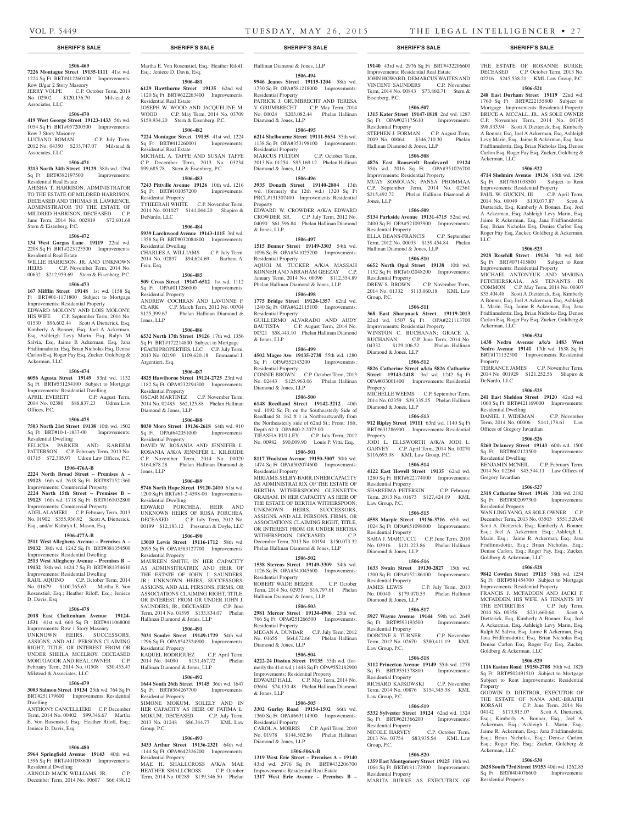Ackerman, LLC

LLC

Ackerman, LLC

Property

DeNardo, LLC

Residential Dwelling

Residential Dwelling

Gregory Javardian

Residential Property

Goldberg & Ackerman, LLC

Goldberg & Ackerman, LLC

Property

Ackerman, LLC

Residential Property

Offices of Gregory Javardian

THE ESTATE OF ROSANNE BURKE, DECEASED C.P. October Term, 2013 No. 02216 \$245,538.21 KML Law Group, P.C. **1506-521 248 East Durham Street 19119** 22nd wd. 1760 Sq Ft BRT#222155800 Subject to Mortgage Improvements: Residential Property BRUCE A. MCCALL, JR., AS SOLE OWNER C.P. November Term, 2014 No. 00745 \$98,933.94 Scott A Dietterick, Esq, Kimberly A Bonner, Esq, Joel A Ackerman, Esq, Ashleigh Levy Marin, Esq, Jaime R Ackerman, Esq, Jana Fridfinnsdottir, Esq, Brian Nicholas Esq, Denise Carlon Esq, Roger Fay Esq, Zucker, Goldberg &

**1506-522 4714 Shelmire Avenue 19136** 65th wd. 1290 Sq Ft BRT#651038500 Subject to Rent Improvements: Residential Property PAUL W. GUCKIN, III C.P. April Term, 2014 No. 00049 \$130,077.87 Scott A Dietterick, Esq, Kimberly A Bonner, Esq, Joel A Ackerman, Esq, Ashleigh Levy Marin, Esq, Jaime R Ackerman, Esq, Jana Fridfinnsdottir, Esq, Brian Nicholas Esq, Denise Carlon Esq, Roger Fay Esq, Zucker, Goldberg & Ackerman,

**1506-523 2928 Rosehill Street 19134** 7th wd. 840 Sq Ft BRT#071415800 Subject to Rent Improvements: Residential Property MICHAEL ANTONYUK AND MARINA PETCHERSKAIA, AS TENANTS IN COMMON C.P. May Term, 2014 No. 00307 \$35,404.48 Scott A Dietterick, Esq, Kimberly A Bonner, Esq, Joel A Ackerman, Esq, Ashleigh L. Marin, Esq, Jaime R Ackerman, Esq, Jana Fridfinnsdottir, Esq, Brian Nicholas Esq, Denise Carlon Esq, Roger Fay Esq, Zucker, Goldberg &

**1506-524 1438 Nedro Avenue a/k/a 1483 West Nedro Avenue 19141** 17th wd. 1638 Sq Ft BRT#171152500 Improvements: Residential

TERRANCE JAMES C.P. November Term, 2014 No. 001929 \$121,252.56 Shapiro &

**1506-525 241 East Sheldon Street 19120** 42nd wd. 1060 Sq Ft BRT#421169000 Improvements:

DANIEL J. WIDEMAN C.P. November Term, 2014 No. 00006 \$141,178.61 Law

**1506-526 5260 Delancey Street 19143** 60th wd. 1500 Sq Ft BRT#602123500 Improvements:

BENJAMIN MCNEIL C.P. February Term, 2014 No. 02264 \$45,544.11 Law Offices of

**1506-527 2318 Catharine Street 19146** 30th wd. 2182 Sq Ft BRT#302097300 Improvements:

WAN LING YANG, AS SOLE OWNER C.P. December Term, 2013 No. 03503 \$551,520.40 Scott A. Dietterick, Esq.; Kimberly A. Bonner, Esq.; Joel A. Ackerman, Esq.; Ashleigh L. Marin, Esq.; Jaime R. Ackerman, Esq.; Jana Fridfinnsdottir, Esq.; Brian Nicholas, Esq.; Denise Carlon, Esq.; Roger Fay, Esq.; Zucker,

**1506-528 9842 Cowden Street 19115** 58th wd. 1254 Sq Ft BRT#581454700 Subject to Mortgage Improvements: Residential Property FRANCIS J. MCFADDEN AND JACKI F. MCFADDEN, HIS WIFE, AS TENANTS BY THE ENTIRETIES C.P. July Term, 2014 No. 00356 \$231,660.64 Scott A Dietterick, Esq, Kimberly A Bonner, Esq, Joel A Ackerman, Esq, Ashleigh Levy Marin, Esq, Ralph M Salvia, Esq, Jaime R Ackerman, Esq, Jana Fridfinnsdottir, Esq, Brian Nicholas Esq, Denise Carlon Esq, Roger Fay Esq, Zucker,

**1506-529 1116 Easton Road 19150-2708** 50th wd. 1828 Sq Ft BRT#502491510 Subject to Mortgage Subject to Rent Improvements: Residential

GODWIN D. DJIETROR, EXECUTOR OF THE ESTATE OF NANA AMU-BRAFIH<br>KORSAH C.P. June Term, 2014 No.

04142 \$173,915.07 Scott A. Dietterick, Esq.; Kimberly A. Bonner, Esq.; Joel A. Ackerman, Esq.; Ashleigh L. Marin, Esq.; Jaime R. Ackerman, Esq.; Jana Fridfinnsdottir, Esq.; Brian Nicholas, Esq.; Denise Carlon, Esq.; Roger Fay, Esq.; Zucker, Goldberg &

**1506-530 2628 South 73rd Street 19153** 40th wd. 1262.85 Sq Ft BRT#404076600 Improvements:

C.P. June Term,  $2014$  No.

Esq.; Jeniece D. Davis, Esq.

Residential Real Estate

Residential Real Estate

Residential Property

Residential Dwelling

Residential Property

DeNardo, LLC

Fein, Esq.

Jones, LLP

Argentieri, Esq.

Residential Property

Diamond & Jones, LLP

Residential Property

Residential Dwelling

Residential Property

Residential Property

Residential Property

Residential Property

HEATHER SHALLCROSS

Group, P.C.

Jones, LLP

**1506-481 6129 Hawthorne Street 19135** 62nd wd. 1120 Sq Ft BRT#622263400 Improvements:

JOSEPH W. WOOD AND JACQUELINE M. WOOD C.P. May Term, 2014 No. 03709 \$159,934.20 Stern & Eisenberg, P.C. **1506-482 7224 Montague Street 19135** 41st wd. 1224 Sq Ft BRT#412260001 Improvements:

MICHAEL A. TAFFE AND SUSAN TAFFE C.P. December Term, 2013 No. 03234 \$99,685.78 Stern & Eisenberg, P.C. **1506-483 7243 Pittville Avenue 19126** 10th wd. 1216 Sq Ft BRT#101057200 Improvements:

TYHEERAH WHITE C.P. November Term, 2014 No. 001027 \$141,044.20 Shapiro &

**1506-484 5939 Larchwood Avenue 19143-1115** 3rd wd. 1358 Sq Ft BRT#032084800 Improvements:

CHARLES A. WILLIAMS C.P. July Term, 2014 No. 02897 \$94,624.69 Barbara A.

**1506-485 509 Cross Street 19147-6512** 1st wd. 1112 Sq Ft OPA#011286000 Improvements:

ANDREW COCHRAN AND LAVONNE F. CLARK C.P. March Term, 2012 No. 00704<br>\$125,399.67 Phelan Hallinan Diamond &

**1506-486 6532 North 17th Street 19126** 17th wd. 1356 Sq Ft BRT#172214800 Subject to Mortgage PEACH PROPERTIES, LLC C.P. July Term, 2013 No. 02190 \$109,620.18 Emmanuel J.

**1506-487 4825 Hawthorne Street 19124-2725** 23rd wd. 1182 Sq Ft OPA#232294300 Improvements:

OSCAR MARTINEZ C.P. November Term, 2014 No. 02485 \$62,125.88 Phelan Hallinan

**1506-488 8030 Moro Street 19136-2618** 64th wd. 910 Sq Ft OPA#642051000 Improvements:

DAVID W. ROSANIA AND JENNIFER L. ROSANIA A/K/A JENNIFER L. KILBRIDE C.P. November Term, 2014 No. 00020 \$164,678.28 Phelan Hallinan Diamond &

**1506-489 5746 North Hope Street 19120-2410** 61st wd. 1200 Sq Ft BRT#61-2-4598-00 Improvements:

EDWARD PORCHEA, HEIR AND UNKNOWN HEIRS OF ROSA PORCHEA, DECEASED C.P. July Term, 2012 No. 00199 \$12,183.12 Pressman & Doyle, LLC **1506-490 13010 Lewis Street 19116-1712** 58th wd. 2095 Sq Ft OPA#583127700 Improvements:

MAUREEN SMITH, IN HER CAPACITY AS ADMINSITRATRIX AND HEIR OF THE ESTATE OF JOHN J. SAUNDERS, JR.; UNKNOWN HEIRS, SUCCESSORS, ASSIGNS, AND ALL PERSONS, FIRMS, OR ASSOCIATIONS CLAIMING RIGHT, TITLE, OR INTEREST FROM OR UNDER JOHN J. SAUNDERS, JR., DECEASED C.P. June Term, 2014 No. 01595 \$133,834.07 Phelan

**1506-491 7031 Souder Street 19149-1729** 54th wd. 1296 Sq Ft OPA#542324900 Improvements:

RAQUEL RODRIGUEZ C.P. April Term, 2014 No. 04090 \$131,467.72 Phelan

**1506-492 1644 South 26th Street 19145** 36th wd. 1647 Sq Ft BRT#364267700 Improvements:

SIMONE MOKUM, SOLELY AND IN HER CAPACITY AS HEIR OF FATIMA L. MOKUM, DECEASED C.P. July Term, 2013 No. 01248 \$86,344.77 KML Law

**1506-493 3433 Arthur Street 19136-2321** 64th wd. 1144 Sq Ft OPA#642326200 Improvements:

MAE H. SHALLCROSS A/K/A MAE<br>HEATHER SHALLCROSS CP October

Term, 2014 No. 00289 \$139,346.50 Phelan

Hallinan Diamond & Jones, LLP

Hallinan Diamond & Jones, LLP

Phelan Hallinan Diamond &

# **1506-469**

**7226 Montague Street 19135-1111** 41st wd. 1224 Sq Ft BRT#412260100 Improvements: Row B/gar 2 Story Masonry JERRY VOLPE C.P. October Term, 2014

No. 02902 \$120,136.70 Milstead & Associates, LLC

# **1506-470**

**419 West George Street 19123-1433** 5th wd. 1054 Sq Ft BRT#057200500 Improvements: Row 3 Story Masonry

LUCIANO ROMAN C.P. July Term, 2012 No. 04350 \$233,747.07 Milstead & Associates, LLC

## **1506-471**

**3213 North 34th Street 19129** 38th wd. 1264 Sq Ft BRT#382197500 Residential Real Estate

AHISHA T. HARRISON, ADMINISTRATOR TO THE ESTATE OF MILDRED HARRISON, DECEASED AND THOMAS H. LAWRENCE, ADMINISTRATOR TO THE ESTATE OF MILDRED HARRISON, DECEASED C.P. June Term, 2014 No. 002819 \$72,601.68 Stern & Eisenberg, P.C.

# **1506-472**

**134 West Gorgas Lane 19119** 22nd wd. 2208 Sq Ft BRT#223123500 Improvements:

Residential Real Estate WILLIE HARRISON, JR. AND UNKNOWN HEIRS C.P. November Term, 2014 No. 00632 \$212,959.69 Stern & Eisenberg, P.C.

#### **1506-473**

**167 Mifflin Street 19148** 1st wd. 1158 Sq Ft BRT#01-1171800 Subject to Mortgage Improvements: Residential Property EDWARD MOLONY AND LOIS MOLONY, HIS WIFE C.P. September Term, 2014 No. 01530 \$96,602.44 Scott A Dietterick, Esq, Kimberly A Bonner, Esq, Joel A Ackerman, Esq, Ashleigh Levy Marin, Esq, Ralph M Salvia, Esq, Jaime R Ackerman, Esq, Jana Fridfinnsdottir, Esq, Brian Nicholas Esq, Denise Carlon Esq, Roger Fay Esq, Zucker, Goldberg & Ackerman, LLC

## **1506-474**

**6056 Agusta Street 19149** 53rd wd. 1132 Sq Ft BRT#531254100 Subject to Mortgage Improvements: Residential Dwelling APRIL EVERETT C.P. August Term, 2014 No. 02380 \$88,837.23 Udren Law

Offices, P.C. **1506-475**

**7503 North 21st Street 19138** 10th wd. 1502 Sq Ft BRT#10-1-1837-00 Improvements: Residential Dwelling FELICIA PARKER AND KAREEM

# PATTERSON C.P. February Term, 2013 No. 01715 \$72,305.97 Udren Law Offices, P.C. **1506-476A-B**

# **2224 North Broad Street – Premises A –**

**19123** 16th wd. 2618 Sq Ft BRT#871521360 Improvements: Commercial Property

**2224 North 15th Street – Premises B – 19123** 16th wd. 1718 Sq Ft BRT#161032800

Improvements: Commercial Property ADEL ALAMERI C.P. February Term, 2013 No. 01902 \$355,936.92 Scott A. Dietterick, Esq., and/or Kathryn L. Mason, Esq.

# **1506-477A-B**

**2511 West Allegheny Avenue – Premises A – 19132** 38th wd. 1242 Sq Ft BRT#381354500 Improvements: Residential Dwelling

#### **2513 West Allegheny Avenue – Premises B – 19132** 38th wd. 1424.7 Sq Ft BRT#381354610 Improvements: Residential Dwelling RAUL AQUINO C.P. October Term, 2014

No. 01679 \$100,765.67 Martha E. Von Rosenstiel, Esq.; Heather Riloff, Esq.; Jeniece D. Davis, Esq.

# **1506-478**

**2018 East Cheltenham Avenue 19124- 1531** 41st wd. 660 Sq Ft BRT#411068000 Improvements: Row 1 Story Masonry UNKNOWN HEIRS, SUCCESSORS, ASSIGNS, AND ALL PERSONS CLAIMING RIGHT, TITLE, OR INTEREST FROM OR UNDER SHEILA MCELROY, DECEASED MORTGAGOR AND REAL OWNER C.P. February Term, 2014 No. 01508 \$30,455.47 Milstead & Associates, LLC

# **1506-479**

**3003 Salmon Street 19134** 25th wd. 764 Sq Ft BRT#251179600 Improvements: Residential Dwelling

ANTHONY CANCELLIERE C.P. December Term, 2014 No. 00402 \$99,346.67 Martha E. Von Rosenstiel, Esq.; Heather Riloff, Esq.; Jeniece D. Davis, Esq.

#### **1506-480**

**5964 Springfield Avenue 19143** 40th wd. 1596 Sq Ft BRT#401098600 Improvements: Residential Dwelling

ARNOLD MACK WILLIAMS, JR. C.P. December Term, 2014 No. 00607 \$66,438.12

# **SHERIFF'S SALE SHERIFF'S SALE SHERIFF'S SALE SHERIFF'S SALE SHERIFF'S SALE**

# Martha E. Von Rosenstiel, Esq.; Heather Riloff, Hallinan Diamond & Jones, LLP

**1506-494 9946 Jeanes Street 19115-1204** 58th wd. 1730 Sq Ft OPA#581218000 Improvements: Residential Property

PATRICK J. GRUMBRECHT AND TERESA V. GRUMBRECHT C.P. May Term, 2014 No. 00024 \$203,082.44 Phelan Hallinan Diamond & Jones, LLP

# **1506-495**

**6214 Shelbourne Street 19111-5634** 35th wd. 1138 Sq Ft OPA#353198100 Improvements: Residential Property C.P. October Term,

2013 No. 01254 \$95,169.12 Phelan Hallinan Diamond & Jones, LLP

# **1506-496**

**3935 Donath Street 19140-2804** 13th wd. (formerly the 12th wd.) 1320 Sq Ft PRCL#131307400 Improvements: Residential Property EDWARD W. CROWDER A/K/A EDWARD

CROWDER, SR. C.P. July Term, 2012 No. 04090 \$61,596.84 Phelan Hallinan Diamond & Jones, LLP

# **1506-497**

**1515 Benner Street 19149-3303** 54th wd. 1096 Sq Ft OPA#541025200 Improvements: Residential Property AQUOI M. TUCKER A/K/A MASSAH KONNEH AND ABRAHAM GEEZAY C.P. January Term, 2014 No. 00396 \$112,554.89

# Phelan Hallinan Diamond & Jones, LLP

**1506-498 1775 Bridge Street 19124-1357** 62nd wd. 1240 Sq Ft OPA#622115100 Improvements: Residential Property GUILLERMO ALVARADO AND AUDY BAUTISTA C.P. August Term, 2014 No. 00321 \$58,443.10 Phelan Hallinan Diamond & Jones, LLP

#### **1506-499**

**4502 Magee Ave 19135-2738** 55th wd. 1280 Sq Ft OPA#552143200 Residential Property CONNIE BROWN C.P. October Term, 2013 No. 02443 \$125,963.06 Phelan Hallinan Diamond & Jones, LLP

#### **1506-500**

**6148 Reedland Street 19142-3212** 40th wd. 1092 Sq Ft; on the Southeasterly Side of Reedland St. 162 ft 1 in Northeastwardly from the Northeasterly side of 62nd St.; Front: 16ft, Depth 62 ft OPA#40-2-2073.00 TIEASHA PULLEY C.P. July Term, 2012 No. 00982 \$90,009.90 Louis P. Vitti, Esq.

# **1506-501**

**8117 Woolston Avenue 19150-3007** 50th wd. 1474 Sq Ft OPA#502074600 Improvements: Residential Property MIRIAM S. SELBY-BARR, INHER CAPACITY

AS ADMINISTRATRIX OF THE ESTATE OF BERTHA WITHERSPOON; GLENNETTA GRAHAM, IN HER CAPACITY AS HEIR OF THE ESTATE OF BERTHA WITHERSPOON; UNKNOWN HEIRS, SUCCESSORS, ASSIGNS, AND ALL PERSONS, FIRMS, OR ASSOCIATIONS CLAIMING RIGHT, TITLE, OR INTEREST FROM OR UNDER BERTHA WITHERSPOON, DECEASED December Term, 2013 No. 00194 \$150,073.32 Phelan Hallinan Diamond & Jones, LLP

# **1506-502**

**1538 Stevens Street 19149-3309** 54th wd. 1126 Sq Ft OPA#541045600 Improvements: Residential Property ROBERT WADE BEIZER C.P. October Term, 2014 No. 02933 \$16,797.61 Phelan

# Hallinan Diamond & Jones, LLP

**1506-503 2981 Mercer Street 19134-4906** 25th wd. 766 Sq Ft OPA#251266500 Improvements: Residential Property MEGAN A. DUNBAR C.P. July Term, 2012 No. 01655 \$64,072.66 Phelan Hallinan

# Diamond & Jones, LLP

**1506-504 4222-24 Disston Street 19135** 55th wd. (formerly the 41st wd.) 1448 Sq Ft OPA#552182900 Improvements: Residential Property EDWARD HALL C.P. May Term, 2014 No.<br>03604 \$74,130.48 Phelan Hallinan Diamond Phelan Hallinan Dia & Jones, LLP

#### **1506-505**

**3302 Gurley Road 19154-1502** 66th wd. 1360 Sq Ft OPA#663114900 Improvements: Residential Property CAROL A. MORRIS C.P. April Term, 2010 No. 01978 \$144,502.86 Phelan Hallinan Diamond & Jones, LLP

# **1506-506A-B**

**1319 West Erie Street – Premises A – 19140**  43rd wd. 2976 Sq Ft BRT#432206700 Improvements: Residential Real Estate **1317 West Erie Avenue – Premises B –** 

**19140** 43rd wd. 2976 Sq Ft BRT#432206600 Improvements: Residential Real Estate JOHN HOWARD, DEMARCUS WAITES AND VINCENT SAUNDERS C.P. November Term, 2014 No. 00843 \$73,860.71 Stern & Eisenberg, P.C.

# **1506-507**

**1315 Kater Street 19147-1818** 2nd wd. 1287 Sq Ft OPA#023175610 Improvements: Residential Property STEPHEN J. FORMAN C.P. August Term,<br>2009 No. 00064 \$346,710.30 Phelan 2009 No. 00064 \$346,710.30 Hallinan Diamond & Jones, LLP

# **1506-508**

**4876 East Roosevelt Boulevard 19124**  35th wd. 2016 Sq Ft OPA#351026700 Improvements: Residential Property MUAY SOMOUAN; PANSA PHOMMAA C.P. September Term, 2014 No. 02361 \$215,492.72 Phelan Hallinan Diamond & Jones, LLP

#### **1506-509**

**5134 Parkside Avenue 19131-4715** 52nd wd. 2400 Sq Ft OPA#521093900 Improvements: Residential Property ELLA DEANS-FRANCIS C.P. September Term, 2012 No. 00033 \$159,454.84 Phelan Hallinan Diamond & Jones, LLP

# **1506-510**

**6652 North Opal Street 19138** 10th wd. 1152 Sq Ft BRT#102048200 Improvements: Residential Property<br>DREW S. BROWN C.P. November Term, 2014 No. 01332 \$113,060.18 KML Law

## **1506-511**

Group, P.C.

**368 East Sharpnack Street 19119-2013**  22nd wd. 1507 Sq Ft OPA#221113700 Improvements: Residential Property WINSTON C. BUCHANAN; GRACE A. BUCHANAN C.P. June Term, 2014 No. 04332 \$129,106.52 Phelan Hallinan Diamond & Jones, LLP

# **1506-512**

**5826 Catherine Street a/k/a 5826 Catharine Street 19143-2418** 3rd wd. 1242 Sq Ft OPA#033001400 Improvements: Residential Property MICHELLE WEEMS C.P. September Term,

2014 No. 02359 \$39,335.25 Phelan Hallinan Diamond & Jones, LLP **1506-513**

**912 Ripley Street 19111** 63rd wd. 1140 Sq Ft BRT#631286900 Improvements: Residential Property JODI L. ELLSWORTH A/K/A JODI L.

GARVEY C.P. April Term, 2014 No. 00270

\$116,695.98 KML Law Group, P.C. **1506-514 4122 East Howell Street 19135** 62nd wd. 1280 Sq Ft BRT#622174000 Improvements: Residential Property

SHAREEMA PETERKIN C.P. February Term, 2013 No. 01673 \$127,424.19 KML Law Group, P.C.

#### **1506-515 4558 Marple Street 19136-3716** 65th wd.

1024 Sq Ft OPA#651098000 Improvements: Residential Property SARA J. MARCUCCI C.P. June Term, 2010 No. 03916 \$121,223.86 Phelan Hallinan Diamond & Jones, LLP

# **1506-516**

**1633 Swain Street 19130-2827** 15th wd. 1200 Sq Ft OPA#152186100 Improvements: Residential Property<br>JAMES LEWIS C.P. July Term, 2013 No. 00040 \$179,070.53 Phelan Hallinan Diamond & Jones, LLP

# **1506-517**

**5927 Wayne Avenue 19144** 59th wd. 2649 Sq Ft BRT#593193500 Improvements: Residential Property DORCINE S. TURNER C.P. November Term, 2012 No. 02670 \$380,411.19 KML Law Group, P.C.

# **1506-518**

**3112 Princeton Avenue 19149** 55th wd. 1278 Sq Ft BRT#551378800 Improvements: Residential Property RICHARD KAJKOWSKI C.P. November

Term, 2014 No. 00876 \$154,345.38 KML Law Group, P.C. **1506-519 5332 Sylvester Street 19124** 62nd wd. 1324 Sq Ft BRT#621366200 Improvements: Residential Property

NICOLE HARVEY C.P. October Term, 2013 No. 03754 \$83,935.54 KML Law Group, P.C.

1064 Sq Ft BRT#181172900 Improvements:

MARITA BURKE AS EXECUTRIX OF

#### **1506-520 1359 East Montgomery Street 19125** 18th wd.

Residential Property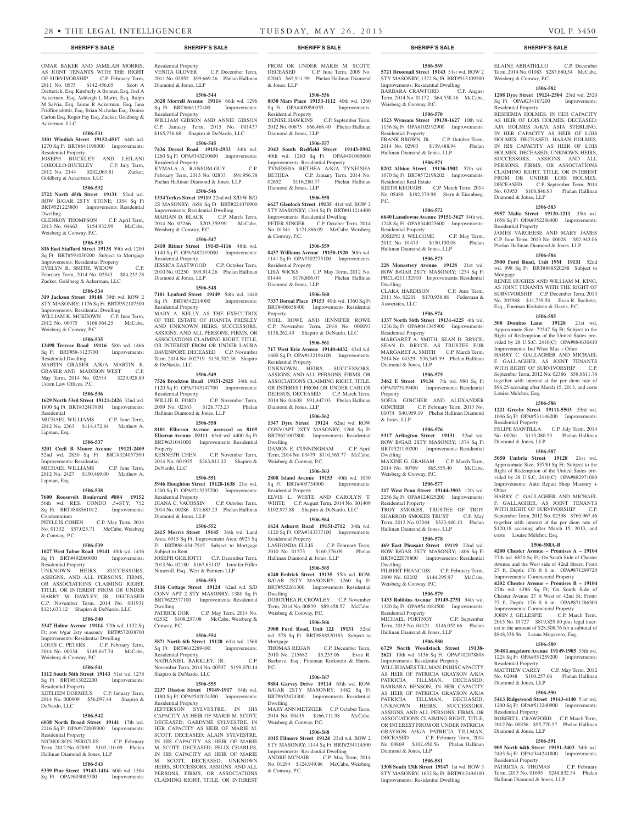#### OMAR BAKER AND JAMILAH MORRIS, AS JOINT TENANTS WITH THE RIGHT OF SURVIVORSHIP C.P. February Term, 2011 No. 0575 \$142,456.65 Scott A Dietterick, Esq, Kimberly A Bonner, Esq, Joel A Ackerman, Esq, Ashleigh L Marin, Esq, Ralph M Salvia, Esq, Jaime R Ackerman, Esq, Jana Fridfinnsdottir, Esq, Brian Nicholas Esq, Denise Carlon Esq, Roger Fay Esq, Zucker, Goldberg & Ackerman, LLC

# **1506-531**

# **3101 Windish Street 19152-4517** 64th wd.

1270 Sq Ft BRT#641198000 Improvements: Residential Property JOSEPH BUCKLEY AND LEILANI LOKOLLO-BUCKLEY C.P. July Term,

2012 No. 2144 \$202,065.81 Zucker, Goldberg & Ackerman, LLC

# **1506-532**

**2722 North 45th Street 19131** 52nd wd. ROW B/GAR 2STY STONE; 1354 Sq Ft BRT#521225800 Improvements: Residential Dwelling GLENROY THOMPSON C.P. April Term,

2013 No. 04663 \$154,932.99 McCabe, Weisberg & Conway, P.C.

# **1506-533**

**816 East Stafford Street 19138** 59th wd. 1200 Sq Ft BRT#591030200 Subject to Mortgage Improvements: Residential Property EVELYN B. SMITH, WIDOW C.P. February Term, 2014 No. 02343 \$84,232.28 Zucker, Goldberg & Ackerman, LLC

#### **1506-534**

**319 Jackson Street 19148** 39th wd. ROW 2 STY MASONRY; 1176 Sq Ft BRT#392107500 Improvements: Residential Dwelling WILLIAM K. MCKEOWN C.P. June Term, 2012 No. 00375 \$168,064.25 McCabe, Weisberg & Conway, P.C.

# **1506-535**

**13498 Trevose Road 19116** 58th wd. 1466 Sq Ft BRT#58-3123700 Improvements: Residential Dwelling MARTIN GRASER A/K/A MARTIN E.

GRASER AND MADISON WEST C.P. May Term, 2014 No. 02534 \$229,928.89 Udren Law Offices, P.C. **1506-536**

#### **1629 North 33rd Street 19121-2426** 32nd wd. 1800 Sq Ft BRT#32407800 Improvements: Residential MICHAEL WILLIAMS C.P. June Term,

2012 No. 2363 \$114,472.84 Matthew A. Lipman, Esq.

# **1506-537**

**3201 Cecil B Moore Avenue 19121-2409**  32nd wd. 2850 Sq Ft BRT#324057500 Improvements: Residential MICHAEL WILLIAMS C.P. June Term,

# 2012 No. 2427 \$150,469.00 Matthew A. Lipman, Esq.

**1506-538**

**7600 Roosevelt Boulevard #804 19152**  56th wd. RES. CONDO .5+STY; 712 Sq Ft BRT#888561012 Improvements: Condominium<br>PHYLLIS COHEN C.P. May Term, 2014 No. 01332 \$57,025.71 McCabe, Weisberg

# & Conway, P.C.

**1506-539**

# **1027 West Tabor Road 19141** 49th wd. 1416 Sq Ft BRT#492060000 Improvements:

Residential Property UNKNOWN HEIRS, SUCCESSORS, ASSIGNS, AND ALL PERSONS, FIRMS, OR ASSOCIATIONS CLAIMING RIGHT, TITLE, OR INTEREST FROM OR UNDER HARRY M. DAWLEY, JR., DECEASED C.P. November Term, 2014 No. 001931 \$121,633.12 Shapiro & DeNardo, LLC

# **1506-540**

**3347 Holme Avenue 19114** 57th wd. 1132 Sq Ft; row b/gar 2sty masonry BRT#572038700 Improvements: Residential Dwelling LOUIS C. PETERS C.P. February Term, 2014 No. 00334 \$149,647.74 McCabe, Weisberg & Conway, P.C.

# **1506-541**

**1112 South 56th Street 19143** 51st wd. 1278 Sq Ft BRT#513022200 Improvements: ial Property

KETLEEN DORMEUS C.P. January Term, 2014 No. 000909 \$56,097.44 Shapiro & DeNardo, LLC

#### **1506-542**

**6038 North Broad Street 19141** 17th wd. 2216 Sq Ft OPA#172009300 Improvements:

Residential Property NICHOLSON PERICLES C.P. February Term, 2012 No. 02895 \$103,110.09 Phelan Hallinan Diamond & Jones, LLP

### **1506-543**

**5339 Pine Street 19143-1414** 60th wd. 1504 Sq Ft OPA#603085500 Improvements:

# Residential Property

VENITA GLOVER C.P. December Term, 2011 No. 02952 \$99,669.26 Phelan Hallinan Diamond & Jones, LLP

#### **1506-544 3628 Morrell Avenue 19114** 66th wd. 1296<br>
Sq Ft BRT#661127400 Improvements: Sq Ft BRT#661127400

Residential Property WILLIAM GIBSON AND ANNIE GIBSON C.P. January Term, 2015 No. 001437 \$165,736.68 Shapiro & DeNardo, LLC

# **1506-545**

**7436 Drexel Road 19151-2933** 34th wd. 1260 Sq Ft OPA#343210600 Improvements: Residential Property KYMALA A. RANSOM-GUY C.P. February Term, 2013 No. 02833 \$91,956.78 Phelan Hallinan Diamond & Jones, LLP

## **1506-546**

**1334 Yerkes Street 19119** 22nd wd. S/D W B/G 2S MASONRY; 1656 Sq Ft BRT#221070900 Improvements: Residential Dwelling MARIAN D. BLACK C.P. March Term, 2014 No. 05266 \$203,359.99 McCabe, Weisberg & Conway, P.C.

# **1506-547**

**2410 Ritner Street 19145-4116** 48th wd. 1140 Sq Ft OPA#482119000 Improvements: Residential Property JESSICA EASTWOOD C.P. October Term, 2010 No. 02250 \$99,914.26 Phelan Hallinan

# **1506-548**

Diamond & Jones, LLP

**7101 Lynford Street 19149** 54th wd. 1440 Sq Ft BRT#542214000 Improvements: Residential Property MARY A. KELLY, AS THE EXECUTRIX OF THE ESTATE OF JUANITA PRESLEY AND UNKNOWN HEIRS, SUCCESSORS ASSIGNS, AND ALL PERSONS, FIRMS, OR ASSOCIATIONS CLAIMING RIGHT, TITLE, OR INTEREST FROM OR UNDER LAURA DAVENPORT, DECEASED C.P. November Term, 2014 No. 002719 \$158,702.38 Shapiro & DeNardo, LLC

# **1506-549**

**7526 Brockton Road 19151-2825** 34th wd. 1120 Sq Ft OPA#343147700 Improvements: Residential Property WILLIE B. FORD C.P. November Term, 2009 No. 02163 \$126,773.23 Phelan Hallinan Diamond & Jones, LLP

# **1506-550 8101 Elberon Avenue assessed as 8105 Elberon Avenue 19111** 63rd wd. 4400 Sq Ft

BRT#631041000 Improvements: Residential Property<br>KENNETH CHEN C.P. November Term, 2014 No. 001925 \$263,812.32 Shapiro & DeNardo, LLC

## **1506-551**

**5946 Houghton Street 19128-1638** 21st wd. 1200 Sq Ft OPA#213235700 Improvements: Residential Property DIANA C. VACOSSIN C.P. October Term, 2014 No. 00286 \$71,685.23 Phelan Hallinan Diamond & Jones, LLP

**1506-552**

**2415 Morris Street 19145** 36th wd. Land Area: 6915 Sq Ft; Improvement Area: 6923 Sq Ft BRT#88-434-7515 Subject to Mortgage Subject to Rent JOSEPH GIGLIOTTI C.P. December Term, 2013 No. 02180 \$167,631.02 Jennifer Hiller Nimeroff, Esq.; Weir & Partners LLP

#### **1506-553**

**5116 Cottage Street 19124** 62nd wd. S/D CONV APT 2 STY MASONRY; 1380 Sq Ft BRT#622377100 Improvements: Residential Dwelling PATRICK DOR C.P. May Term, 2014 No. 02532 \$108,257.08 McCabe, Weisberg &

# **1506-554**

Conway, P.C.

**5871 North 6th Street 19120** 61st wd. 1568 Sq Ft BRT#612289400 Improvements: Residential Property NATHANIEL BARKLEY, JR. C.P.

November Term, 2014 No. 00507 \$199,070.14 Shapiro & DeNardo, LLC **1506-555**

# **2237 Disston Street 19149-1917** 54th wd. 1180 Sq Ft OPA#542074300 Improvements: Residential Property

JEFFERSON SYLVESTRE, IN HIS CAPACITY AS HEIR OF MARIE M. SCOTT, DECEASED: GARDYNE SYLVESTRE, IN HER CAPACITY AS HEIR OF MARIE M. SCOTT, DECEASED; ALAIN SYLVESTRE, IN HIS CAPACITY AS HEIR OF MARIE M. SCOTT, DECEASED; FELIX CHARLES, IN HIS CAPACITY AS HEIR OF MARIE M. SCOTT, DECEASED; UNKNOWN HEIRS, SUCCESSORS, ASSIGNS, AND ALL PERSONS, FIRMS, OR ASSOCIATIONS CLAIMING RIGHT, TITLE, OR INTEREST

# **SHERIFF'S SALE SHERIFF'S SALE SHERIFF'S SALE SHERIFF'S SALE SHERIFF'S SALE**

FROM OR UNDER MARIE M. SCOTT, DECEASED C.P. June Term, 2009 No. 02043 \$65,911.99 Phelan Hallinan Diamond & Jones, LLP

**1506-569 5721 Broomall Street 19143** 51st wd. ROW 2 STY MASONRY; 1322 Sq Ft BRT#513109200 Improvements: Residential Dwelling<br>BARBARA CRAWFORD C.P. August BARBARA CRAWFORD C.P. August Term, 2014 No. 01172 \$64,558.16 McCabe,

ELAINE ABBATIELLO C.P. December Term, 2014 No. 01083 \$287,680.54 McCabe,

**1506-582 1208 Dyre Street 19124-2504** 23rd wd. 2520 Sq Ft OPA#234167200 Improvements:

RESHEMIA HOLMES, IN HER CAPACITY AS HEIR OF LOIS HOLMES, DECEASED; AJA HOLMES A/K/A ASIA STERLING, IN HER CAPACITY AS HEIR OF LOIS HOLMES, DECEASED; HASAN HOLMES, IN HIS CAPACITY AS HEIR OF LOIS HOLMES, DECEASED; UNKNOWN HEIRS, SUCCESSORS, ASSIGNS, AND ALL PERSONS, FIRMS, OR ASSOCIATIONS CLAIMING RIGHT, TITLE, OR INTEREST FROM OR UNDER LOIS HOLMES, DECEASED C.P. September Term, 2014 No. 03953 \$108,846.83 Phelan Hallinan

**1506-583 5957 Malta Street 19120-1211** 35th wd. 1058 Sq Ft OPA#352286400 Improvements:

JAMES VARGHESE AND MARY JAMES C.P. June Term, 2013 No. 00028 \$92,943.06 Phelan Hallinan Diamond & Jones, LLP **1506-584 3900 Ford Road, Unit 19M 19131** 52nd wd. 998 Sq Ft BRT#888520288 Subject to

RENEE HUGHES AND WILLIAM M. KING, AS JOINT TENANTS WITH THE RIGHT OF SURVIVORSHIP C.P. December Term, 2013 No. 205988 \$11,739.50 Evan R. Bachove, Esq., Fineman Krekstein & Harris, P.C. **1506-585 300 Domino Lane 19128** 21st wd. Approximate Size: 72547 Sq Ft; Subject to the Right of Redemption of the United States provided by 28 U.S.C. 2410(C) OPA#884630410 Improvements: Ind Whse Mas + Other HARRY C. GALLAGHER AND MICHAEL F. GALLAGHER, AS JOINT TENANTS WITH RIGHT OF SURVIVORSHIP C.P. September Term, 2012 No. 02386 \$58,8611.76 together with interest at the per diem rate of \$96.25 accruing after March 15, 2013, and costs

**1506-586 1221 Greeby Street 19111-5503** 53rd wd. 1046 Sq Ft OPA#531146200 Improvements:

FELIPE MANTILLA C.P. July Term, 2014 No. 00261 \$113,080.53 Phelan Hallinan

**1506-587 5050 Umbria Street 19128** 21st wd. Approximate Size: 53750 Sq Ft; Subject to the Right of Redemption of the United States provided by 28 U.S.C. 2410(C) OPA#882971080 Improvements: Auto Repair Shop Masonry +

HARRY C. GALLAGHER AND MICHAEL F. GALLAGHER, AS JOINT TENANTS WITH RIGHT OF SURVIVORSHIP C.P. September Term, 2012 No. 02398 \$769,967.46 together with interest at the per diem rate of \$120.18 accruing after March 15, 2013, and

**1506-588A-B 4200 Chester Avenue – Premises A – 19104**  27th wd. 6820 Sq Ft; On South Side of Chester Avenue and the West side of 42nd Street; Front 27 ft, Depth: 176 ft 6 in OPA#871299720 Improvements: Commercial Property **4202 Chester Avenue – Premises B – 19104**  27th wd. 4386 Sq Ft; On South Side of Chester Avenue 27 ft West of 42nd St: Front: 27 ft, Depth: 176 ft 6 in OPA#871286300 Improvements: Commercial Property JOHN J. GILLESPIE C.P. March Term, 2015 No. 01727 \$819,829.80 plus legal interest in the amount of \$28,508.76 for a subtotal of \$848,338.56 Leona Mogavero, Esq. **1506-589 3048 Longshore Avenue 19149-1905** 55th wd. 1224 Sq Ft OPA#551259200 Improvements:

MATTHEW CAREY C.P. May Term, 2012 No. 02948 \$160,257.66 Phelan Hallinan

**1506-590 5413 Ridgewood Street 19143-4140** 51st wd. 1200 Sq Ft OPA#513240900 Improvements:

ROBERT L. CRAWFORD C.P. March Term, 2012 No. 00356 \$95,770.57 Phelan Hallinan

**1506-591 905 North 64th Street 19151-3403** 34th wd. 2403 Sq Ft OPA#344241800 Improvements:

PATRICIA A. THOMAS C.P. February Term, 2013 No. 01695 \$248,832.34 Phelan

Weisberg & Conway, P.C.

Residential Property

Diamond & Jones, LLP

Residential Property

Louise Melchor, Esq.

Residential Property

Other

Diamond & Jones, LLP

costs Louise Melchor, Esq.

Residential Property

Diamond & Jones, LLP

Residential Property

Diamond & Jones, LLP

Residential Property

Hallinan Diamond & Jones, LLP

Mortgage

**1506-570 1523 Wynsam Street 19138-1627** 10th wd. 1156 Sq Ft OPA#102192900 Improvements:

FRANK BROWN, JR. C.P. October Term, 2014 No. 02903 \$139,488.94 Phelan

**1506-571 8202 Albion Street 19136-1902** 57th wd. 1070 Sq Ft BRT#572198202 Improvements:

KEITH KEOUGH C.P. March Term, 2014 No. 05488 \$182,379.98 Stern & Eisenberg,

**1506-572 6640 Lansdowne Avenue 19151-3627** 34th wd. 1248 Sq Ft OPA#344023600 Improvements:

JOSEPH J. WELCOME C.P. May Term, 2012 No. 01473 \$130,150.08 Phelan

**1506-573 228 Monastery Avenue 19128** 21st wd. ROW B/GAR 2STY MASONRY; 1234 Sq Ft PRCL#211132910 Improvements: Residential

CLARA HARDISON C.P. June Term, 2011 No. 02201 \$170,938.88 Federman &

**1506-574 1337 North 56th Street 19131-4225** 4th wd. 1236 Sq Ft OPA#041345900 Improvements:

MARGARET A. SMITH; SEAN D. BRYCE; SEAN D. BRYCE, AS TRUSTEE FOR MARGARET A. SMITH C.P. March Term, 2014 No. 04329 \$36,549.99 Phelan Hallinan

**1506-575 3462 E Street 19134** 7th wd. 980 Sq Ft OPA#073199400 Improvements: Residential

SOFIA GINCHER AND ALEXANDER GINCHER C.P. February Term, 2013 No. 01074 \$40,959.19 Phelan Hallinan Diamond

**1506-576 5317 Arlington Street 19131** 52nd wd. ROW B/GAR 2STY MASONRY; 1574 Sq Ft BRT#521130200 Improvements: Residential

MAXINE G. GRAHAM C.P. March Term, 2014 No. 00769 \$65,555.40 McCabe,

**1506-577 217 West Penn Street 19144-3903** 12th wd. 2256 Sq Ft OPA#124025200 Improvements:

TROY SMOKES, TRUSTEE OF TROY SHARROD SMOKES TRUST C.P. May Term, 2013 No. 03044 \$323,440.10 Phelan

**1506-578 469 East Pleasant Street 19119** 22nd wd. ROW B/GAR 2STY MASONRY; 1406 Sq Ft BRT#222078800 Improvements: Residential

FILBERT FRANCOIS C.P. February Term, 2009 No. 02202 \$144,295.97 McCabe,

**1506-579 1433 Robbins Avenue 19149-2751** 54th wd. 1320 Sq Ft OPA#541084500 Improvements:

MICHAEL PORTNOY C.P. September Term, 2013 No. 04121 \$146,052.66 Phelan

**1506-580 6729 North Woodstock Street 19138- 2621** 10th wd. 1136 Sq Ft OPA#102078808 Improvements: Residential Property WILLIE JAMES TILL MAN IN HIS CAPACITY AS HEIR OF PATRICIA GRAYSON A/K/A PATRICIA TILLMAN, DECEASED; BARBARA BENSON, IN HER CAPACITY AS HEIR OF PATRICIA GRAYSON A/K/A PATRICIA TILLMAN, DECEASED; UNKNOWN HEIRS, SUCCESSORS, ASSIGNS, AND ALL PERSONS, FIRMS, OR ASSOCIATIONS CLAIMING RIGHT, TITLE, OR INTEREST FROM OR UNDER PATRICIA GRAYSON A/K/A PATRICIA TILLMAN,<br>DECEASED C.P. February Term. 2014

C.P. February Term, 2014

No. 00869 \$102,450.56 Phelan Hallinan

**1506-581 1308 South 13th Street 19147** 1st wd. ROW 3 STY MASONRY; 1632 Sq Ft BRT#012494100 Improvements: Residential Dwelling

Diamond & Jones, LLP

Hallinan Diamond & Jones, LLP

Weisberg & Conway, P.C.

Residential Property

Residential Real Estate

Residential Property

P.C.

Dwelling

Associates, LLC

Residential Property

Diamond & Jones, LLP

Property

& Jones, LLP

Dwelling

Dwelling

Weisberg & Conway, P.C.

Hallinan Diamond & Jones, LLP

Weisberg & Conway, P.C.

Hallinan Diamond & Jones, LLP

Residential Property

Residential Property

Hallinan Diamond & Jones, LLP

#### **1506-556**

**8030 Mars Place 19153-1112** 40th wd. 1260 Sq Ft OPA#405890055 Improvements: Residential Property

DENISE HAWKINS C.P. September Term, 2012 No. 00675 \$66,468.40 Phelan Hallinan Diamond & Jones, LLP

# **1506-557**

**2043 South Redfield Street 19143-5902**  40th wd. 1260 Sq Ft OPA#401065600 Improvements: Residential Property TYNESHIA BETHEA A/K/A TYNEISHA BETHEA C.P. January Term, 2014 No. 02652 \$116,280.37 Phelan Hallinan Diamond & Jones, LLP

#### **1506-558**

**6627 Glenloch Street 19135** 41st wd. ROW 2 STY MASONRY; 1344 Sq Ft BRT#411214400 Improvements: Residential Dwelling PETER SINGER C.P. October Term, 2014 No. 01341 \$121,886.09 McCabe, Weisberg & Conway, P.C.

#### **1506-559**

**8437 Williams Avenue 19150-1920** 50th wd. 1141 Sq Ft OPA#502275100 Improvements: Residential Property LISA WICKS C.P. May Term, 2012 No. 01444 \$176,806.07 Phelan Hallinan Diamond & Jones, LLP

# **1506-560**

**7337 Boreal Place 19153** 40th wd. 1360 Sq Ft BRT#406658400 Improvements: Residential Property

NOEL ROWE AND JENNIFER ROWE C.P. November Term, 2014 No. 000093 \$138,262.43 Shapiro & DeNardo, LLC

#### **1506-561 717 West Erie Avenue 19140-4432** 43rd wd.

1600 Sq Ft OPA#432196100 Improvements: Residential Property UNKNOWN HEIRS, SUCCESSORS, ASSIGNS, AND ALL PERSONS, FIRMS, OR ASSOCIATIONS CLAIMING RIGHT, TITLE, OR INTEREST FROM OR UNDER CARLOS DEJESUS, DECEASED C.P. March Term, 2014 No. 04638 \$91,447.03 Phelan Hallinan Diamond & Jones, LLP

# **1506-562**

**1347 Dyre Street 19124** 62nd wd. ROW CONV/APT 2STY MASONRY; 1268 Sq Ft BRT#621007800 Improvements: Residential Dwelling

DAMON E. CUNNINGHAM C.P. April Term, 2014 No. 03479 \$110,565.77 McCabe, Weisberg & Conway, P.C.

# **1506-563**

**2808 Island Avenue 19153** 40th wd. 1050 Sq Ft BRT#405754000 Improvements: Residential Property ELVIS L. WHITE AND CAROLYN T. WHITE C.P. August Term, 2014 No. 001409 \$102,975.88 Shapiro & DeNardo, LLC

# **1506-564**

**1624 Ashurst Road 19151-2712** 34th wd. 1120 Sq Ft OPA#343377100 Improvements: Residential Property LASHONDA ELLIS C.P. February Term,<br>2010 No. 01573 \$160,376.09 Phelan 2010 No. 01573 \$160,376.09 Hallinan Diamond & Jones, LLP

# **1506-565**

**6240 Erdrick Street 19135** 55th wd. ROW B/GAR 2STY MASONRY; 1260 Sq Ft BRT#552261300 Improvements: Residential Dwelling

DOROTHEA H. CROWLEY C.P. November Term, 2014 No. 00839 \$89,458.57 McCabe, Weisberg & Conway, P.C.

# **1506-566**

**3900 Ford Road, Unit 12J 19131** 52nd wd. 578 Sq Ft BRT#888520183 Subject to Mortgage<br>THOMAS REGAN C.P. December Term,

2010 No. 215682 \$5,253.06 Evan R. Bachove, Esq., Fineman Krekstein & Harris, P.C.

#### **1506-567**

**9884 Garvey Drive 19114** 65th wd. ROW B/GAR 2STY MASONRY; 1482 Sq Ft BRT#652474300 Improvements: Residential Dwelling MARY ANN METZGER C.P. October Term,

2014 No. 00435 \$166,711.98 McCabe, Weisberg & Conway, P.C.

# **1506-568**

**1015 Filmore Street 19124** 23rd wd. ROW 2 STY MASONRY; 1144 Sq Ft BRT#234114500

Improvements: Residential Dwelling ANDRE MCNAIR C.P. May Term, 2014 No. 01294 \$124,949.86 McCabe, Weisberg & Conway, P.C.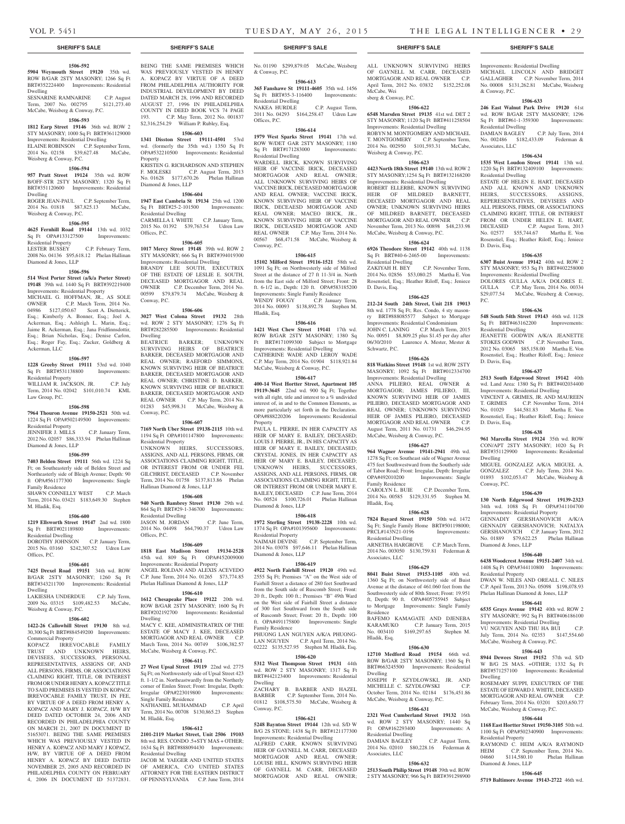### **1506-592**

**5904 Weymouth Street 19120** 35th wd. ROW B/GAR 2STY MASONRY: 1266 Sq Ft BRT#352224400 Improvements: Residential Dwelling

SESNARINE RAMNARINE C.P. August<br>Term. 2007 No. 002795 \$121,273.40 Term, 2007 No. 002795 McCabe, Weisberg & Conway, P.C.

STY MASONRY; 1000 Sq Ft BRT#361129000 Improvements: Residential Dwelling ELAINE ROBINSON C.P. September Term, 2014 No. 02158 \$39,627.48 McCabe,

**1506-594 957 Pratt Street 19124** 35th wd. ROW B/OFF-STR 2STY MASONRY; 1320 Sq Ft BRT#351120600 Improvements: Residential

ROGER JEAN-PAUL C.P. September Term, 2014 No. 01818 \$87,825.13 McCabe,

**1506-595 4625 Fernhill Road 19144** 13th wd. 1032 Sq Ft OPA#133127500 Improvements:

2008 No. 04136 \$95,618.12 Phelan Hallinan

**1506-596 514 West Porter Street (a/k/a Porter Street) 19148** 39th wd. 1440 Sq Ft BRT#392219400 Improvements: Residential Property MICHAEL G. HOFFMAN, JR., AS SOLE OWNER C.P. March Term, 2014 No. 04986 \$127,050.67 Scott A. Dietterick, Esq.; Kimberly A. Bonner, Esq.; Joel A. Ackerman, Esq.; Ashleigh L. Marin, Esq.; Jaime R. Ackerman, Esq.; Jana Fridfinnsdottir, Esq.; Brian Nicholas, Esq.; Denise Carlon, Esq.; Roger Fay, Esq.; Zucker, Goldberg &

**1506-597 1228 Greeby Street 19111** 53rd wd. 1040 Sq Ft BRT#531138800 Improvements:

WILLIAM R. JACKSON, JR. C.P. July Term, 2014 No. 02042 \$101,010.74 KML

**1506-598 7964 Thouron Avenue 19150-2521** 50th wd. 1224 Sq Ft OPA#502149500 Improvements:

JENNIFER J. MILLS C.P. January Term, 2012 No. 02057 \$86,333.94 Phelan Hallinan

**1506-599 7403 Belden Street 19111** 56th wd. 1224 Sq Ft; on Southeasterly side of Belden Street and Northeasterly side of Bleigh Avenue; Depth: 90 ft OPA#561177300 Improvements: Single

SHAWN CONNELLY WEST C.P. March Term, 2014 No. 03421 \$183,649.30 Stephen

**1506-600 1219 Ellsworth Street 19147** 2nd wd. 1800 Sq Ft BRT#021189800 Improvements:

DOROTHY JOHNSON C.P. January Term, 2015 No. 03160 \$242,307.52 Udren Law

**1506-601 7425 Drexel Road 19151** 34th wd. ROW B/GAR 2STY MASONRY; 1260 Sq Ft BRT#343211700 Improvements: Residential

LAKIESHA UNDERDUE C.P. July Term, 2009 No. 03315 \$109,482.53 McCabe,

**1506-602 1422-26 Callowhill Street 19130** 8th wd. 30,300 Sq Ft BRT#884549200 Improvements:

KOPACZ IRREVOCABLE FAMILY TRUST AND UNKNOWN HEIRS, DEVISEES, SUCCESSORS, PERSONAL REPRESENTATIVES, ASSIGNS OF, AND ALL PERSONS, FIRMS, OR ASSOCIATIONS CLAIMING RIGHT, TITLE, OR INTEREST FROM OR UNDER HENRY A. KOPACZ TITLE TO SAID PREMISES IS VESTED IN KOPACZ IRREVOCABLE FAMILY TRUST, IN FEE, BY VIRTUE OF A DEED FROM HENRY A. KOPACZ AND MARY J. KOPACZ, H/W BY DEED DATED OCTOBER 24, 2006 AND RECORDED IN PHILADELPHIA COUNTY ON MARCH 21, 2007 IN DOCUMENT ID 51653071. BEING THE SAME PREMISES WHICH WAS PREVIOUSLY VESTED IN HENRY A. KOPACZ AND MARY J KOPACZ, H/W, BY VIRTUE OF A DEED FROM HENRY A. KOPACZ BY DEED DATED NOVEMBER 25, 2005 AND RECORDED IN PHILADELPHIA COUNTY ON FEBRUARY 4, 2006 IN DOCUMENT ID 51372831.

C.P. February Term,

#### **1506-593 1812 Earp Street 19146** 36th wd. ROW 2

Weisberg & Conway, P.C.

Weisberg & Conway, P.C.

Residential Property<br>LESTER BUSSEY

Ackerman, LLC

Residential Property

Residential Property

Diamond & Jones, LLP

Family Residence

M. Hladik, Esq.

Residential Dwelling

Weisberg & Conway, P.C.

Commercial Property

Offices, P.C.

Dwelling

Law Group, P.C.

Diamond & Jones, LLP

Dwelling

# **1506-603**

**1341 Disston Street 19111-4501** 53rd wd. (formerly the 35th wd.) 1350 Sq Ft OPA#532210500 Improvements: Residential Property KRISTEN G. RICHARDSON AND STEPHEN

BEING THE SAME PREMISES WHICH WAS PREVIOUSLY VESTED IN HENRY A. KOPACZ BY VIRTUE OF A DEED FROM PHILADELPHIA AUTHORITY FOR INDUSTRIAL DEVELOPMENT BY DEED DATED MARCH 28, 1996 AND RECORDED AUGUST 27, 1996 IN PHILADELPHIA COUNTY IN DEED BOOK VCS 74 PAGE 193. C.P. May Term, 2012 No. 001837 \$2,316,254.29 William P. Rubley, Esq.

F. MOLESKI C.P. August Term, 2013 No. 01628 \$177,670.26 Phelan Hallinan Diamond & Jones, LLP

# **1506-604**

**1947 East Cambria St 19134** 25th wd. 1200 Sq Ft BRT#25-2-101500 Improvements: Residential Dwelling CARMELLA I. WHITE C.P. January Term, 2015 No. 01392 \$39,763.54 Udren Law Offices, P.C.

# **1506-605**

**1017 Mercy Street 19148** 39th wd. ROW 2 STY MASONRY; 666 Sq Ft BRT#394019300 Improvements: Residential Dwelling BRANDY LEE SOUTH, EXECUTRIX OF THE ESTATE OF LESLIE E. SOUTH, DECEASED MORTGAGOR AND REAL OWNER C.P. December Term, 2014 No. 00599 \$79,879.74 McCabe, Weisberg & Conway, P.C.

#### **1506-606**

**3027 West Colona Street 19132** 28th wd. ROW 2 STY MASONRY; 1276 Sq Ft BRT#282285500 Improvements: Residential Dwelling

BEATRICE BARKER; UNKNOWN SURVIVING HEIRS OF BEATRICE BARKER, DECEASED MORTGAGOR AND REAL OWNER; RAEFORD SIMMONS, KNOWN SURVIVING HEIR OF BEATRICE BARKER, DECEASED MORTGAGOR AND REAL OWNER; CHRISTINE D. BARKER, KNOWN SURVIVING HEIR OF BEATRICE BARKER, DECEASED MORTGAGOR AND REAL OWNER C.P. May Term, 2014 No. 01283 \$45,998.31 McCabe, Weisberg & Conway, P.C.

#### **1506-607**

**7169 North Uber Street 19138-2115** 10th wd. 1194 Sq Ft OPA#101147800 Improvements: Residential Property UNKNOWN HEIRS, SUCCESSORS,

ASSIGNS, AND ALL PERSONS, FIRMS, OR ASSOCIATIONS CLAIMING RIGHT, TITLE, OR INTEREST FROM OR UNDER FEL GILCHRIST, DECEASED C.P. November Term, 2014 No. 01758 \$137,813.86 Phelan Hallinan Diamond & Jones, LLP

#### **1506-608**

**940 North Bambrey Street 19130** 29th wd. 864 Sq Ft BRT#29-1-346700 Improvements: Residential Dwelling JASON M. JORDAN C.P. June Term,

2014 No. 04498 \$64,790.37 Udren Law Offices, P.C. **1506-609**

**1818 East Madison Street 19134-2528**  45th wd. 809 Sq Ft OPA#452009000 Improvements: Residential Property ANGEL ROLDAN AND ALEXIS ACEVEDO C.P. June Term, 2014 No. 01265 \$73,774.85 Phelan Hallinan Diamond & Jones, LLP

#### **1506-610**

**1612 Chesapeake Place 19122** 20th wd. ROW B/GAR 2STY MASONRY; 1600 Sq Ft BRT#202192700 Improvements: Residential Dwelling

MACY C. KEE, ADMINISTRATRIX OF THE ESTATE OF MACY J. KEE, DECEASED MORTGAGOR AND REAL OWNER C.P. March Term, 2014 No. 00749 \$106,382.57 McCabe, Weisberg & Conway, P.C.

#### **1506-611**

**27 West Upsal Street 19119** 22nd wd. 2775 Sq Ft; on Northwesterly side of Upsal Street 423 ft. 1-1/2 in. Northeastwardly from the Northerly corner of Emlen Street; Front: Irregular, Depth: Irregular OPA#223019800 Improvements: Single Family Residence

NATHANIEL MUHAMMAD C.P. April Term, 2014 No. 00708 \$130,865.23 Stephen M. Hladik, Esq.

#### **1506-612**

**2101-2119 Market Street, Unit 2506 19103**  8th wd. RES. CONDO .5+STY MAS + OTHER; 1634 Sq Ft BRT#888094430 Improvements: Residential Dwelling

JACOB M. YAEGER AND UNITED STATES OF AMERICA, C/O UNITED STATES ATTORNEY FOR THE EASTERN DISTRICT OF PENNSYLVANIA C.P. June Term, 2014

No. 01190 \$299,879.05 McCabe, Weisberg & Conway, P.C.

#### **1506-613 365 Fanshawe St 19111-4605** 35th wd. 1456

Sq Ft BRT#35-3-116400 Improvements: Residential Dwelling<br>NAKEA HURDLE C.P. August Term,

2011 No. 04293 \$164,258.47 Udren Law Offices, P.C. **1506-614**

**1979 West Sparks Street 19141** 17th wd. ROW W/DET GAR 2STY MASONRY; 1180 Sq Ft BRT#171283000 Improvements: Residential Dwelling

WARDELL IRICK, KNOWN SURVIVING HEIR OF VACCINE IRICK, DECEASED MORTGAGOR AND REAL OWNER; ALL UNKNOWN SURVIVING HEIRS OF VACCINE IRICK, DECEASED MORTGAGOR AND REAL OWNER; VACCINE IRICK, KNOWN SURVIVING HEIR OF VACCINE IRICK, DECEAESD MORTGAGOR AND REAL OWNER; MACEO IRICK, JR., KNOWN SURVIVING HEIR OF VACCINE IRICK, DECEASED MORTGAGOR AND REAL OWNER C.P. May Term, 2014 No. 00567 \$68,471.58 McCabe, Weisberg & Conway, P.C.

# **1506-615**

**15102 Milford Street 19116-1521** 58th wd. 1091 Sq Ft; on Northwesterly side of Milford Street at the distance of 27 ft 11-3/4 in. North from the East side of Milford Street; Front: 28 ft. 6-1/2 in., Depth: 120 ft. OPA#583185200 Improvements: Single Family Residence WENDY FOUGY C.P. January Term, 2014 No. 00093 \$138,892.78 Stephen M. Hladik, Esq.

## **1506-616**

**1421 West Chew Street 19141** 17th wd. ROW B/GAR 2STY MASONRY; 1380 Sq Ft BRT#171099300 Subject to Mortgage Improvements: Residential Dwelling CATHERINE WADE AND LEROY WADE C.P. May Term, 2014 No. 01904 \$118,921.84 McCabe, Weisberg & Conway, P.C.

# **1506-617**

**400-14 West Hortter Street, Apartment 105 19119-3645** 22nd wd. 900 Sq Ft; Together with all right, title and interest to a % undivided interest of, in and to the Common Elements, as more particularly set forth in the Declaration. OPA#888220206 Improvements: Residential Property

PAULA L. PIERRE, IN HER CAPACITY AS HEIR OF MARY E. BAILEY, DECEASED; LOUIS J. PIERRE, JR., IN HIS CAPACITY AS HEIR OF MARY E. BAILEY, DECEASED; CRYSTAL JONES, IN HER CAPACITY AS HEIR OF MARY E. BAILEY, DECEASED; UNKNOWN HEIRS, SUCCESSORS, ASSIGNS, AND ALL PERSONS, FIRMS, OR ASSOCIATIONS CLAIMING RIGHT, TITLE, OR INTEREST FROM OR UNDER MARY E. BAILEY, DECEASED C.P. June Term, 2014 No. 00524 \$100,726.01 Phelan Hallinan Diamond & Jones, LLP

#### **1506-618**

**1972 Sterling Street 19138-2228** 10th wd. 1374 Sq Ft OPA#101395600 Improvements: Residential Property NAIMAH DEVINE C.P. September Term,

2014 No. 03078 \$97,646.11 Phelan Hallinan Diamond & Jones, LLP

# **1506-619**

**4922 North Fairhill Street 19120** 49th wd. 2555 Sq Ft; Premises "A" on the West side of Fairhill Street a distance of 280 feet Southward from the South side of Ruscomb Street; Front: 20 ft., Depth: 100 ft.; Premises "B" 49th Ward on the West side of Fairhill Street a distance of 300 feet Southward from the South side of Ruscomb Street; Front: 20 ft., Depth: 100 ft. OPA#491175800 Improvements: Single Family Residence PHUONG LAN NGUYEN A/K/A PHUONG-

LAN NGUYEN C.P. April Term, 2014 No. 02222 \$135,527.95 Stephen M. Hladik, Esq.

# **1506-620**

**5312 West Thompson Street 19131** 44th wd. ROW 2 STY MASONRY; 1317 Sq Ft BRT#442123400 Improvements: Residential Dwelling

ZACHARY B. BARBER AND HAZEL BARBER C.P. September Term, 2014 No. 01812 \$108,575.50 McCabe, Weisberg & Conway, P.C.

# **1506-621**

**5248 Baynton Street 19144** 12th wd. S/D W B/G 2S STONE; 1438 Sq Ft BRT#121177300 Improvements: Residential Dwelling ALFRED CARR, KNOWN SURVIVING HEIR OF GAYNELL M. CARR, DECEASED MORTGAGOR AND REAL OWNER; LOUISE HILL, KNOWN SURVIVING HEIR OF GAYNELL M. CARR, DECEASED MORTGAGOR AND REAL OWNER; ALL UNKNOWN SURVIVING HEIRS OF GAYNELL M. CARR, DECEASED MORTGAGOR AND REAL OWNER C.P. April Term, 2012 No. 03832 \$152,252.08 McCabe, Wei sberg & Conway, P.C.

# **1506-622**

**6548 Marsden Street 19135** 41st wd. DET 2 STY MASONRY; 1120 Sq Ft BRT#411258504 Improvements: Residential Dwelling ROBYN M. MONTGOMERY AND MICHAEL T. MONTGOMERY C.P. September Term, 2014 No. 002950 \$101,593.31 McCabe, Weisberg & Conway, P.C.

#### **1506-623**

**4423 North 18th Street 19140** 13th wd. ROW 2 STY MASONRY;1254 Sq Ft BRT#132168200 Improvements: Residential Dwelling ROBERT ELLERBE, KNOWN SURVIVING HEIR OF MILDRED BARNETT, DECEASED MORTGAGOR AND REAL OWNER; UNKNOWN SURVIVING HEIRS OF MILDRED BARNETT, DECEASED MORTGAGOR AND REAL OWNER C.P. November Term, 2013 No. 00898 \$48,233.98 McCabe, Weisberg & Conway, P.C.

# **1506-624**

**6926 Theodore Street 19142** 40th wd. 1138 Sq Ft BRT#40-6-2465-00 Improvements: Residential Dwelling<br>ZAKIYAH H. BEY C.P. November Term, 2014 No. 02856 \$53,080.25 Martha E. Von

Rosenstiel, Esq.; Heather Riloff, Esq.; Jeniece D. Davis, Esq. **1506-625**

**212-24 South 24th Street, Unit 218 19013**  8th wd. 1778 Sq Ft; Res. Condo, 4 sty masonry BRT#888085577 Subject to Mortgage Improvements: Residential Condominium JOHN C. LANING C.P. March Term, 2015 No. 00951 \$8,809.25 plus \$1.45 per day after 06/30/2010 Laurence A. Mester, Mester & Schwartz, P.C.

**1506-626 818 Watkins Street 19148** 1st wd. ROW 2STY MASONRY; 1092 Sq Ft BRT#012334700 Improvements: Residential Dwelling ANNA PILIERO, REAL OWNER MORTGAGOR; JAMES PILIERO, III, KNOWN SURVIVING HEIR OF JAMES PILIERO, DECEASED MORTGAGOR AND REAL OWNER; UNKNOWN SURVIVING HEIR OF JAMES PILIERO, DECEASED MORTGAGOR AND REAL OWNER C.P. August Term, 2011 No. 01731 \$46,294.95 McCabe, Weisberg & Conway, P.C.

#### **1506-627**

**964 Wagner Avenue 19141-2941** 49th wd. 1278 Sq Ft; on Southeast side of Wagner Avenue 475 feet Southwestward from the Southerly side of Tabor Road; Front: Irregular, Depth: Irregular<br>
OPA#492010200 Improvements: Single Improvements: Single Family Residence CAROLYN L. BUIE C.P. December Term,

2014 No. 00585 \$129,331.95 Stephen M. Hladik, Esq.

# **1506-628**

**7824 Bayard Street 19150** 50th wd. 1472 Sq Ft; Single Family Home BRT#501198000; PRCL#143N21-0196 Improvements: Residential Dwelling ARNETHA HARGROVE C.P. March Term, 2014 No. 003050 \$130,759.81 Federman &

Associates, LLC **1506-629**

**8041 Buist Street 19153-1105** 40th wd. 1360 Sq Ft; on Northwesterly side of Buist Avenue at the distance of 461.060 feet from the Southwesterly side of 80th Street; Front: 19.951 ft, Depth: 90 ft. OPA#405755945 Subject to Mortgage Improvements: Single Family Residence

BAFEMO KAMAGATE AND DJENEBA KARAMUKO C.P. January Term, 2015 No. 003410 \$169,297.65 Stephen M. Hladik, Esq.

# **1506-630**

**12710 Medford Road 19154** 66th wd. ROW B/GAR 2STY MASONRY; 1360 Sq Ft BRT#663245500 Improvements: Residential Dwelling JOSEPH P. SZYDLOWSKI, JR. AND

MICHELLE C. SZYDLOWSKI October Term, 2014 No. 02184 \$176,451.86 McCabe, Weisberg & Conway, P.C.

# **1506-631**

**2321 West Cumberland Street 19132** 16th wd. ROW 2 STY MASONRY; 1440 Sq<br>Ft OPA#162293400 Improvements: A Ft OPA#162293400 Residential Dwelling DAMIAN BAGLEY C.P. August Term, 2014 No. 02010 \$80,228.16 Federman &

# **1506-632**

Associates, LLC

**2513 South Philip Street 19148** 39th wd. ROW 2 STY MASONRY; 966 Sq Ft BRT#391298900

#### **SHERIFF'S SALE SHERIFF'S SALE SHERIFF'S SALE SHERIFF'S SALE SHERIFF'S SALE**

Improvements: Residential Dwelling MICHAEL LINCOLN AND BRIDGET GALLAGHER C.P. November Term, 2014 No. 00008 \$131,262.81 McCabe, Weisberg & Conway, P.C.

#### **1506-633**

**246 East Walnut Park Drive 19120** 61st wd. ROW B/GAR 2STY MASONRY; 1296 Sq Ft BRT#61-1-359300 Improvements: Residential Dwelling C.P. July Term, 2014 No. 002486 \$182,433.09 Federman & Associates, LLC

# **1506-634**

**1535 West Loudon Street 19141** 13th wd. 1220 Sq Ft BRT#132409100 Improvements: Residential Dwelling

ESTATE OF HELEN E. HART, DECEASED AND ALL KNOWN AND UNKNOWN HEIRS, SUCCESSORS, ASSIGNS, REPERESENTATIVES, DEVISEES AND ALL PERSONS, FIRMS, OR ASSOCIATIONS CLAIMING RIGHT, TITLE, OR INTEREST FROM OR UNDER HELEN E. HART, DECEASED C.P. August Term, 2013 No. 02577 \$55,744.67 Martha E. Von Rosenstiel, Esq.; Heather Riloff, Esq.; Jeniece D. Davis, Esq.

#### **1506-635**

**6307 Buist Avenue 19142** 40th wd. ROW 2 STY MASONRY; 953 Sq Ft BRT#402258000 Improvements: Residential Dwelling

DOLORES GULLA A/K/A DOLORES E. GULLA C.P. May Term, 2014 No. 00334 \$29,077.54 McCabe, Weisberg & Conway, P.C.

#### **1506-636**

**548 South 54th Street 19143** 46th wd. 1128 Sq Ft BRT#463162200 Improvements: Residential Dwelling JEANETTE GODWIN A/K/A JEANETTE STOKES GODWIN C.P. November Term, 2012 No. 03065 \$85,158.00 Martha E. Von Rosenstiel, Esq.; Heather Riloff, Esq.; Jeniece D. Davis, Esq.

# **1506-637**

**2513 South Edgewood Street 19142** 40th wd. Land Area: 1380 Sq Ft BRT#402034400 Improvements: Residential Dwelling

VINCENT A. GRIMES, JR. AND MAUREEN T. GRIMES C.P. November Term, 2014 No. 01029 \$44,581.83 Martha E. Von Rosenstiel, Esq.; Heather Riloff, Esq.; Jeniece D. Davis, Esq.

## **1506-638**

**961 Marcella Street 19124** 35th wd. ROW CON/APT 2STY MASONRY; 1020 Sq Ft BRT#351129900 Improvements: Residential Dwelling MIGUEL GONZALEZ A/K/A MIGUEL A.

GONZALEZ C.P. July Term, 2014 No. 01893 \$102,053.47 McCabe, Weisberg &

**1506-639 130 North Edgewood Street 19139-2323**  34th wd. 1088 Sq Ft OPA#341104700 Improvements: Residential Property GENNADIY GERSHANOVICH A/K/A GENNADY GERSHANOVICH; NATALYA GERSHANOVICH C.P. January Term, 2012 No. 01889 \$79,622.25 Phelan Hallinan

**1506-640 6438 Woodcrest Avenue 19151-2407** 34th wd. 1408 Sq Ft OPA#344110800 Improvements:

DWAN W. NILES AND OREALL C. NILES C.P. April Term, 2013 No. 05098 \$198,078.93 Phelan Hallinan Diamond & Jones, LLP **1506-641 6535 Grays Avenue 19142** 40th wd. ROW 2 STY MASONRY; 992 Sq Ft BRT#406186100 Improvements: Residential Dwelling VU NGUYEN AND THU HA BUI CP. July Term, 2014 No. 02353 \$147,554.60

McCabe, Weisberg & Conway, P.C. **1506-643 8944 Dewees Street 19152** 57th wd. S/D W B/G 2S MAS. +OTHER; 1332 Sq Ft BRT#571257100 Improvements: Residential

ROSEMARY SUPPI, EXECUTRIX OF THE ESTATE OF EDWARD J. WHITE, DECEASED MORTGAGOR AND REAL OWNER C.P. February Term, 2014 No. 03201 \$203,650.77 McCabe, Weisberg & Conway, P.C. **1506-644 1168 East Hortter Street 19150-3105** 50th wd. 1100 Sq Ft OPA#502340900 Improvements:

RAYMOND C. HEIM A/K/A RAYMOND<br>HEIM C.P. September Term. 2014 No. C.P. September Term, 2014 No.<br>\$114.580.10 Phelan Hallinan 04660 \$114,580.10 Phelan Hallinan

**1506-645 5719 Baltimore Avenue 19143-2722** 46th wd.

Conway, P.C.

Diamond & Jones, LLP

Residential Property

Dwelling

Residential Property

Diamond & Jones, LLP